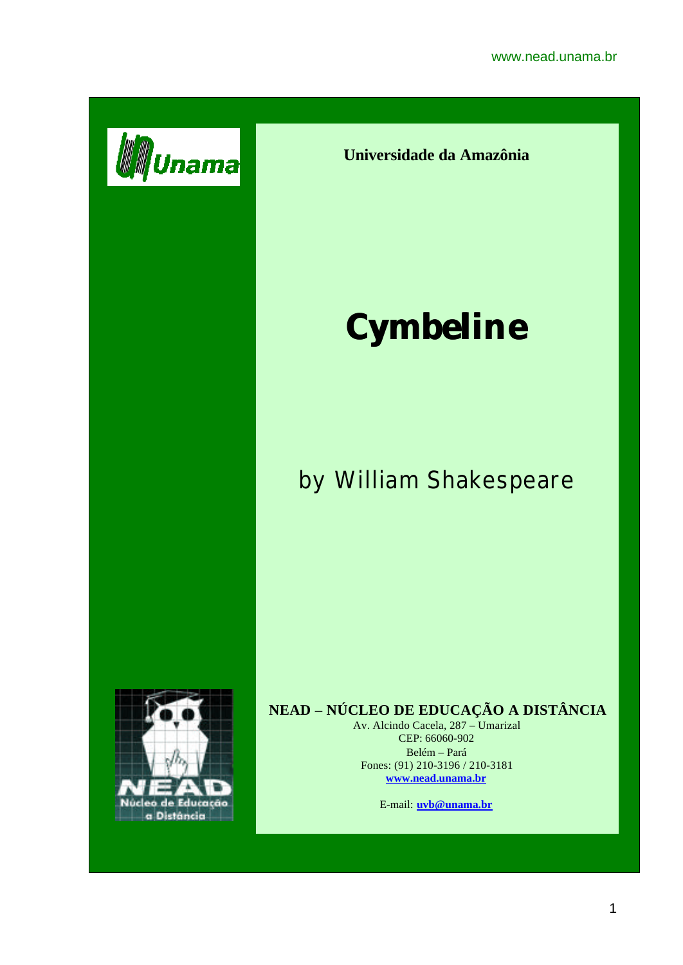

**Universidade da Amazônia**

# **Cymbeline**

# by William Shakespeare



# **NEAD – NÚCLEO DE EDUCAÇÃO A DISTÂNCIA**

Av. Alcindo Cacela, 287 – Umarizal CEP: 66060-902 Belém – Pará Fones: (91) 210-3196 / 210-3181 **www.nead.unama.br**

E-mail: **uvb@unama.br**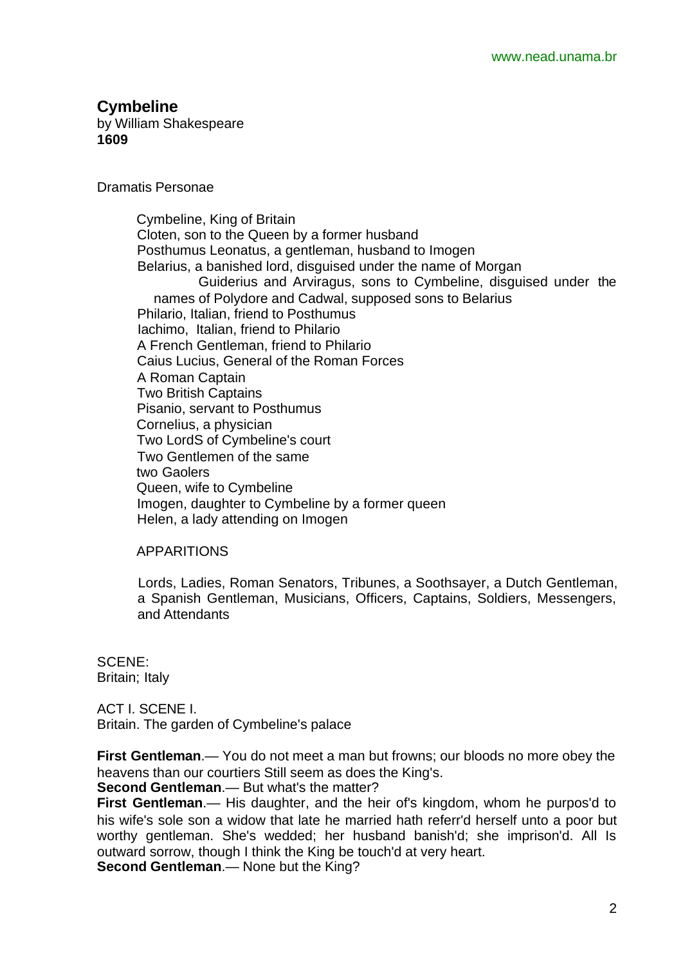# **Cymbeline**

by William Shakespeare **1609**

Dramatis Personae

 Cymbeline, King of Britain Cloten, son to the Queen by a former husband Posthumus Leonatus, a gentleman, husband to Imogen Belarius, a banished lord, disguised under the name of Morgan Guiderius and Arviragus, sons to Cymbeline, disguised under the names of Polydore and Cadwal, supposed sons to Belarius Philario, Italian, friend to Posthumus Iachimo, Italian, friend to Philario A French Gentleman, friend to Philario Caius Lucius, General of the Roman Forces A Roman Captain Two British Captains Pisanio, servant to Posthumus Cornelius, a physician Two LordS of Cymbeline's court Two Gentlemen of the same two Gaolers Queen, wife to Cymbeline Imogen, daughter to Cymbeline by a former queen Helen, a lady attending on Imogen

#### APPARITIONS

 Lords, Ladies, Roman Senators, Tribunes, a Soothsayer, a Dutch Gentleman, a Spanish Gentleman, Musicians, Officers, Captains, Soldiers, Messengers, and Attendants

SCENE: Britain; Italy

ACT I. SCENE I. Britain. The garden of Cymbeline's palace

**First Gentleman**.— You do not meet a man but frowns; our bloods no more obey the heavens than our courtiers Still seem as does the King's.

**Second Gentleman**.— But what's the matter?

**First Gentleman**.— His daughter, and the heir of's kingdom, whom he purpos'd to his wife's sole son a widow that late he married hath referr'd herself unto a poor but worthy gentleman. She's wedded; her husband banish'd; she imprison'd. All Is outward sorrow, though I think the King be touch'd at very heart.

**Second Gentleman.**— None but the King?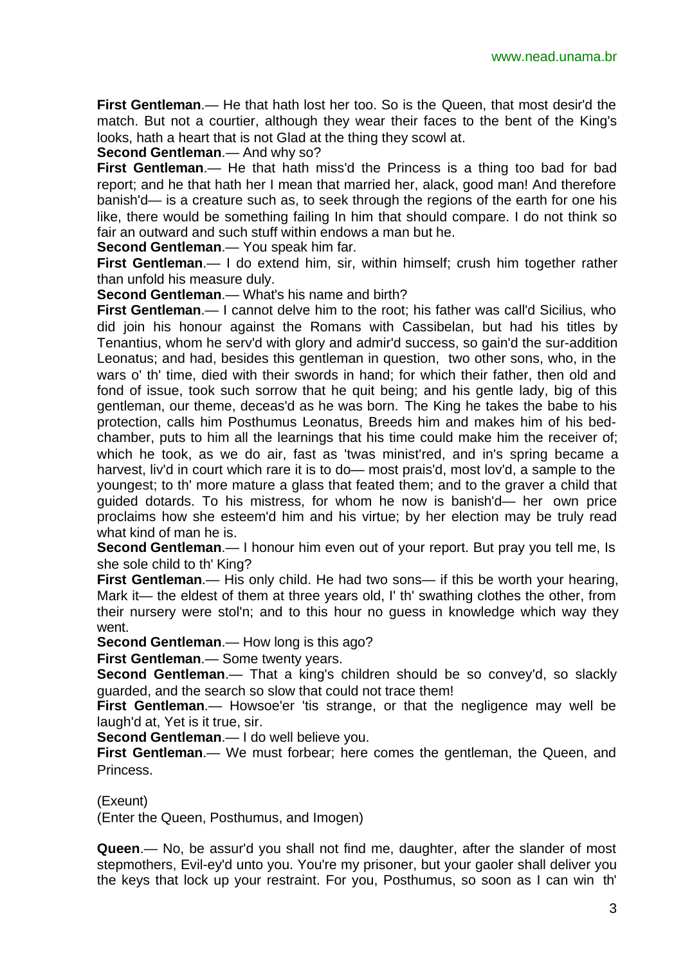**First Gentleman**.— He that hath lost her too. So is the Queen, that most desir'd the match. But not a courtier, although they wear their faces to the bent of the King's looks, hath a heart that is not Glad at the thing they scowl at.

**Second Gentleman**.— And why so?

**First Gentleman**.— He that hath miss'd the Princess is a thing too bad for bad report; and he that hath her I mean that married her, alack, good man! And therefore banish'd— is a creature such as, to seek through the regions of the earth for one his like, there would be something failing In him that should compare. I do not think so fair an outward and such stuff within endows a man but he.

**Second Gentleman**.— You speak him far.

**First Gentleman**.— I do extend him, sir, within himself; crush him together rather than unfold his measure duly.

**Second Gentleman**.— What's his name and birth?

**First Gentleman**.— I cannot delve him to the root; his father was call'd Sicilius, who did join his honour against the Romans with Cassibelan, but had his titles by Tenantius, whom he serv'd with glory and admir'd success, so gain'd the sur-addition Leonatus; and had, besides this gentleman in question, two other sons, who, in the wars o' th' time, died with their swords in hand; for which their father, then old and fond of issue, took such sorrow that he quit being; and his gentle lady, big of this gentleman, our theme, deceas'd as he was born. The King he takes the babe to his protection, calls him Posthumus Leonatus, Breeds him and makes him of his bedchamber, puts to him all the learnings that his time could make him the receiver of; which he took, as we do air, fast as 'twas minist'red, and in's spring became a harvest, liv'd in court which rare it is to do— most prais'd, most lov'd, a sample to the youngest; to th' more mature a glass that feated them; and to the graver a child that guided dotards. To his mistress, for whom he now is banish'd— her own price proclaims how she esteem'd him and his virtue; by her election may be truly read what kind of man he is.

**Second Gentleman**.— I honour him even out of your report. But pray you tell me, Is she sole child to th' King?

**First Gentleman**.— His only child. He had two sons— if this be worth your hearing, Mark it— the eldest of them at three years old, I' th' swathing clothes the other, from their nursery were stol'n; and to this hour no guess in knowledge which way they went.

**Second Gentleman**.— How long is this ago?

**First Gentleman**.— Some twenty years.

**Second Gentleman.**— That a king's children should be so convey'd, so slackly guarded, and the search so slow that could not trace them!

**First Gentleman**.— Howsoe'er 'tis strange, or that the negligence may well be laugh'd at, Yet is it true, sir.

**Second Gentleman**.— I do well believe you.

**First Gentleman.**— We must forbear; here comes the gentleman, the Queen, and Princess.

(Exeunt)

(Enter the Queen, Posthumus, and Imogen)

**Queen**.— No, be assur'd you shall not find me, daughter, after the slander of most stepmothers, Evil-ey'd unto you. You're my prisoner, but your gaoler shall deliver you the keys that lock up your restraint. For you, Posthumus, so soon as I can win th'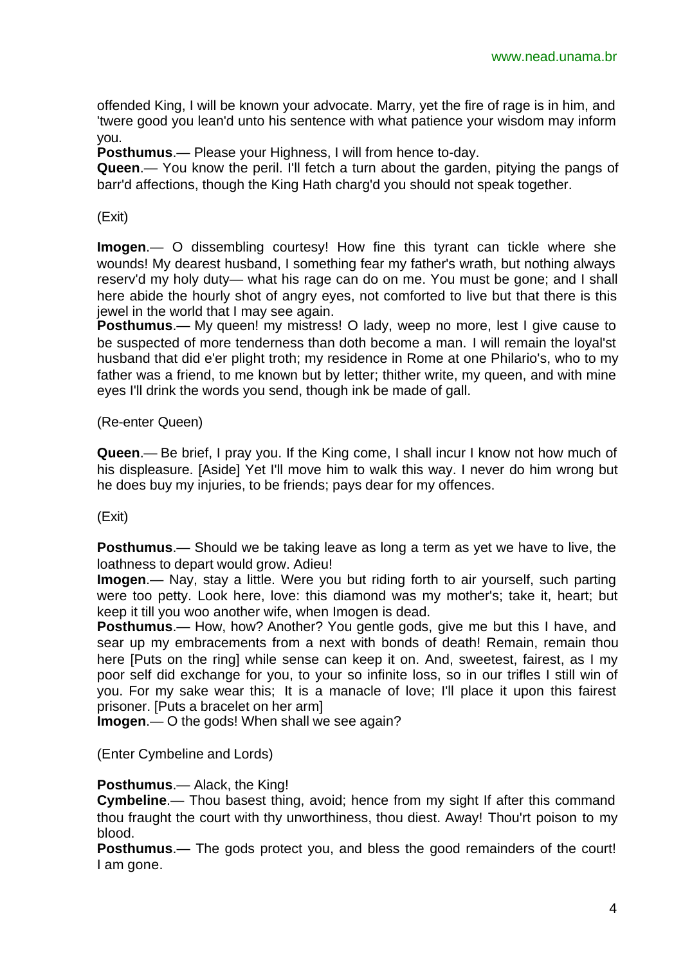offended King, I will be known your advocate. Marry, yet the fire of rage is in him, and 'twere good you lean'd unto his sentence with what patience your wisdom may inform you.

**Posthumus**.— Please your Highness, I will from hence to-day.

**Queen**.— You know the peril. I'll fetch a turn about the garden, pitying the pangs of barr'd affections, though the King Hath charg'd you should not speak together.

# (Exit)

**Imogen**.— O dissembling courtesy! How fine this tyrant can tickle where she wounds! My dearest husband, I something fear my father's wrath, but nothing always reserv'd my holy duty— what his rage can do on me. You must be gone; and I shall here abide the hourly shot of angry eyes, not comforted to live but that there is this jewel in the world that I may see again.

**Posthumus.**— My queen! my mistress! O lady, weep no more, lest I give cause to be suspected of more tenderness than doth become a man. I will remain the loyal'st husband that did e'er plight troth; my residence in Rome at one Philario's, who to my father was a friend, to me known but by letter; thither write, my queen, and with mine eyes I'll drink the words you send, though ink be made of gall.

# (Re-enter Queen)

**Queen**.— Be brief, I pray you. If the King come, I shall incur I know not how much of his displeasure. [Aside] Yet I'll move him to walk this way. I never do him wrong but he does buy my injuries, to be friends; pays dear for my offences.

# (Exit)

**Posthumus**.— Should we be taking leave as long a term as yet we have to live, the loathness to depart would grow. Adieu!

**Imogen**.— Nay, stay a little. Were you but riding forth to air yourself, such parting were too petty. Look here, love: this diamond was my mother's; take it, heart; but keep it till you woo another wife, when Imogen is dead.

**Posthumus**.— How, how? Another? You gentle gods, give me but this I have, and sear up my embracements from a next with bonds of death! Remain, remain thou here [Puts on the ring] while sense can keep it on. And, sweetest, fairest, as I my poor self did exchange for you, to your so infinite loss, so in our trifles I still win of you. For my sake wear this; It is a manacle of love; I'll place it upon this fairest prisoner. [Puts a bracelet on her arm]

**Imogen**.— O the gods! When shall we see again?

(Enter Cymbeline and Lords)

# **Posthumus**.— Alack, the King!

**Cymbeline**.— Thou basest thing, avoid; hence from my sight If after this command thou fraught the court with thy unworthiness, thou diest. Away! Thou'rt poison to my blood.

**Posthumus**.— The gods protect you, and bless the good remainders of the court! I am gone.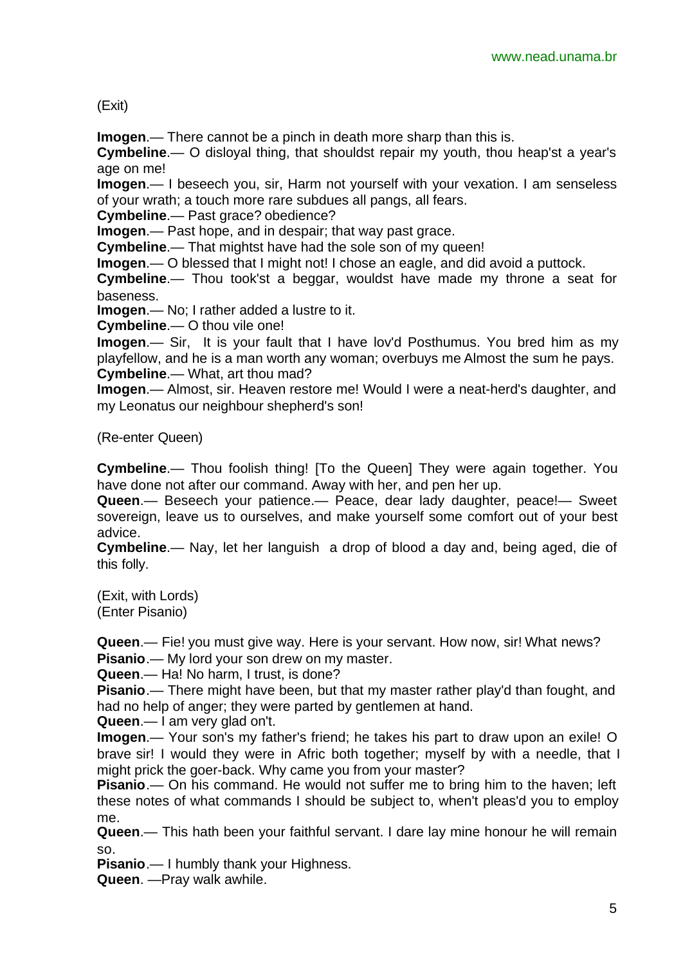(Exit)

**Imogen**.— There cannot be a pinch in death more sharp than this is.

**Cymbeline**.— O disloyal thing, that shouldst repair my youth, thou heap'st a year's age on me!

**Imogen**.— I beseech you, sir, Harm not yourself with your vexation. I am senseless of your wrath; a touch more rare subdues all pangs, all fears.

**Cymbeline**.— Past grace? obedience?

**Imogen**.— Past hope, and in despair; that way past grace.

**Cymbeline**.— That mightst have had the sole son of my queen!

**Imogen**.— O blessed that I might not! I chose an eagle, and did avoid a puttock.

**Cymbeline**.— Thou took'st a beggar, wouldst have made my throne a seat for baseness.

**Imogen**.— No; I rather added a lustre to it.

**Cymbeline**.— O thou vile one!

**Imogen**.— Sir, It is your fault that I have lov'd Posthumus. You bred him as my playfellow, and he is a man worth any woman; overbuys me Almost the sum he pays. **Cymbeline**.— What, art thou mad?

**Imogen**.— Almost, sir. Heaven restore me! Would I were a neat-herd's daughter, and my Leonatus our neighbour shepherd's son!

(Re-enter Queen)

**Cymbeline**.— Thou foolish thing! [To the Queen] They were again together. You have done not after our command. Away with her, and pen her up.

**Queen**.— Beseech your patience.— Peace, dear lady daughter, peace!— Sweet sovereign, leave us to ourselves, and make yourself some comfort out of your best advice.

**Cymbeline**.— Nay, let her languish a drop of blood a day and, being aged, die of this folly.

(Exit, with Lords) (Enter Pisanio)

**Queen**.— Fie! you must give way. Here is your servant. How now, sir! What news?

**Pisanio**.— My lord your son drew on my master.

**Queen**.— Ha! No harm, I trust, is done?

**Pisanio**.— There might have been, but that my master rather play'd than fought, and had no help of anger; they were parted by gentlemen at hand.

**Queen**.— I am very glad on't.

**Imogen**.— Your son's my father's friend; he takes his part to draw upon an exile! O brave sir! I would they were in Afric both together; myself by with a needle, that I might prick the goer-back. Why came you from your master?

**Pisanio**.— On his command. He would not suffer me to bring him to the haven; left these notes of what commands I should be subject to, when't pleas'd you to employ me.

**Queen**.— This hath been your faithful servant. I dare lay mine honour he will remain so.

**Pisanio**.— I humbly thank your Highness.

**Queen**. —Pray walk awhile.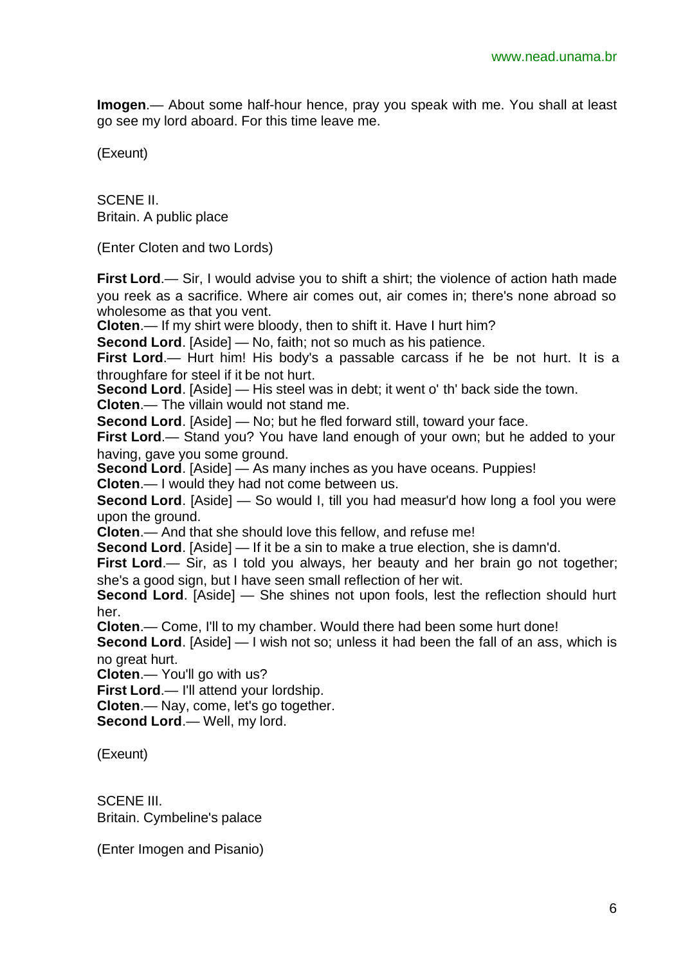**Imogen**.— About some half-hour hence, pray you speak with me. You shall at least go see my lord aboard. For this time leave me.

(Exeunt)

SCENE II. Britain. A public place

(Enter Cloten and two Lords)

**First Lord.**— Sir, I would advise you to shift a shirt; the violence of action hath made you reek as a sacrifice. Where air comes out, air comes in; there's none abroad so wholesome as that you vent.

**Cloten**.— If my shirt were bloody, then to shift it. Have I hurt him?

**Second Lord**. [Aside] — No, faith; not so much as his patience.

**First Lord.**— Hurt him! His body's a passable carcass if he be not hurt. It is a throughfare for steel if it be not hurt.

**Second Lord**. [Aside] — His steel was in debt; it went o' th' back side the town.

**Cloten**.— The villain would not stand me.

**Second Lord**. [Aside] — No; but he fled forward still, toward your face.

**First Lord.**— Stand you? You have land enough of your own; but he added to your having, gave you some ground.

**Second Lord**. [Aside] — As many inches as you have oceans. Puppies! **Cloten**.— I would they had not come between us.

**Second Lord.** [Aside] — So would I, till you had measur'd how long a fool you were upon the ground.

**Cloten**.— And that she should love this fellow, and refuse me!

**Second Lord**. [Aside] — If it be a sin to make a true election, she is damn'd.

**First Lord.**— Sir, as I told you always, her beauty and her brain go not together; she's a good sign, but I have seen small reflection of her wit.

**Second Lord.** [Aside] — She shines not upon fools, lest the reflection should hurt her.

**Cloten**.— Come, I'll to my chamber. Would there had been some hurt done!

**Second Lord**. [Aside] — I wish not so; unless it had been the fall of an ass, which is no great hurt.

**Cloten**.— You'll go with us?

**First Lord**.— I'll attend your lordship.

**Cloten**.— Nay, come, let's go together.

**Second Lord**.— Well, my lord.

(Exeunt)

SCENE III. Britain. Cymbeline's palace

(Enter Imogen and Pisanio)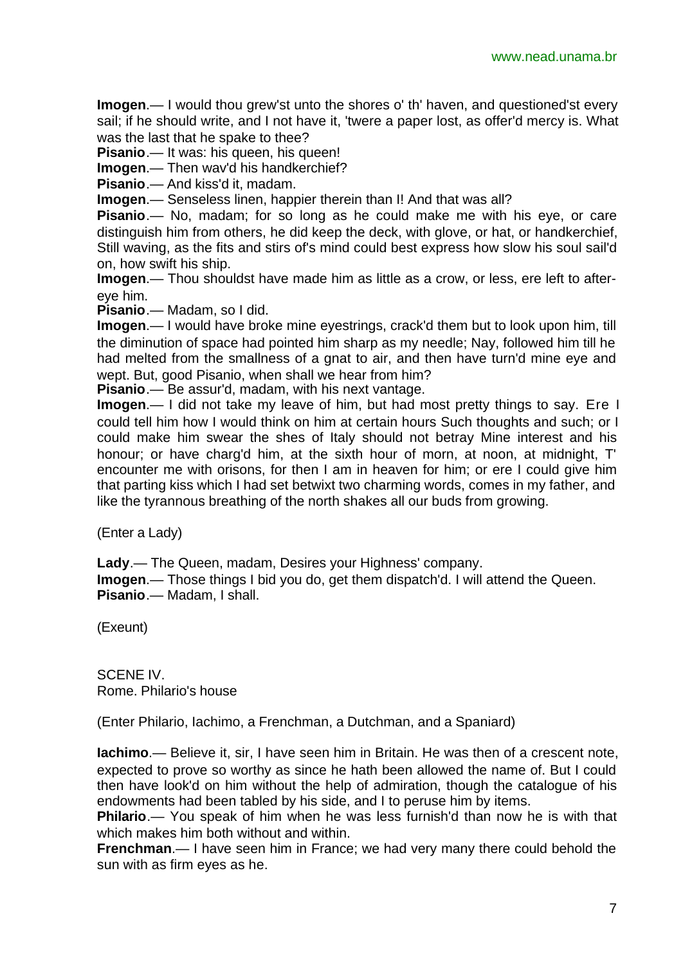**Imogen**.— I would thou grew'st unto the shores o' th' haven, and questioned'st every sail; if he should write, and I not have it, 'twere a paper lost, as offer'd mercy is. What was the last that he spake to thee?

**Pisanio.**— It was: his queen, his queen!

**Imogen**.— Then wav'd his handkerchief?

**Pisanio**.— And kiss'd it, madam.

**Imogen**.— Senseless linen, happier therein than I! And that was all?

**Pisanio**.— No, madam; for so long as he could make me with his eye, or care distinguish him from others, he did keep the deck, with glove, or hat, or handkerchief, Still waving, as the fits and stirs of's mind could best express how slow his soul sail'd on, how swift his ship.

**Imogen**.— Thou shouldst have made him as little as a crow, or less, ere left to aftereye him.

**Pisanio**.— Madam, so I did.

**Imogen**.— I would have broke mine eyestrings, crack'd them but to look upon him, till the diminution of space had pointed him sharp as my needle; Nay, followed him till he had melted from the smallness of a gnat to air, and then have turn'd mine eye and wept. But, good Pisanio, when shall we hear from him?

**Pisanio**.— Be assur'd, madam, with his next vantage.

**Imogen**.— I did not take my leave of him, but had most pretty things to say. Ere I could tell him how I would think on him at certain hours Such thoughts and such; or I could make him swear the shes of Italy should not betray Mine interest and his honour; or have charg'd him, at the sixth hour of morn, at noon, at midnight, T' encounter me with orisons, for then I am in heaven for him; or ere I could give him that parting kiss which I had set betwixt two charming words, comes in my father, and like the tyrannous breathing of the north shakes all our buds from growing.

(Enter a Lady)

**Lady**.— The Queen, madam, Desires your Highness' company.

**Imogen**.— Those things I bid you do, get them dispatch'd. I will attend the Queen. **Pisanio**.— Madam, I shall.

(Exeunt)

SCENE IV. Rome. Philario's house

(Enter Philario, Iachimo, a Frenchman, a Dutchman, and a Spaniard)

**Iachimo**.— Believe it, sir, I have seen him in Britain. He was then of a crescent note, expected to prove so worthy as since he hath been allowed the name of. But I could then have look'd on him without the help of admiration, though the catalogue of his endowments had been tabled by his side, and I to peruse him by items.

**Philario**.— You speak of him when he was less furnish'd than now he is with that which makes him both without and within.

**Frenchman**.— I have seen him in France; we had very many there could behold the sun with as firm eyes as he.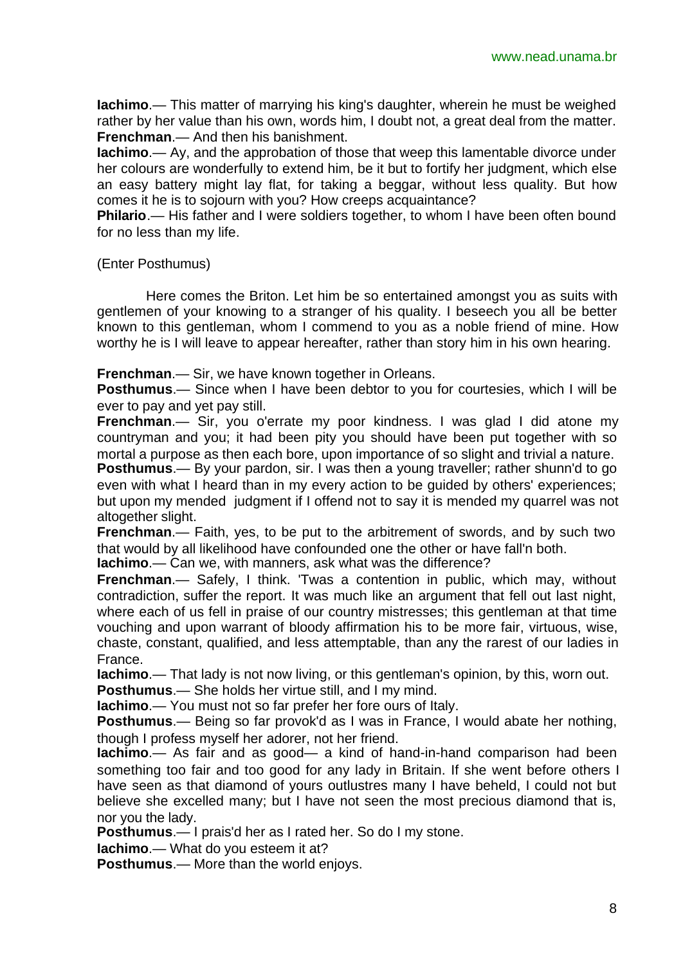**Iachimo**.— This matter of marrying his king's daughter, wherein he must be weighed rather by her value than his own, words him, I doubt not, a great deal from the matter. **Frenchman**.— And then his banishment.

**Iachimo**.— Ay, and the approbation of those that weep this lamentable divorce under her colours are wonderfully to extend him, be it but to fortify her judgment, which else an easy battery might lay flat, for taking a beggar, without less quality. But how comes it he is to sojourn with you? How creeps acquaintance?

**Philario.**— His father and I were soldiers together, to whom I have been often bound for no less than my life.

## (Enter Posthumus)

Here comes the Briton. Let him be so entertained amongst you as suits with gentlemen of your knowing to a stranger of his quality. I beseech you all be better known to this gentleman, whom I commend to you as a noble friend of mine. How worthy he is I will leave to appear hereafter, rather than story him in his own hearing.

**Frenchman**.— Sir, we have known together in Orleans.

**Posthumus**.— Since when I have been debtor to you for courtesies, which I will be ever to pay and yet pay still.

**Frenchman**.— Sir, you o'errate my poor kindness. I was glad I did atone my countryman and you; it had been pity you should have been put together with so mortal a purpose as then each bore, upon importance of so slight and trivial a nature.

**Posthumus**.— By your pardon, sir. I was then a young traveller; rather shunn'd to go even with what I heard than in my every action to be guided by others' experiences; but upon my mended judgment if I offend not to say it is mended my quarrel was not altogether slight.

**Frenchman.**— Faith, yes, to be put to the arbitrement of swords, and by such two that would by all likelihood have confounded one the other or have fall'n both.

**Iachimo**.— Can we, with manners, ask what was the difference?

**Frenchman**.— Safely, I think. 'Twas a contention in public, which may, without contradiction, suffer the report. It was much like an argument that fell out last night, where each of us fell in praise of our country mistresses; this gentleman at that time vouching and upon warrant of bloody affirmation his to be more fair, virtuous, wise, chaste, constant, qualified, and less attemptable, than any the rarest of our ladies in France.

**Iachimo**.— That lady is not now living, or this gentleman's opinion, by this, worn out. **Posthumus**.— She holds her virtue still, and I my mind.

**Iachimo**.— You must not so far prefer her fore ours of Italy.

**Posthumus**.— Being so far provok'd as I was in France, I would abate her nothing, though I profess myself her adorer, not her friend.

**Iachimo**.— As fair and as good— a kind of hand-in-hand comparison had been something too fair and too good for any lady in Britain. If she went before others I have seen as that diamond of yours outlustres many I have beheld, I could not but believe she excelled many; but I have not seen the most precious diamond that is, nor you the lady.

**Posthumus**.— I prais'd her as I rated her. So do I my stone.

**Iachimo**.— What do you esteem it at?

**Posthumus**.— More than the world enjoys.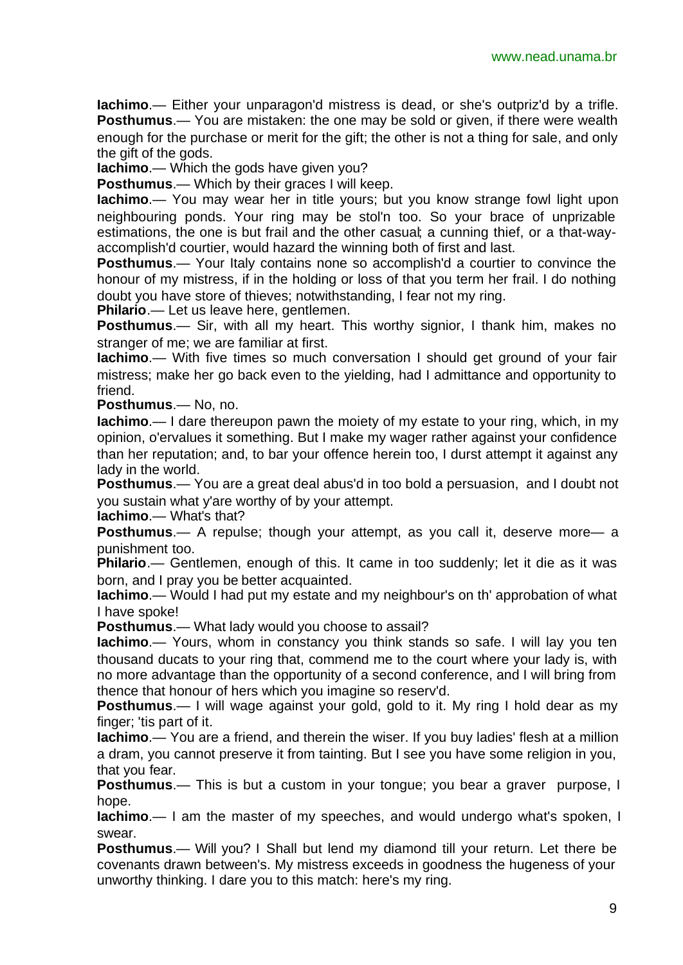**Iachimo**.— Either your unparagon'd mistress is dead, or she's outpriz'd by a trifle. **Posthumus.**— You are mistaken: the one may be sold or given, if there were wealth enough for the purchase or merit for the gift; the other is not a thing for sale, and only the gift of the gods.

**Iachimo**.— Which the gods have given you?

**Posthumus**.— Which by their graces I will keep.

**Iachimo**.— You may wear her in title yours; but you know strange fowl light upon neighbouring ponds. Your ring may be stol'n too. So your brace of unprizable estimations, the one is but frail and the other casual; a cunning thief, or a that-wayaccomplish'd courtier, would hazard the winning both of first and last.

**Posthumus.**— Your Italy contains none so accomplish'd a courtier to convince the honour of my mistress, if in the holding or loss of that you term her frail. I do nothing doubt you have store of thieves; notwithstanding, I fear not my ring.

**Philario**.— Let us leave here, gentlemen.

**Posthumus**.— Sir, with all my heart. This worthy signior, I thank him, makes no stranger of me; we are familiar at first.

**Iachimo**.— With five times so much conversation I should get ground of your fair mistress; make her go back even to the yielding, had I admittance and opportunity to friend.

**Posthumus**.— No, no.

**Iachimo**.— I dare thereupon pawn the moiety of my estate to your ring, which, in my opinion, o'ervalues it something. But I make my wager rather against your confidence than her reputation; and, to bar your offence herein too, I durst attempt it against any lady in the world.

**Posthumus**.— You are a great deal abus'd in too bold a persuasion, and I doubt not you sustain what y'are worthy of by your attempt.

**Iachimo**.— What's that?

**Posthumus**.— A repulse; though your attempt, as you call it, deserve more— a punishment too.

**Philario**.— Gentlemen, enough of this. It came in too suddenly; let it die as it was born, and I pray you be better acquainted.

**Iachimo**.— Would I had put my estate and my neighbour's on th' approbation of what I have spoke!

**Posthumus**.— What lady would you choose to assail?

**Iachimo**.— Yours, whom in constancy you think stands so safe. I will lay you ten thousand ducats to your ring that, commend me to the court where your lady is, with no more advantage than the opportunity of a second conference, and I will bring from thence that honour of hers which you imagine so reserv'd.

**Posthumus**.— I will wage against your gold, gold to it. My ring I hold dear as my finger; 'tis part of it.

**Iachimo**.— You are a friend, and therein the wiser. If you buy ladies' flesh at a million a dram, you cannot preserve it from tainting. But I see you have some religion in you, that you fear.

**Posthumus**.— This is but a custom in your tongue; you bear a graver purpose, I hope.

**Iachimo**.— I am the master of my speeches, and would undergo what's spoken, I swear.

**Posthumus**.— Will you? I Shall but lend my diamond till your return. Let there be covenants drawn between's. My mistress exceeds in goodness the hugeness of your unworthy thinking. I dare you to this match: here's my ring.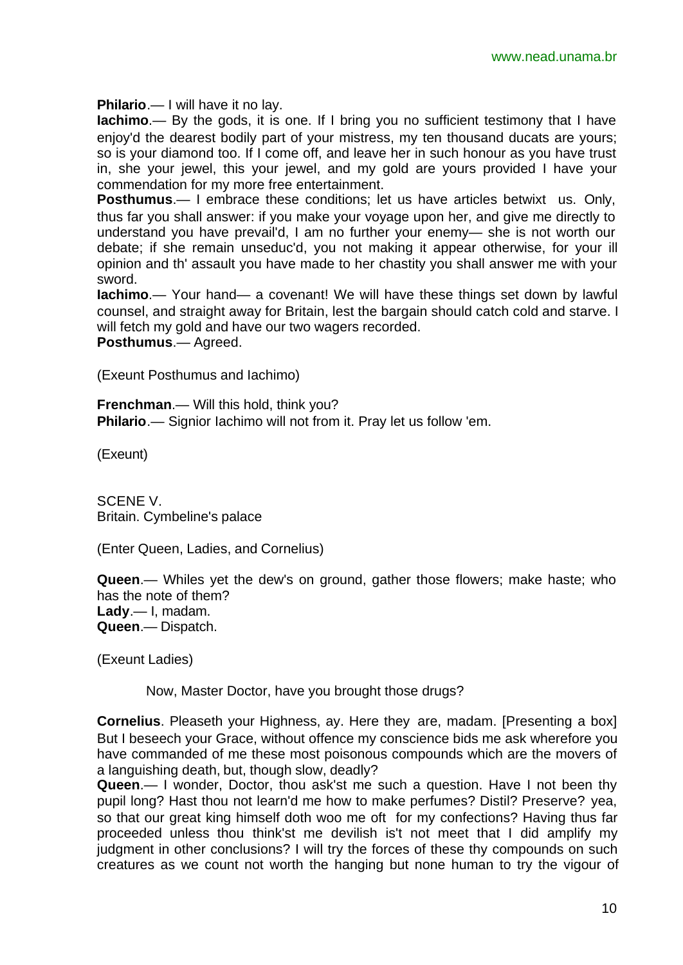**Philario**.— I will have it no lay.

**Iachimo**.— By the gods, it is one. If I bring you no sufficient testimony that I have enjoy'd the dearest bodily part of your mistress, my ten thousand ducats are yours; so is your diamond too. If I come off, and leave her in such honour as you have trust in, she your jewel, this your jewel, and my gold are yours provided I have your commendation for my more free entertainment.

**Posthumus**.— I embrace these conditions; let us have articles betwixt us. Only, thus far you shall answer: if you make your voyage upon her, and give me directly to understand you have prevail'd, I am no further your enemy— she is not worth our debate; if she remain unseduc'd, you not making it appear otherwise, for your ill opinion and th' assault you have made to her chastity you shall answer me with your sword.

**Iachimo**.— Your hand— a covenant! We will have these things set down by lawful counsel, and straight away for Britain, lest the bargain should catch cold and starve. I will fetch my gold and have our two wagers recorded.

**Posthumus**.— Agreed.

(Exeunt Posthumus and Iachimo)

**Frenchman**.— Will this hold, think you? **Philario**.— Signior Iachimo will not from it. Pray let us follow 'em.

(Exeunt)

SCENE V. Britain. Cymbeline's palace

(Enter Queen, Ladies, and Cornelius)

**Queen**.— Whiles yet the dew's on ground, gather those flowers; make haste; who has the note of them? **Lady**.— I, madam. **Queen**.— Dispatch.

(Exeunt Ladies)

Now, Master Doctor, have you brought those drugs?

**Cornelius**. Pleaseth your Highness, ay. Here they are, madam. [Presenting a box] But I beseech your Grace, without offence my conscience bids me ask wherefore you have commanded of me these most poisonous compounds which are the movers of a languishing death, but, though slow, deadly?

**Queen**.— I wonder, Doctor, thou ask'st me such a question. Have I not been thy pupil long? Hast thou not learn'd me how to make perfumes? Distil? Preserve? yea, so that our great king himself doth woo me oft for my confections? Having thus far proceeded unless thou think'st me devilish is't not meet that I did amplify my iudament in other conclusions? I will try the forces of these thy compounds on such creatures as we count not worth the hanging but none human to try the vigour of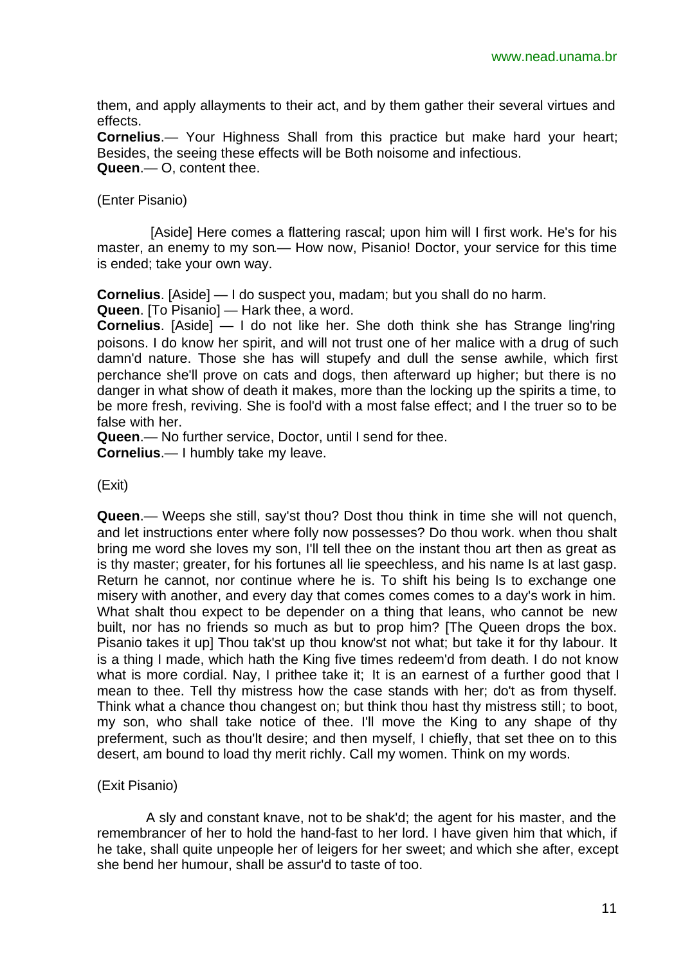them, and apply allayments to their act, and by them gather their several virtues and effects.

**Cornelius**.— Your Highness Shall from this practice but make hard your heart; Besides, the seeing these effects will be Both noisome and infectious. **Queen**.— O, content thee.

## (Enter Pisanio)

 [Aside] Here comes a flattering rascal; upon him will I first work. He's for his master, an enemy to my son.— How now, Pisanio! Doctor, your service for this time is ended; take your own way.

**Cornelius**. [Aside] — I do suspect you, madam; but you shall do no harm.

**Queen**. [To Pisanio] — Hark thee, a word.

**Cornelius**. [Aside] — I do not like her. She doth think she has Strange ling'ring poisons. I do know her spirit, and will not trust one of her malice with a drug of such damn'd nature. Those she has will stupefy and dull the sense awhile, which first perchance she'll prove on cats and dogs, then afterward up higher; but there is no danger in what show of death it makes, more than the locking up the spirits a time, to be more fresh, reviving. She is fool'd with a most false effect; and I the truer so to be false with her.

**Queen**.— No further service, Doctor, until I send for thee.

**Cornelius**.— I humbly take my leave.

(Exit)

**Queen**.— Weeps she still, say'st thou? Dost thou think in time she will not quench, and let instructions enter where folly now possesses? Do thou work. when thou shalt bring me word she loves my son, I'll tell thee on the instant thou art then as great as is thy master; greater, for his fortunes all lie speechless, and his name Is at last gasp. Return he cannot, nor continue where he is. To shift his being Is to exchange one misery with another, and every day that comes comes comes to a day's work in him. What shalt thou expect to be depender on a thing that leans, who cannot be new built, nor has no friends so much as but to prop him? [The Queen drops the box. Pisanio takes it up] Thou tak'st up thou know'st not what; but take it for thy labour. It is a thing I made, which hath the King five times redeem'd from death. I do not know what is more cordial. Nay, I prithee take it; It is an earnest of a further good that I mean to thee. Tell thy mistress how the case stands with her; do't as from thyself. Think what a chance thou changest on; but think thou hast thy mistress still; to boot, my son, who shall take notice of thee. I'll move the King to any shape of thy preferment, such as thou'lt desire; and then myself, I chiefly, that set thee on to this desert, am bound to load thy merit richly. Call my women. Think on my words.

# (Exit Pisanio)

A sly and constant knave, not to be shak'd; the agent for his master, and the remembrancer of her to hold the hand-fast to her lord. I have given him that which, if he take, shall quite unpeople her of leigers for her sweet; and which she after, except she bend her humour, shall be assur'd to taste of too.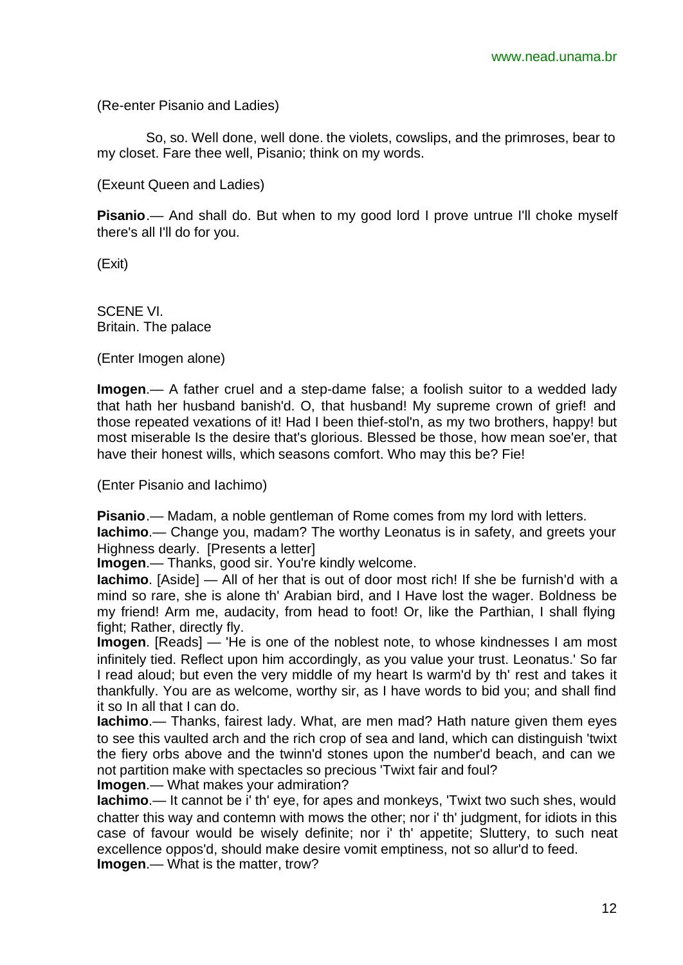(Re-enter Pisanio and Ladies)

So, so. Well done, well done. the violets, cowslips, and the primroses, bear to my closet. Fare thee well, Pisanio; think on my words.

(Exeunt Queen and Ladies)

**Pisanio**.— And shall do. But when to my good lord I prove untrue I'll choke myself there's all I'll do for you.

(Exit)

SCENE VI. Britain. The palace

(Enter Imogen alone)

**Imogen**.— A father cruel and a step-dame false; a foolish suitor to a wedded lady that hath her husband banish'd. O, that husband! My supreme crown of grief! and those repeated vexations of it! Had I been thief-stol'n, as my two brothers, happy! but most miserable Is the desire that's glorious. Blessed be those, how mean soe'er, that have their honest wills, which seasons comfort. Who may this be? Fie!

(Enter Pisanio and Iachimo)

**Pisanio**.— Madam, a noble gentleman of Rome comes from my lord with letters.

**Iachimo**.— Change you, madam? The worthy Leonatus is in safety, and greets your Highness dearly. [Presents a letter]

**Imogen**.— Thanks, good sir. You're kindly welcome.

**Iachimo**. [Aside] — All of her that is out of door most rich! If she be furnish'd with a mind so rare, she is alone th' Arabian bird, and I Have lost the wager. Boldness be my friend! Arm me, audacity, from head to foot! Or, like the Parthian, I shall flying fight; Rather, directly fly.

**Imogen**. [Reads] — 'He is one of the noblest note, to whose kindnesses I am most infinitely tied. Reflect upon him accordingly, as you value your trust. Leonatus.' So far I read aloud; but even the very middle of my heart Is warm'd by th' rest and takes it thankfully. You are as welcome, worthy sir, as I have words to bid you; and shall find it so In all that I can do.

**Iachimo**.— Thanks, fairest lady. What, are men mad? Hath nature given them eyes to see this vaulted arch and the rich crop of sea and land, which can distinguish 'twixt the fiery orbs above and the twinn'd stones upon the number'd beach, and can we not partition make with spectacles so precious 'Twixt fair and foul?

**Imogen**.— What makes your admiration?

**Iachimo**.— It cannot be i' th' eye, for apes and monkeys, 'Twixt two such shes, would chatter this way and contemn with mows the other; nor i' th' judgment, for idiots in this case of favour would be wisely definite; nor i' th' appetite; Sluttery, to such neat excellence oppos'd, should make desire vomit emptiness, not so allur'd to feed. **Imogen**.— What is the matter, trow?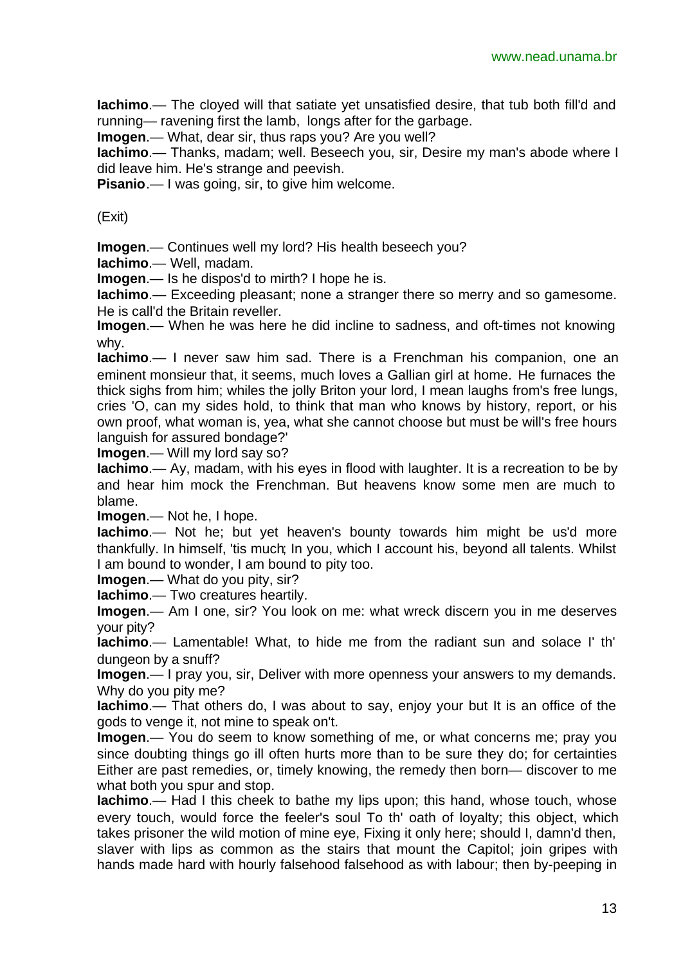**Iachimo**.— The cloyed will that satiate yet unsatisfied desire, that tub both fill'd and running— ravening first the lamb, longs after for the garbage.

**Imogen**.— What, dear sir, thus raps you? Are you well?

**Iachimo**.— Thanks, madam; well. Beseech you, sir, Desire my man's abode where I did leave him. He's strange and peevish.

**Pisanio.**— I was going, sir, to give him welcome.

(Exit)

**Imogen**.— Continues well my lord? His health beseech you?

**Iachimo**.— Well, madam.

**Imogen**.— Is he dispos'd to mirth? I hope he is.

**Iachimo**.— Exceeding pleasant; none a stranger there so merry and so gamesome. He is call'd the Britain reveller.

**Imogen**.— When he was here he did incline to sadness, and oft-times not knowing why.

**Iachimo**.— I never saw him sad. There is a Frenchman his companion, one an eminent monsieur that, it seems, much loves a Gallian girl at home. He furnaces the thick sighs from him; whiles the jolly Briton your lord, I mean laughs from's free lungs, cries 'O, can my sides hold, to think that man who knows by history, report, or his own proof, what woman is, yea, what she cannot choose but must be will's free hours languish for assured bondage?'

**Imogen**.— Will my lord say so?

**Iachimo**.— Ay, madam, with his eyes in flood with laughter. It is a recreation to be by and hear him mock the Frenchman. But heavens know some men are much to blame.

**Imogen**.— Not he, I hope.

**Iachimo**.— Not he; but yet heaven's bounty towards him might be us'd more thankfully. In himself, 'tis much; In you, which I account his, beyond all talents. Whilst I am bound to wonder, I am bound to pity too.

**Imogen**.— What do you pity, sir?

**Iachimo**.— Two creatures heartily.

**Imogen**.— Am I one, sir? You look on me: what wreck discern you in me deserves your pity?

**Iachimo**.— Lamentable! What, to hide me from the radiant sun and solace I' th' dungeon by a snuff?

**Imogen**.— I pray you, sir, Deliver with more openness your answers to my demands. Why do you pity me?

**Iachimo**.— That others do, I was about to say, enjoy your but It is an office of the gods to venge it, not mine to speak on't.

**Imogen**.— You do seem to know something of me, or what concerns me; pray you since doubting things go ill often hurts more than to be sure they do; for certainties Either are past remedies, or, timely knowing, the remedy then born— discover to me what both you spur and stop.

**Iachimo**.— Had I this cheek to bathe my lips upon; this hand, whose touch, whose every touch, would force the feeler's soul To th' oath of loyalty; this object, which takes prisoner the wild motion of mine eye, Fixing it only here; should I, damn'd then, slaver with lips as common as the stairs that mount the Capitol; join gripes with hands made hard with hourly falsehood falsehood as with labour; then by-peeping in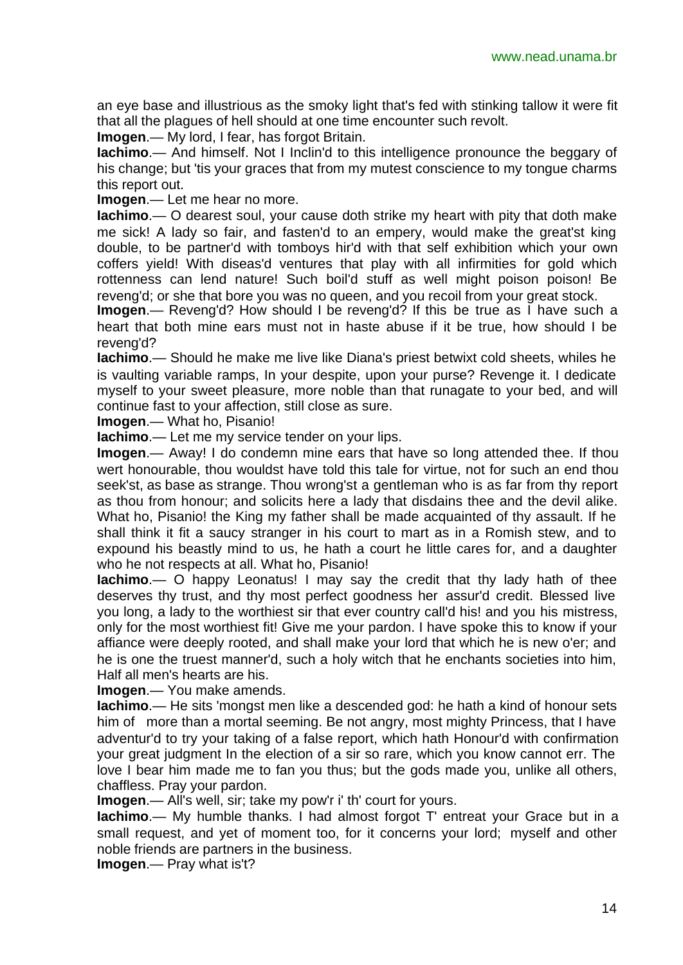an eye base and illustrious as the smoky light that's fed with stinking tallow it were fit that all the plagues of hell should at one time encounter such revolt.

**Imogen**.— My lord, I fear, has forgot Britain.

**Iachimo**.— And himself. Not I Inclin'd to this intelligence pronounce the beggary of his change; but 'tis your graces that from my mutest conscience to my tongue charms this report out.

**Imogen**.— Let me hear no more.

**Iachimo**.— O dearest soul, your cause doth strike my heart with pity that doth make me sick! A lady so fair, and fasten'd to an empery, would make the great'st king double, to be partner'd with tomboys hir'd with that self exhibition which your own coffers yield! With diseas'd ventures that play with all infirmities for gold which rottenness can lend nature! Such boil'd stuff as well might poison poison! Be reveng'd; or she that bore you was no queen, and you recoil from your great stock.

**Imogen**.— Reveng'd? How should I be reveng'd? If this be true as I have such a heart that both mine ears must not in haste abuse if it be true, how should I be reveng'd?

**Iachimo**.— Should he make me live like Diana's priest betwixt cold sheets, whiles he is vaulting variable ramps, In your despite, upon your purse? Revenge it. I dedicate myself to your sweet pleasure, more noble than that runagate to your bed, and will continue fast to your affection, still close as sure.

**Imogen**.— What ho, Pisanio!

**Iachimo**.— Let me my service tender on your lips.

**Imogen**.— Away! I do condemn mine ears that have so long attended thee. If thou wert honourable, thou wouldst have told this tale for virtue, not for such an end thou seek'st, as base as strange. Thou wrong'st a gentleman who is as far from thy report as thou from honour; and solicits here a lady that disdains thee and the devil alike. What ho, Pisanio! the King my father shall be made acquainted of thy assault. If he shall think it fit a saucy stranger in his court to mart as in a Romish stew, and to expound his beastly mind to us, he hath a court he little cares for, and a daughter who he not respects at all. What ho, Pisanio!

**Iachimo**.— O happy Leonatus! I may say the credit that thy lady hath of thee deserves thy trust, and thy most perfect goodness her assur'd credit. Blessed live you long, a lady to the worthiest sir that ever country call'd his! and you his mistress, only for the most worthiest fit! Give me your pardon. I have spoke this to know if your affiance were deeply rooted, and shall make your lord that which he is new o'er; and he is one the truest manner'd, such a holy witch that he enchants societies into him, Half all men's hearts are his.

**Imogen**.— You make amends.

**Iachimo**.— He sits 'mongst men like a descended god: he hath a kind of honour sets him of more than a mortal seeming. Be not angry, most mighty Princess, that I have adventur'd to try your taking of a false report, which hath Honour'd with confirmation your great judgment In the election of a sir so rare, which you know cannot err. The love I bear him made me to fan you thus; but the gods made you, unlike all others, chaffless. Pray your pardon.

**Imogen**.— All's well, sir; take my pow'r i' th' court for yours.

**Iachimo**.— My humble thanks. I had almost forgot T' entreat your Grace but in a small request, and yet of moment too, for it concerns your lord; myself and other noble friends are partners in the business.

**Imogen**.— Pray what is't?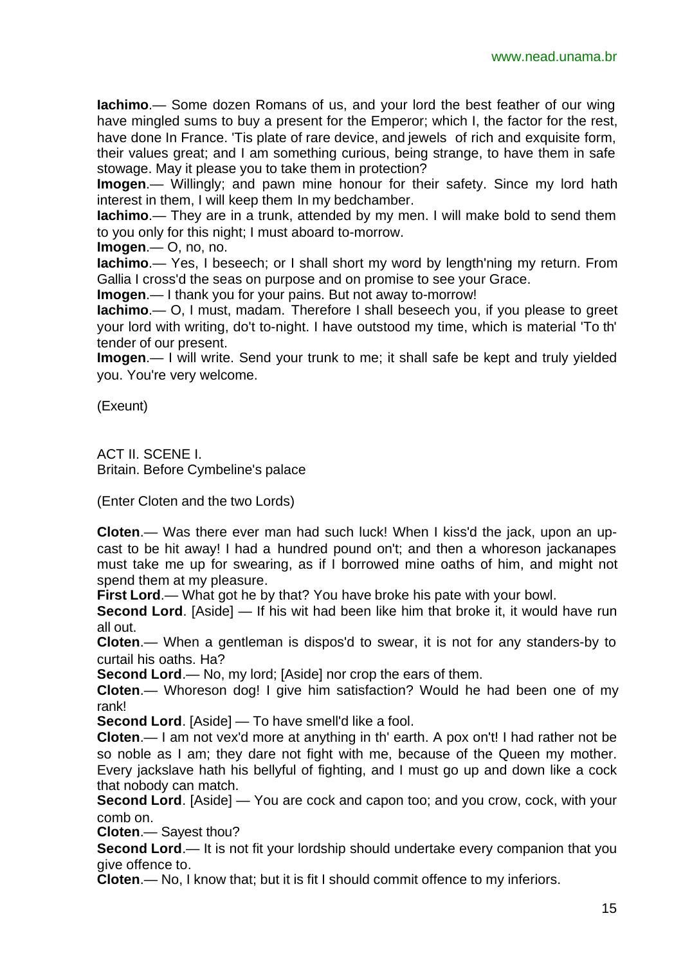**Iachimo**.— Some dozen Romans of us, and your lord the best feather of our wing have mingled sums to buy a present for the Emperor; which I, the factor for the rest, have done In France. 'Tis plate of rare device, and jewels of rich and exquisite form, their values great; and I am something curious, being strange, to have them in safe stowage. May it please you to take them in protection?

**Imogen**.— Willingly; and pawn mine honour for their safety. Since my lord hath interest in them, I will keep them In my bedchamber.

**Iachimo**.— They are in a trunk, attended by my men. I will make bold to send them to you only for this night; I must aboard to-morrow.

**Imogen**.— O, no, no.

**Iachimo**.— Yes, I beseech; or I shall short my word by length'ning my return. From Gallia I cross'd the seas on purpose and on promise to see your Grace.

**Imogen**.— I thank you for your pains. But not away to-morrow!

**Iachimo**.— O, I must, madam. Therefore I shall beseech you, if you please to greet your lord with writing, do't to-night. I have outstood my time, which is material 'To th' tender of our present.

**Imogen**.— I will write. Send your trunk to me; it shall safe be kept and truly yielded you. You're very welcome.

(Exeunt)

ACT II. SCENE I. Britain. Before Cymbeline's palace

(Enter Cloten and the two Lords)

**Cloten**.— Was there ever man had such luck! When I kiss'd the jack, upon an upcast to be hit away! I had a hundred pound on't; and then a whoreson jackanapes must take me up for swearing, as if I borrowed mine oaths of him, and might not spend them at my pleasure.

**First Lord**.— What got he by that? You have broke his pate with your bowl.

**Second Lord**. [Aside] — If his wit had been like him that broke it, it would have run all out.

**Cloten**.— When a gentleman is dispos'd to swear, it is not for any standers-by to curtail his oaths. Ha?

**Second Lord.**— No, my lord; [Aside] nor crop the ears of them.

**Cloten**.— Whoreson dog! I give him satisfaction? Would he had been one of my rank!

**Second Lord**. [Aside] — To have smell'd like a fool.

**Cloten**.— I am not vex'd more at anything in th' earth. A pox on't! I had rather not be so noble as I am; they dare not fight with me, because of the Queen my mother. Every jackslave hath his bellyful of fighting, and I must go up and down like a cock that nobody can match.

**Second Lord**. [Aside] — You are cock and capon too; and you crow, cock, with your comb on.

**Cloten**.— Sayest thou?

**Second Lord**.— It is not fit your lordship should undertake every companion that you give offence to.

**Cloten**.— No, I know that; but it is fit I should commit offence to my inferiors.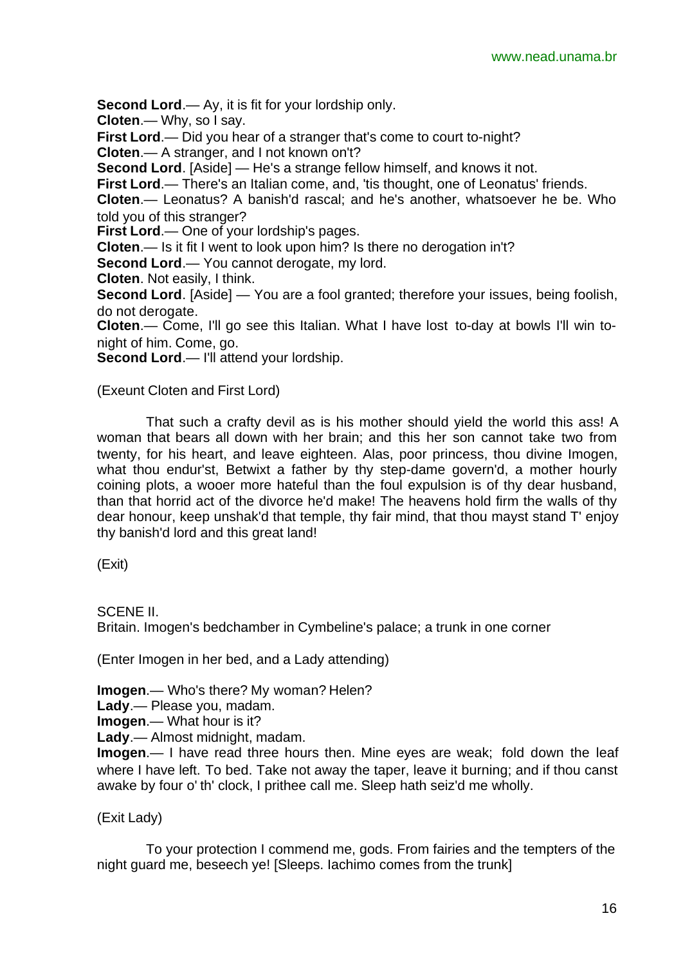**Second Lord**.— Ay, it is fit for your lordship only.

**Cloten**.— Why, so I say.

**First Lord**.— Did you hear of a stranger that's come to court to-night? **Cloten**.— A stranger, and I not known on't?

**Second Lord**. [Aside] — He's a strange fellow himself, and knows it not.

**First Lord**.— There's an Italian come, and, 'tis thought, one of Leonatus' friends.

**Cloten**.— Leonatus? A banish'd rascal; and he's another, whatsoever he be. Who told you of this stranger?

**First Lord**.— One of your lordship's pages.

**Cloten**.— Is it fit I went to look upon him? Is there no derogation in't?

**Second Lord.**— You cannot derogate, my lord.

**Cloten**. Not easily, I think.

**Second Lord**. [Aside] — You are a fool granted; therefore your issues, being foolish, do not derogate.

**Cloten**.— Come, I'll go see this Italian. What I have lost to-day at bowls I'll win tonight of him. Come, go.

**Second Lord**.— I'll attend your lordship.

(Exeunt Cloten and First Lord)

That such a crafty devil as is his mother should yield the world this ass! A woman that bears all down with her brain; and this her son cannot take two from twenty, for his heart, and leave eighteen. Alas, poor princess, thou divine Imogen, what thou endur'st, Betwixt a father by thy step-dame govern'd, a mother hourly coining plots, a wooer more hateful than the foul expulsion is of thy dear husband, than that horrid act of the divorce he'd make! The heavens hold firm the walls of thy dear honour, keep unshak'd that temple, thy fair mind, that thou mayst stand T' enjoy thy banish'd lord and this great land!

(Exit)

SCENE II.

Britain. Imogen's bedchamber in Cymbeline's palace; a trunk in one corner

(Enter Imogen in her bed, and a Lady attending)

**Imogen**.— Who's there? My woman? Helen?

**Lady**.— Please you, madam.

**Imogen**.— What hour is it?

**Lady**.— Almost midnight, madam.

**Imogen**.— I have read three hours then. Mine eyes are weak; fold down the leaf where I have left. To bed. Take not away the taper, leave it burning; and if thou canst awake by four o' th' clock, I prithee call me. Sleep hath seiz'd me wholly.

(Exit Lady)

To your protection I commend me, gods. From fairies and the tempters of the night guard me, beseech ye! [Sleeps. Iachimo comes from the trunk]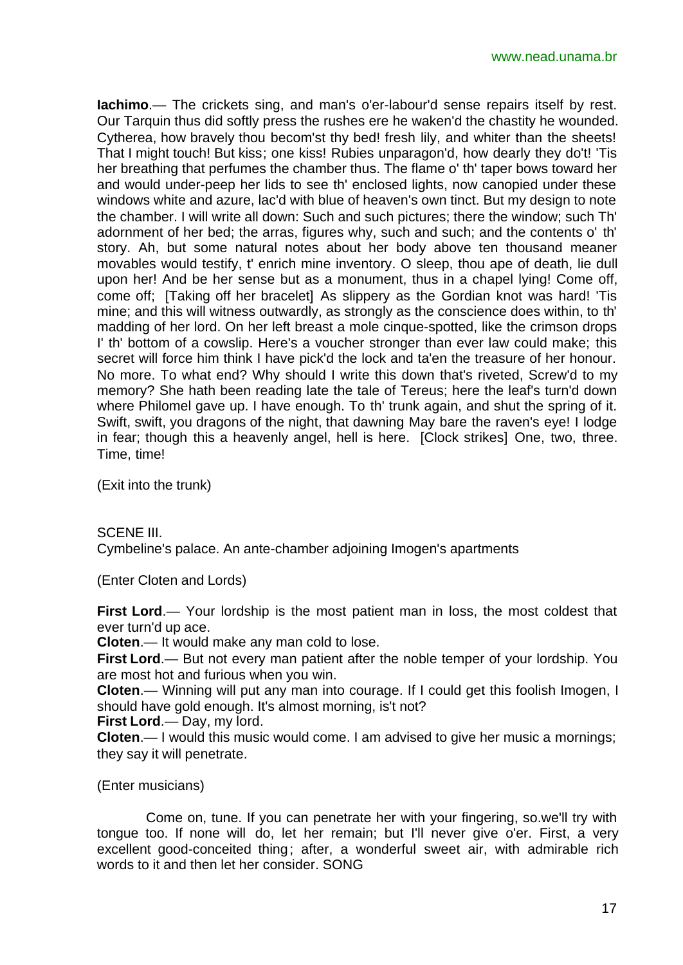**Iachimo**.— The crickets sing, and man's o'er-labour'd sense repairs itself by rest. Our Tarquin thus did softly press the rushes ere he waken'd the chastity he wounded. Cytherea, how bravely thou becom'st thy bed! fresh lily, and whiter than the sheets! That I might touch! But kiss; one kiss! Rubies unparagon'd, how dearly they do't! 'Tis her breathing that perfumes the chamber thus. The flame o' th' taper bows toward her and would under-peep her lids to see th' enclosed lights, now canopied under these windows white and azure, lac'd with blue of heaven's own tinct. But my design to note the chamber. I will write all down: Such and such pictures; there the window; such Th' adornment of her bed; the arras, figures why, such and such; and the contents o' th' story. Ah, but some natural notes about her body above ten thousand meaner movables would testify, t' enrich mine inventory. O sleep, thou ape of death, lie dull upon her! And be her sense but as a monument, thus in a chapel lying! Come off, come off; [Taking off her bracelet] As slippery as the Gordian knot was hard! 'Tis mine; and this will witness outwardly, as strongly as the conscience does within, to th' madding of her lord. On her left breast a mole cinque-spotted, like the crimson drops I' th' bottom of a cowslip. Here's a voucher stronger than ever law could make; this secret will force him think I have pick'd the lock and ta'en the treasure of her honour. No more. To what end? Why should I write this down that's riveted, Screw'd to my memory? She hath been reading late the tale of Tereus; here the leaf's turn'd down where Philomel gave up. I have enough. To th' trunk again, and shut the spring of it. Swift, swift, you dragons of the night, that dawning May bare the raven's eye! I lodge in fear; though this a heavenly angel, hell is here. [Clock strikes] One, two, three. Time, time!

(Exit into the trunk)

SCENE III.

Cymbeline's palace. An ante-chamber adjoining Imogen's apartments

(Enter Cloten and Lords)

**First Lord**.— Your lordship is the most patient man in loss, the most coldest that ever turn'd up ace.

**Cloten**.— It would make any man cold to lose.

**First Lord**.— But not every man patient after the noble temper of your lordship. You are most hot and furious when you win.

**Cloten**.— Winning will put any man into courage. If I could get this foolish Imogen, I should have gold enough. It's almost morning, is't not?

**First Lord**.— Day, my lord.

**Cloten**.— I would this music would come. I am advised to give her music a mornings; they say it will penetrate.

(Enter musicians)

Come on, tune. If you can penetrate her with your fingering, so.we'll try with tongue too. If none will do, let her remain; but I'll never give o'er. First, a very excellent good-conceited thing; after, a wonderful sweet air, with admirable rich words to it and then let her consider. SONG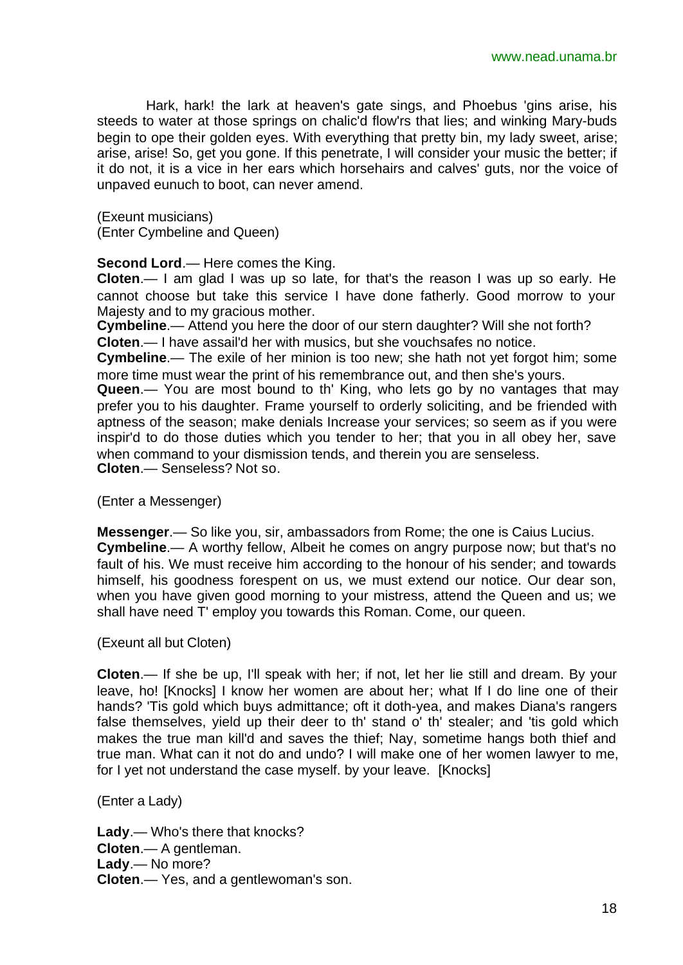Hark, hark! the lark at heaven's gate sings, and Phoebus 'gins arise, his steeds to water at those springs on chalic'd flow'rs that lies; and winking Mary-buds begin to ope their golden eyes. With everything that pretty bin, my lady sweet, arise; arise, arise! So, get you gone. If this penetrate, I will consider your music the better; if it do not, it is a vice in her ears which horsehairs and calves' guts, nor the voice of unpaved eunuch to boot, can never amend.

(Exeunt musicians) (Enter Cymbeline and Queen)

**Second Lord**.— Here comes the King.

**Cloten**.— I am glad I was up so late, for that's the reason I was up so early. He cannot choose but take this service I have done fatherly. Good morrow to your Majesty and to my gracious mother.

**Cymbeline**.— Attend you here the door of our stern daughter? Will she not forth? **Cloten**.— I have assail'd her with musics, but she vouchsafes no notice.

**Cymbeline**.— The exile of her minion is too new; she hath not yet forgot him; some more time must wear the print of his remembrance out, and then she's yours.

**Queen**.— You are most bound to th' King, who lets go by no vantages that may prefer you to his daughter. Frame yourself to orderly soliciting, and be friended with aptness of the season; make denials Increase your services; so seem as if you were inspir'd to do those duties which you tender to her; that you in all obey her, save when command to your dismission tends, and therein you are senseless. **Cloten**.— Senseless? Not so.

(Enter a Messenger)

**Messenger**.— So like you, sir, ambassadors from Rome; the one is Caius Lucius. **Cymbeline**.— A worthy fellow, Albeit he comes on angry purpose now; but that's no fault of his. We must receive him according to the honour of his sender; and towards himself, his goodness forespent on us, we must extend our notice. Our dear son, when you have given good morning to your mistress, attend the Queen and us; we shall have need T' employ you towards this Roman. Come, our queen.

(Exeunt all but Cloten)

**Cloten**.— If she be up, I'll speak with her; if not, let her lie still and dream. By your leave, ho! [Knocks] I know her women are about her; what If I do line one of their hands? 'Tis gold which buys admittance; oft it doth-yea, and makes Diana's rangers false themselves, yield up their deer to th' stand o' th' stealer; and 'tis gold which makes the true man kill'd and saves the thief; Nay, sometime hangs both thief and true man. What can it not do and undo? I will make one of her women lawyer to me, for I yet not understand the case myself. by your leave. [Knocks]

(Enter a Lady)

**Lady**.— Who's there that knocks? **Cloten**.— A gentleman. **Lady**.— No more? **Cloten**.— Yes, and a gentlewoman's son.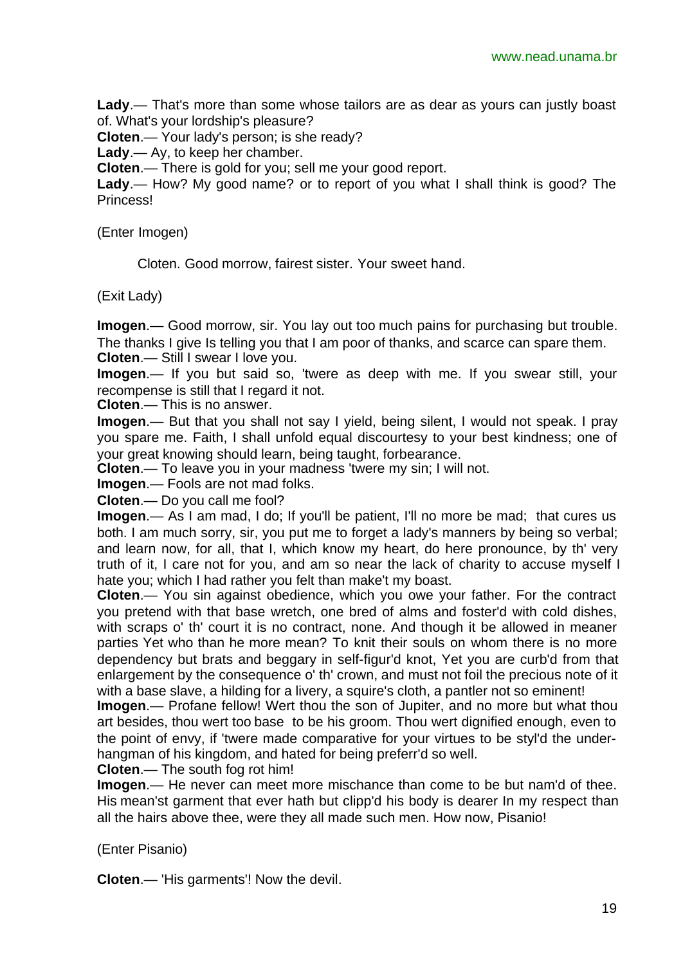**Lady**.— That's more than some whose tailors are as dear as yours can justly boast of. What's your lordship's pleasure?

**Cloten**.— Your lady's person; is she ready?

**Lady**.— Ay, to keep her chamber.

**Cloten**.— There is gold for you; sell me your good report.

**Lady**.— How? My good name? or to report of you what I shall think is good? The **Princess!** 

(Enter Imogen)

Cloten. Good morrow, fairest sister. Your sweet hand.

(Exit Lady)

**Imogen**.— Good morrow, sir. You lay out too much pains for purchasing but trouble. The thanks I give Is telling you that I am poor of thanks, and scarce can spare them. **Cloten**.— Still I swear I love you.

**Imogen**.— If you but said so, 'twere as deep with me. If you swear still, your recompense is still that I regard it not.

**Cloten**.— This is no answer.

**Imogen**.— But that you shall not say I yield, being silent, I would not speak. I pray you spare me. Faith, I shall unfold equal discourtesy to your best kindness; one of your great knowing should learn, being taught, forbearance.

**Cloten**.— To leave you in your madness 'twere my sin; I will not.

**Imogen**.— Fools are not mad folks.

**Cloten**.— Do you call me fool?

**Imogen.**— As I am mad, I do; If you'll be patient, I'll no more be mad; that cures us both. I am much sorry, sir, you put me to forget a lady's manners by being so verbal; and learn now, for all, that I, which know my heart, do here pronounce, by th' very truth of it, I care not for you, and am so near the lack of charity to accuse myself I hate you; which I had rather you felt than make't my boast.

**Cloten**.— You sin against obedience, which you owe your father. For the contract you pretend with that base wretch, one bred of alms and foster'd with cold dishes, with scraps o' th' court it is no contract, none. And though it be allowed in meaner parties Yet who than he more mean? To knit their souls on whom there is no more dependency but brats and beggary in self-figur'd knot, Yet you are curb'd from that enlargement by the consequence o' th' crown, and must not foil the precious note of it with a base slave, a hilding for a livery, a squire's cloth, a pantler not so eminent!

**Imogen**.— Profane fellow! Wert thou the son of Jupiter, and no more but what thou art besides, thou wert too base to be his groom. Thou wert dignified enough, even to the point of envy, if 'twere made comparative for your virtues to be styl'd the underhangman of his kingdom, and hated for being preferr'd so well.

**Cloten**.— The south fog rot him!

**Imogen**.— He never can meet more mischance than come to be but nam'd of thee. His mean'st garment that ever hath but clipp'd his body is dearer In my respect than all the hairs above thee, were they all made such men. How now, Pisanio!

(Enter Pisanio)

**Cloten**.— 'His garments'! Now the devil.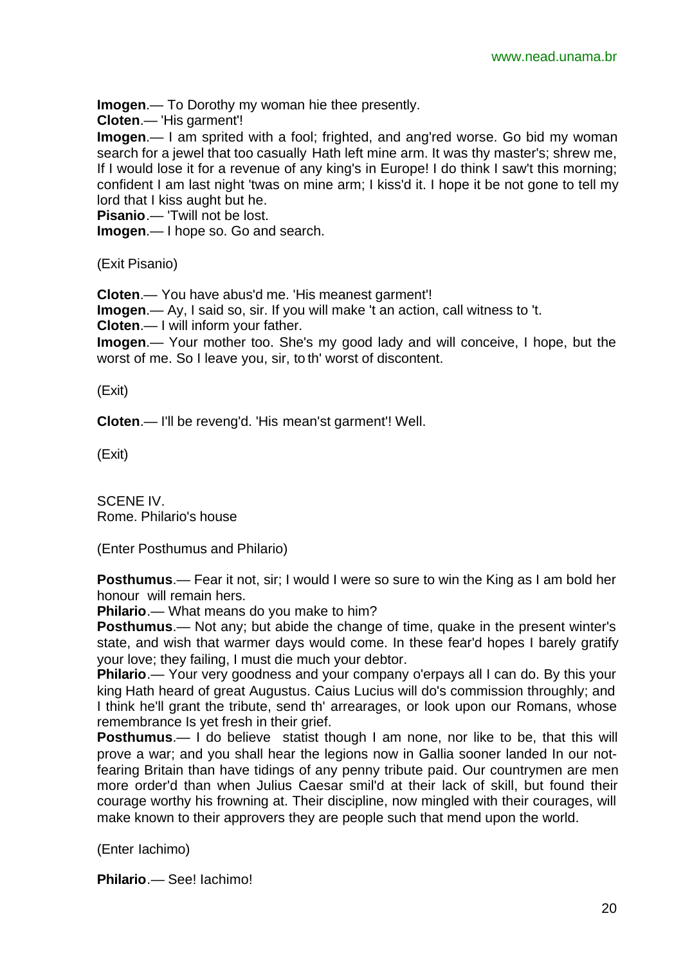**Imogen**.— To Dorothy my woman hie thee presently.

**Cloten**.— 'His garment'!

**Imogen**.— I am sprited with a fool; frighted, and ang'red worse. Go bid my woman search for a jewel that too casually Hath left mine arm. It was thy master's; shrew me, If I would lose it for a revenue of any king's in Europe! I do think I saw't this morning; confident I am last night 'twas on mine arm; I kiss'd it. I hope it be not gone to tell my lord that I kiss aught but he.

**Pisanio**.— 'Twill not be lost.

**Imogen**.— I hope so. Go and search.

(Exit Pisanio)

**Cloten**.— You have abus'd me. 'His meanest garment'!

**Imogen**.— Ay, I said so, sir. If you will make 't an action, call witness to 't.

**Cloten**.— I will inform your father.

**Imogen**.— Your mother too. She's my good lady and will conceive, I hope, but the worst of me. So I leave you, sir, to th' worst of discontent.

(Exit)

**Cloten**.— I'll be reveng'd. 'His mean'st garment'! Well.

(Exit)

SCENE IV. Rome. Philario's house

(Enter Posthumus and Philario)

**Posthumus**.— Fear it not, sir; I would I were so sure to win the King as I am bold her honour will remain hers.

**Philario**.— What means do you make to him?

**Posthumus**.— Not any; but abide the change of time, quake in the present winter's state, and wish that warmer days would come. In these fear'd hopes I barely gratify your love; they failing, I must die much your debtor.

**Philario.**— Your very goodness and your company o'erpays all I can do. By this your king Hath heard of great Augustus. Caius Lucius will do's commission throughly; and I think he'll grant the tribute, send th' arrearages, or look upon our Romans, whose remembrance Is yet fresh in their grief.

**Posthumus.**— I do believe statist though I am none, nor like to be, that this will prove a war; and you shall hear the legions now in Gallia sooner landed In our notfearing Britain than have tidings of any penny tribute paid. Our countrymen are men more order'd than when Julius Caesar smil'd at their lack of skill, but found their courage worthy his frowning at. Their discipline, now mingled with their courages, will make known to their approvers they are people such that mend upon the world.

(Enter Iachimo)

**Philario**.— See! Iachimo!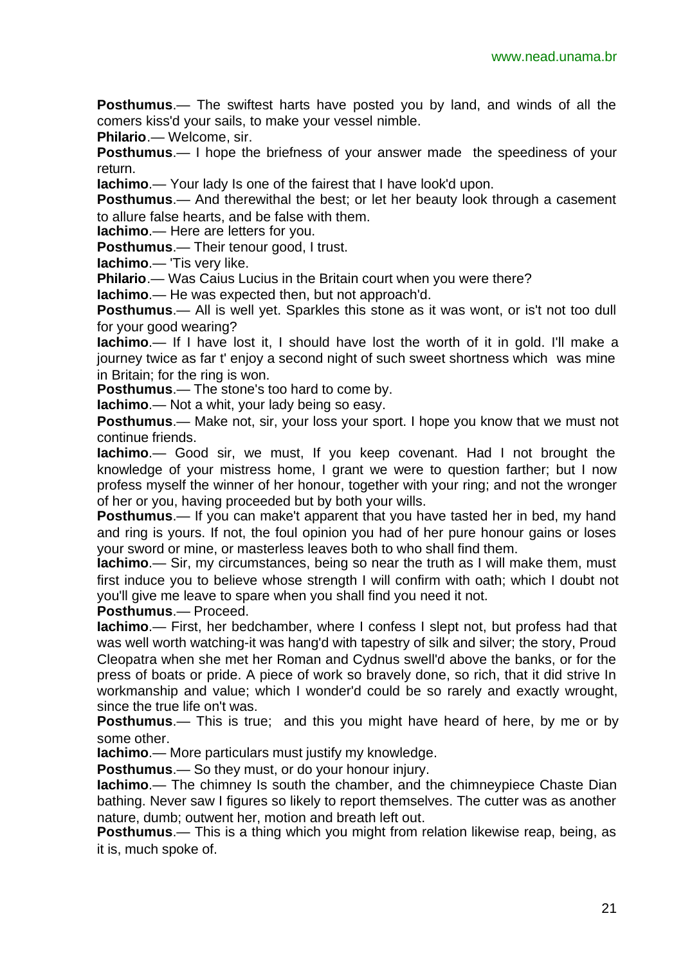**Posthumus**.— The swiftest harts have posted you by land, and winds of all the comers kiss'd your sails, to make your vessel nimble.

**Philario**.— Welcome, sir.

**Posthumus**.— I hope the briefness of your answer made the speediness of your return.

**Iachimo**.— Your lady Is one of the fairest that I have look'd upon.

**Posthumus**.— And therewithal the best; or let her beauty look through a casement to allure false hearts, and be false with them.

**Iachimo**.— Here are letters for you.

**Posthumus**.— Their tenour good, I trust.

**Iachimo**.— 'Tis very like.

**Philario**.— Was Caius Lucius in the Britain court when you were there?

**Iachimo**.— He was expected then, but not approach'd.

**Posthumus**.— All is well yet. Sparkles this stone as it was wont, or is't not too dull for your good wearing?

**Iachimo**.— If I have lost it, I should have lost the worth of it in gold. I'll make a journey twice as far t' enjoy a second night of such sweet shortness which was mine in Britain; for the ring is won.

**Posthumus**.— The stone's too hard to come by.

**Iachimo**.— Not a whit, your lady being so easy.

**Posthumus**.— Make not, sir, your loss your sport. I hope you know that we must not continue friends.

**Iachimo**.— Good sir, we must, If you keep covenant. Had I not brought the knowledge of your mistress home, I grant we were to question farther; but I now profess myself the winner of her honour, together with your ring; and not the wronger of her or you, having proceeded but by both your wills.

**Posthumus**.— If you can make't apparent that you have tasted her in bed, my hand and ring is yours. If not, the foul opinion you had of her pure honour gains or loses your sword or mine, or masterless leaves both to who shall find them.

**Iachimo**.— Sir, my circumstances, being so near the truth as I will make them, must first induce you to believe whose strength I will confirm with oath; which I doubt not you'll give me leave to spare when you shall find you need it not.

**Posthumus**.— Proceed.

**Iachimo**.— First, her bedchamber, where I confess I slept not, but profess had that was well worth watching-it was hang'd with tapestry of silk and silver; the story, Proud Cleopatra when she met her Roman and Cydnus swell'd above the banks, or for the press of boats or pride. A piece of work so bravely done, so rich, that it did strive In workmanship and value; which I wonder'd could be so rarely and exactly wrought, since the true life on't was.

**Posthumus**.— This is true; and this you might have heard of here, by me or by some other.

**Iachimo**.— More particulars must justify my knowledge.

**Posthumus**.— So they must, or do your honour injury.

**Iachimo**.— The chimney Is south the chamber, and the chimneypiece Chaste Dian bathing. Never saw I figures so likely to report themselves. The cutter was as another nature, dumb; outwent her, motion and breath left out.

**Posthumus**.— This is a thing which you might from relation likewise reap, being, as it is, much spoke of.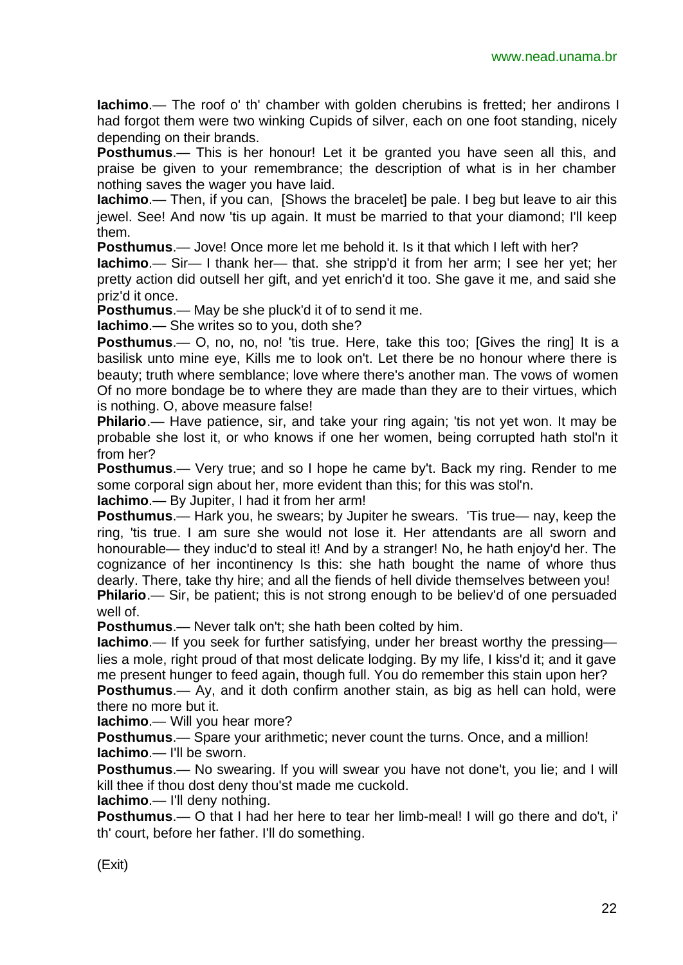**Iachimo**.— The roof o' th' chamber with golden cherubins is fretted; her andirons I had forgot them were two winking Cupids of silver, each on one foot standing, nicely depending on their brands.

**Posthumus.**— This is her honour! Let it be granted you have seen all this, and praise be given to your remembrance; the description of what is in her chamber nothing saves the wager you have laid.

**Iachimo**.— Then, if you can, [Shows the bracelet] be pale. I beg but leave to air this jewel. See! And now 'tis up again. It must be married to that your diamond; I'll keep them.

**Posthumus**.— Jove! Once more let me behold it. Is it that which I left with her?

**Iachimo**.— Sir— I thank her— that. she stripp'd it from her arm; I see her yet; her pretty action did outsell her gift, and yet enrich'd it too. She gave it me, and said she priz'd it once.

**Posthumus**.— May be she pluck'd it of to send it me.

**Iachimo**.— She writes so to you, doth she?

**Posthumus.**— O, no, no, no! 'tis true. Here, take this too; [Gives the ring] It is a basilisk unto mine eye, Kills me to look on't. Let there be no honour where there is beauty; truth where semblance; love where there's another man. The vows of women Of no more bondage be to where they are made than they are to their virtues, which is nothing. O, above measure false!

**Philario.**— Have patience, sir, and take your ring again; 'tis not yet won. It may be probable she lost it, or who knows if one her women, being corrupted hath stol'n it from her?

**Posthumus**.— Very true; and so I hope he came by't. Back my ring. Render to me some corporal sign about her, more evident than this; for this was stol'n.

**Iachimo**.— By Jupiter, I had it from her arm!

**Posthumus**.— Hark you, he swears; by Jupiter he swears. 'Tis true— nay, keep the ring, 'tis true. I am sure she would not lose it. Her attendants are all sworn and honourable— they induc'd to steal it! And by a stranger! No, he hath enjoy'd her. The cognizance of her incontinency Is this: she hath bought the name of whore thus dearly. There, take thy hire; and all the fiends of hell divide themselves between you! **Philario.**— Sir, be patient; this is not strong enough to be believ'd of one persuaded well of.

**Posthumus**.— Never talk on't; she hath been colted by him.

**Iachimo**.— If you seek for further satisfying, under her breast worthy the pressing lies a mole, right proud of that most delicate lodging. By my life, I kiss'd it; and it gave me present hunger to feed again, though full. You do remember this stain upon her? **Posthumus**.— Ay, and it doth confirm another stain, as big as hell can hold, were there no more but it.

**Iachimo**.— Will you hear more?

**Posthumus**.— Spare your arithmetic; never count the turns. Once, and a million! **Iachimo**.— I'll be sworn.

**Posthumus**.— No swearing. If you will swear you have not done't, you lie; and I will kill thee if thou dost deny thou'st made me cuckold.

**Iachimo**.— I'll deny nothing.

**Posthumus**.— O that I had her here to tear her limb-meal! I will go there and do't, i' th' court, before her father. I'll do something.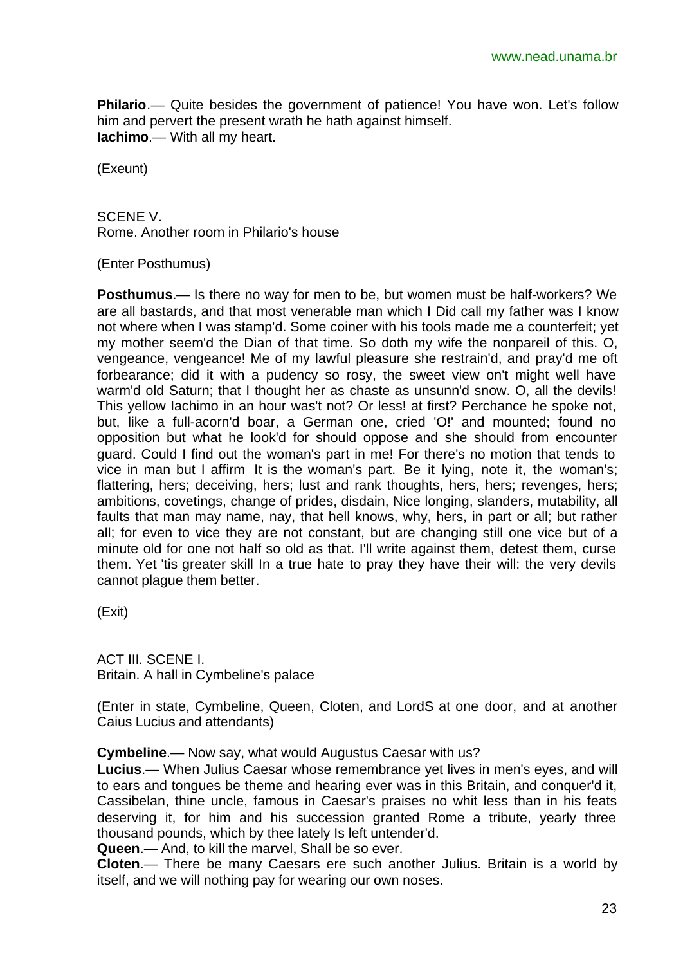**Philario.**— Quite besides the government of patience! You have won. Let's follow him and pervert the present wrath he hath against himself. **Iachimo**.— With all my heart.

(Exeunt)

SCENE V. Rome. Another room in Philario's house

(Enter Posthumus)

**Posthumus**.— Is there no way for men to be, but women must be half-workers? We are all bastards, and that most venerable man which I Did call my father was I know not where when I was stamp'd. Some coiner with his tools made me a counterfeit; yet my mother seem'd the Dian of that time. So doth my wife the nonpareil of this. O, vengeance, vengeance! Me of my lawful pleasure she restrain'd, and pray'd me oft forbearance; did it with a pudency so rosy, the sweet view on't might well have warm'd old Saturn; that I thought her as chaste as unsunn'd snow. O, all the devils! This yellow Iachimo in an hour was't not? Or less! at first? Perchance he spoke not, but, like a full-acorn'd boar, a German one, cried 'O!' and mounted; found no opposition but what he look'd for should oppose and she should from encounter guard. Could I find out the woman's part in me! For there's no motion that tends to vice in man but I affirm It is the woman's part. Be it lying, note it, the woman's; flattering, hers; deceiving, hers; lust and rank thoughts, hers, hers; revenges, hers; ambitions, covetings, change of prides, disdain, Nice longing, slanders, mutability, all faults that man may name, nay, that hell knows, why, hers, in part or all; but rather all; for even to vice they are not constant, but are changing still one vice but of a minute old for one not half so old as that. I'll write against them, detest them, curse them. Yet 'tis greater skill In a true hate to pray they have their will: the very devils cannot plague them better.

(Exit)

ACT III. SCENE I. Britain. A hall in Cymbeline's palace

(Enter in state, Cymbeline, Queen, Cloten, and LordS at one door, and at another Caius Lucius and attendants)

**Cymbeline**.— Now say, what would Augustus Caesar with us?

**Lucius**.— When Julius Caesar whose remembrance yet lives in men's eyes, and will to ears and tongues be theme and hearing ever was in this Britain, and conquer'd it, Cassibelan, thine uncle, famous in Caesar's praises no whit less than in his feats deserving it, for him and his succession granted Rome a tribute, yearly three thousand pounds, which by thee lately Is left untender'd.

**Queen**.— And, to kill the marvel, Shall be so ever.

**Cloten**.— There be many Caesars ere such another Julius. Britain is a world by itself, and we will nothing pay for wearing our own noses.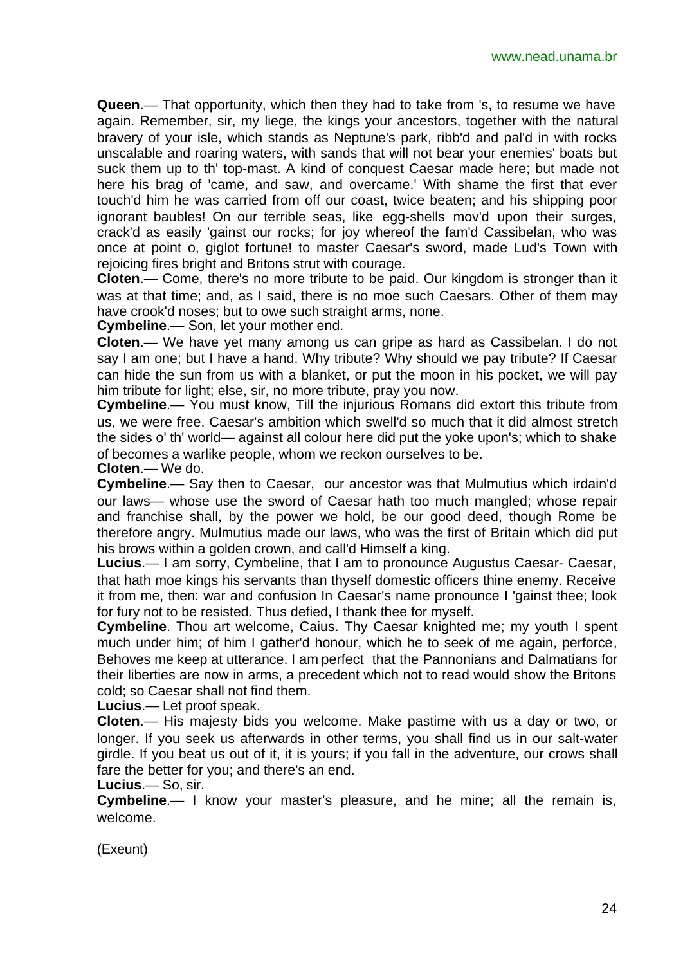**Queen**.— That opportunity, which then they had to take from 's, to resume we have again. Remember, sir, my liege, the kings your ancestors, together with the natural bravery of your isle, which stands as Neptune's park, ribb'd and pal'd in with rocks unscalable and roaring waters, with sands that will not bear your enemies' boats but suck them up to th' top-mast. A kind of conquest Caesar made here; but made not here his brag of 'came, and saw, and overcame.' With shame the first that ever touch'd him he was carried from off our coast, twice beaten; and his shipping poor ignorant baubles! On our terrible seas, like egg-shells mov'd upon their surges, crack'd as easily 'gainst our rocks; for joy whereof the fam'd Cassibelan, who was once at point o, giglot fortune! to master Caesar's sword, made Lud's Town with rejoicing fires bright and Britons strut with courage.

**Cloten**.— Come, there's no more tribute to be paid. Our kingdom is stronger than it was at that time; and, as I said, there is no moe such Caesars. Other of them may have crook'd noses; but to owe such straight arms, none.

**Cymbeline**.— Son, let your mother end.

**Cloten**.— We have yet many among us can gripe as hard as Cassibelan. I do not say I am one; but I have a hand. Why tribute? Why should we pay tribute? If Caesar can hide the sun from us with a blanket, or put the moon in his pocket, we will pay him tribute for light; else, sir, no more tribute, pray you now.

**Cymbeline**.— You must know, Till the injurious Romans did extort this tribute from us, we were free. Caesar's ambition which swell'd so much that it did almost stretch the sides o' th' world— against all colour here did put the yoke upon's; which to shake of becomes a warlike people, whom we reckon ourselves to be.

**Cloten**.— We do.

**Cymbeline**.— Say then to Caesar, our ancestor was that Mulmutius which irdain'd our laws— whose use the sword of Caesar hath too much mangled; whose repair and franchise shall, by the power we hold, be our good deed, though Rome be therefore angry. Mulmutius made our laws, who was the first of Britain which did put his brows within a golden crown, and call'd Himself a king.

**Lucius**.— I am sorry, Cymbeline, that I am to pronounce Augustus Caesar- Caesar, that hath moe kings his servants than thyself domestic officers thine enemy. Receive it from me, then: war and confusion In Caesar's name pronounce I 'gainst thee; look for fury not to be resisted. Thus defied, I thank thee for myself.

**Cymbeline**. Thou art welcome, Caius. Thy Caesar knighted me; my youth I spent much under him; of him I gather'd honour, which he to seek of me again, perforce, Behoves me keep at utterance. I am perfect that the Pannonians and Dalmatians for their liberties are now in arms, a precedent which not to read would show the Britons cold; so Caesar shall not find them.

**Lucius**.— Let proof speak.

**Cloten**.— His majesty bids you welcome. Make pastime with us a day or two, or longer. If you seek us afterwards in other terms, you shall find us in our salt-water girdle. If you beat us out of it, it is yours; if you fall in the adventure, our crows shall fare the better for you; and there's an end.

**Lucius**.— So, sir.

**Cymbeline**.— I know your master's pleasure, and he mine; all the remain is, welcome.

(Exeunt)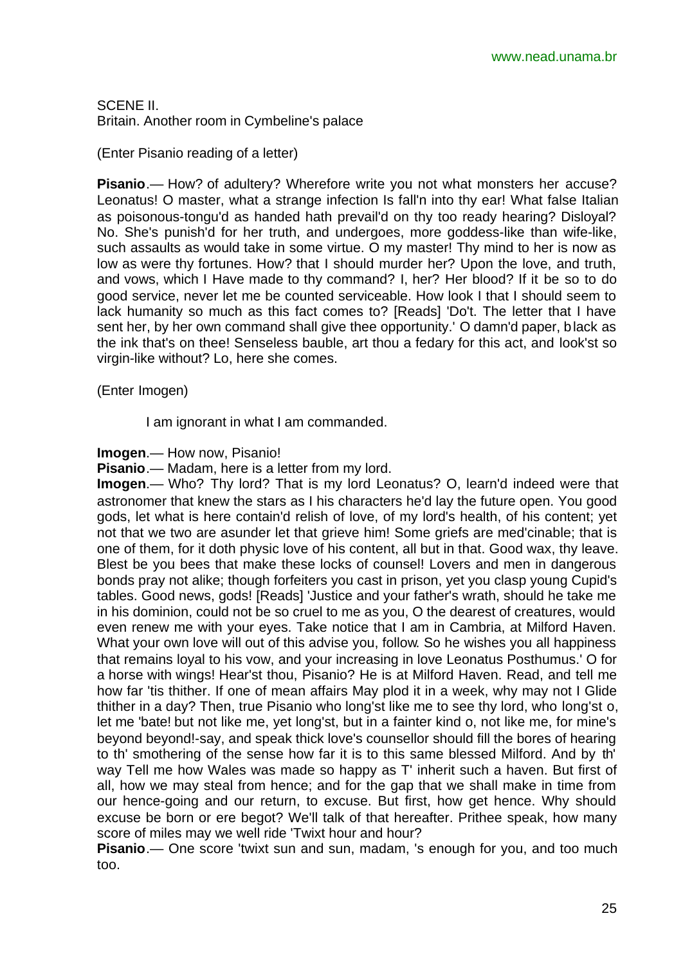SCENE II. Britain. Another room in Cymbeline's palace

(Enter Pisanio reading of a letter)

**Pisanio**.— How? of adultery? Wherefore write you not what monsters her accuse? Leonatus! O master, what a strange infection Is fall'n into thy ear! What false Italian as poisonous-tongu'd as handed hath prevail'd on thy too ready hearing? Disloyal? No. She's punish'd for her truth, and undergoes, more goddess-like than wife-like, such assaults as would take in some virtue. O my master! Thy mind to her is now as low as were thy fortunes. How? that I should murder her? Upon the love, and truth, and vows, which I Have made to thy command? I, her? Her blood? If it be so to do good service, never let me be counted serviceable. How look I that I should seem to lack humanity so much as this fact comes to? [Reads] 'Do't. The letter that I have sent her, by her own command shall give thee opportunity.' O damn'd paper, black as the ink that's on thee! Senseless bauble, art thou a fedary for this act, and look'st so virgin-like without? Lo, here she comes.

(Enter Imogen)

I am ignorant in what I am commanded.

**Imogen**.— How now, Pisanio!

**Pisanio**.— Madam, here is a letter from my lord.

**Imogen**.— Who? Thy lord? That is my lord Leonatus? O, learn'd indeed were that astronomer that knew the stars as I his characters he'd lay the future open. You good gods, let what is here contain'd relish of love, of my lord's health, of his content; yet not that we two are asunder let that grieve him! Some griefs are med'cinable; that is one of them, for it doth physic love of his content, all but in that. Good wax, thy leave. Blest be you bees that make these locks of counsel! Lovers and men in dangerous bonds pray not alike; though forfeiters you cast in prison, yet you clasp young Cupid's tables. Good news, gods! [Reads] 'Justice and your father's wrath, should he take me in his dominion, could not be so cruel to me as you, O the dearest of creatures, would even renew me with your eyes. Take notice that I am in Cambria, at Milford Haven. What your own love will out of this advise you, follow. So he wishes you all happiness that remains loyal to his vow, and your increasing in love Leonatus Posthumus.' O for a horse with wings! Hear'st thou, Pisanio? He is at Milford Haven. Read, and tell me how far 'tis thither. If one of mean affairs May plod it in a week, why may not I Glide thither in a day? Then, true Pisanio who long'st like me to see thy lord, who long'st o, let me 'bate! but not like me, yet long'st, but in a fainter kind o, not like me, for mine's beyond beyond!-say, and speak thick love's counsellor should fill the bores of hearing to th' smothering of the sense how far it is to this same blessed Milford. And by th' way Tell me how Wales was made so happy as T' inherit such a haven. But first of all, how we may steal from hence; and for the gap that we shall make in time from our hence-going and our return, to excuse. But first, how get hence. Why should excuse be born or ere begot? We'll talk of that hereafter. Prithee speak, how many score of miles may we well ride 'Twixt hour and hour?

**Pisanio.**— One score 'twixt sun and sun, madam, 's enough for you, and too much too.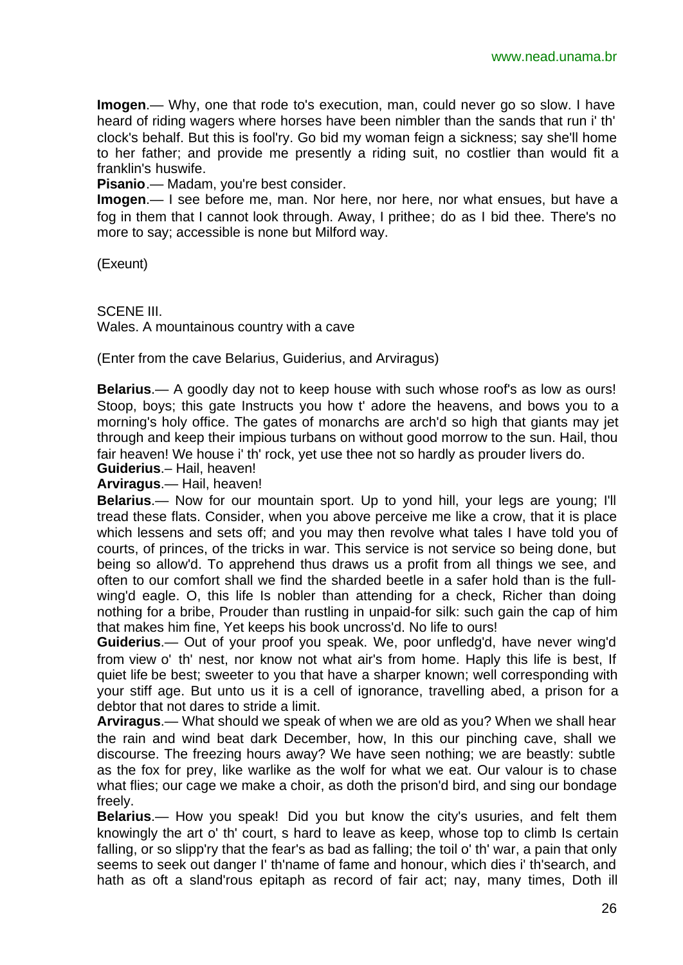**Imogen**.— Why, one that rode to's execution, man, could never go so slow. I have heard of riding wagers where horses have been nimbler than the sands that run i' th' clock's behalf. But this is fool'ry. Go bid my woman feign a sickness; say she'll home to her father; and provide me presently a riding suit, no costlier than would fit a franklin's huswife.

**Pisanio**.— Madam, you're best consider.

**Imogen**.— I see before me, man. Nor here, nor here, nor what ensues, but have a fog in them that I cannot look through. Away, I prithee; do as I bid thee. There's no more to say; accessible is none but Milford way.

(Exeunt)

SCENE III. Wales. A mountainous country with a cave

(Enter from the cave Belarius, Guiderius, and Arviragus)

**Belarius**.— A goodly day not to keep house with such whose roof's as low as ours! Stoop, boys; this gate Instructs you how t' adore the heavens, and bows you to a morning's holy office. The gates of monarchs are arch'd so high that giants may jet through and keep their impious turbans on without good morrow to the sun. Hail, thou fair heaven! We house i' th' rock, yet use thee not so hardly as prouder livers do.

**Guiderius**.– Hail, heaven!

**Arviragus**.— Hail, heaven!

**Belarius**.— Now for our mountain sport. Up to yond hill, your legs are young; I'll tread these flats. Consider, when you above perceive me like a crow, that it is place which lessens and sets off; and you may then revolve what tales I have told you of courts, of princes, of the tricks in war. This service is not service so being done, but being so allow'd. To apprehend thus draws us a profit from all things we see, and often to our comfort shall we find the sharded beetle in a safer hold than is the fullwing'd eagle. O, this life Is nobler than attending for a check, Richer than doing nothing for a bribe, Prouder than rustling in unpaid-for silk: such gain the cap of him that makes him fine, Yet keeps his book uncross'd. No life to ours!

**Guiderius**.— Out of your proof you speak. We, poor unfledg'd, have never wing'd from view o' th' nest, nor know not what air's from home. Haply this life is best, If quiet life be best; sweeter to you that have a sharper known; well corresponding with your stiff age. But unto us it is a cell of ignorance, travelling abed, a prison for a debtor that not dares to stride a limit.

**Arviragus**.— What should we speak of when we are old as you? When we shall hear the rain and wind beat dark December, how, In this our pinching cave, shall we discourse. The freezing hours away? We have seen nothing; we are beastly: subtle as the fox for prey, like warlike as the wolf for what we eat. Our valour is to chase what flies; our cage we make a choir, as doth the prison'd bird, and sing our bondage freely.

**Belarius**.— How you speak! Did you but know the city's usuries, and felt them knowingly the art o' th' court, s hard to leave as keep, whose top to climb Is certain falling, or so slipp'ry that the fear's as bad as falling; the toil o' th' war, a pain that only seems to seek out danger I' th'name of fame and honour, which dies i' th'search, and hath as oft a sland'rous epitaph as record of fair act; nay, many times, Doth ill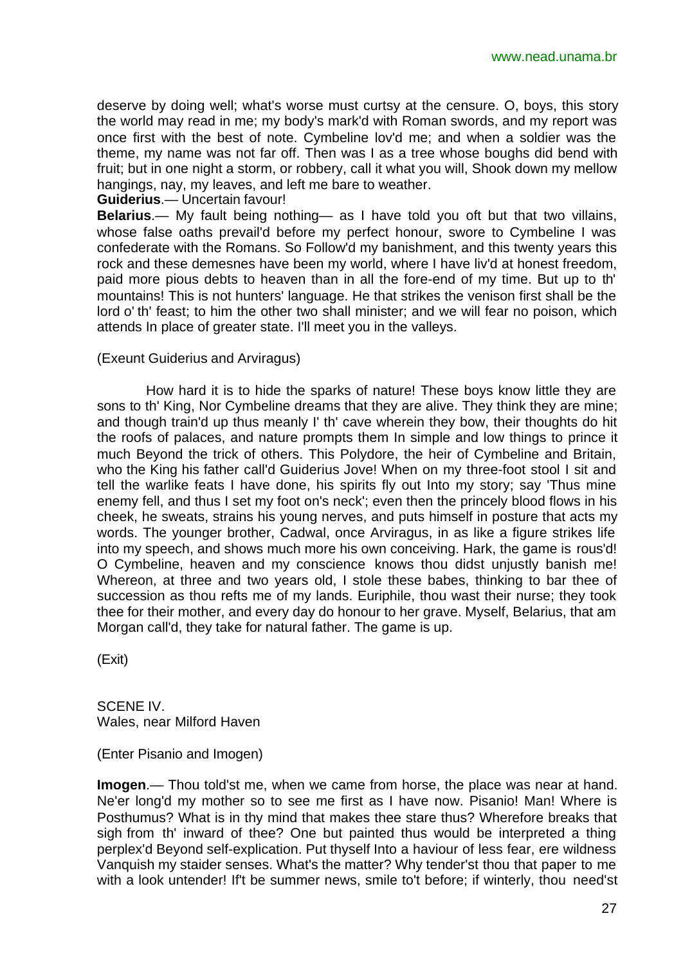deserve by doing well; what's worse must curtsy at the censure. O, boys, this story the world may read in me; my body's mark'd with Roman swords, and my report was once first with the best of note. Cymbeline lov'd me; and when a soldier was the theme, my name was not far off. Then was I as a tree whose boughs did bend with fruit; but in one night a storm, or robbery, call it what you will, Shook down my mellow hangings, nay, my leaves, and left me bare to weather.

**Guiderius**.— Uncertain favour!

**Belarius**.— My fault being nothing— as I have told you oft but that two villains, whose false oaths prevail'd before my perfect honour, swore to Cymbeline I was confederate with the Romans. So Follow'd my banishment, and this twenty years this rock and these demesnes have been my world, where I have liv'd at honest freedom, paid more pious debts to heaven than in all the fore-end of my time. But up to th' mountains! This is not hunters' language. He that strikes the venison first shall be the lord o' th' feast; to him the other two shall minister; and we will fear no poison, which attends In place of greater state. I'll meet you in the valleys.

#### (Exeunt Guiderius and Arviragus)

How hard it is to hide the sparks of nature! These boys know little they are sons to th' King, Nor Cymbeline dreams that they are alive. They think they are mine; and though train'd up thus meanly I' th' cave wherein they bow, their thoughts do hit the roofs of palaces, and nature prompts them In simple and low things to prince it much Beyond the trick of others. This Polydore, the heir of Cymbeline and Britain, who the King his father call'd Guiderius Jove! When on my three-foot stool I sit and tell the warlike feats I have done, his spirits fly out Into my story; say 'Thus mine enemy fell, and thus I set my foot on's neck'; even then the princely blood flows in his cheek, he sweats, strains his young nerves, and puts himself in posture that acts my words. The younger brother, Cadwal, once Arviragus, in as like a figure strikes life into my speech, and shows much more his own conceiving. Hark, the game is rous'd! O Cymbeline, heaven and my conscience knows thou didst unjustly banish me! Whereon, at three and two years old, I stole these babes, thinking to bar thee of succession as thou refts me of my lands. Euriphile, thou wast their nurse; they took thee for their mother, and every day do honour to her grave. Myself, Belarius, that am Morgan call'd, they take for natural father. The game is up.

(Exit)

SCENE IV. Wales, near Milford Haven

(Enter Pisanio and Imogen)

**Imogen**.— Thou told'st me, when we came from horse, the place was near at hand. Ne'er long'd my mother so to see me first as I have now. Pisanio! Man! Where is Posthumus? What is in thy mind that makes thee stare thus? Wherefore breaks that sigh from th' inward of thee? One but painted thus would be interpreted a thing perplex'd Beyond self-explication. Put thyself Into a haviour of less fear, ere wildness Vanquish my staider senses. What's the matter? Why tender'st thou that paper to me with a look untender! If't be summer news, smile to't before; if winterly, thou need'st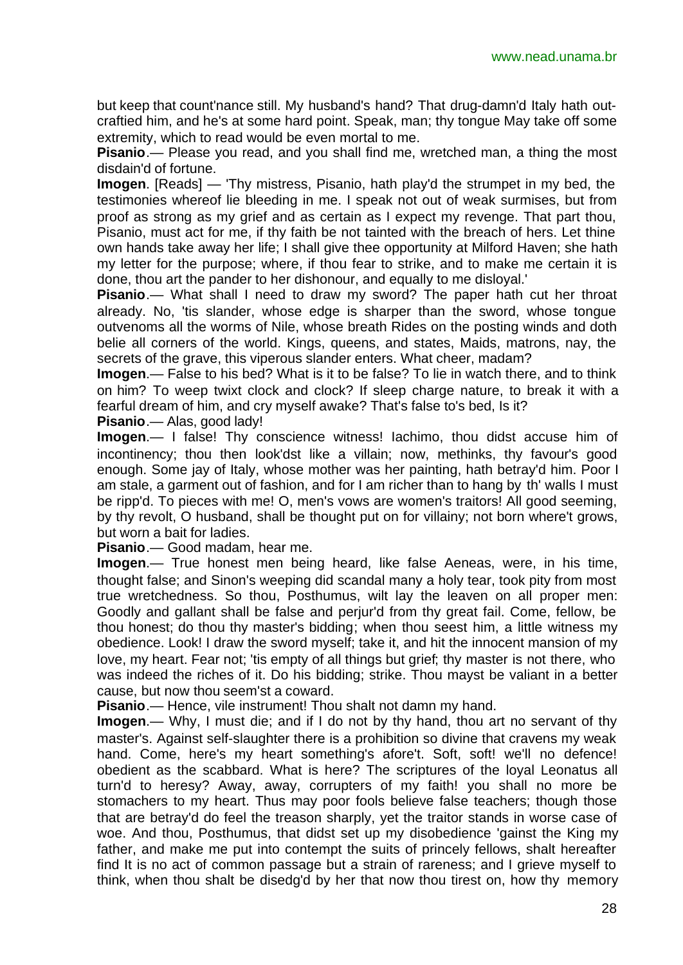but keep that count'nance still. My husband's hand? That drug-damn'd Italy hath outcraftied him, and he's at some hard point. Speak, man; thy tongue May take off some extremity, which to read would be even mortal to me.

**Pisanio**.— Please you read, and you shall find me, wretched man, a thing the most disdain'd of fortune.

**Imogen**. [Reads] — 'Thy mistress, Pisanio, hath play'd the strumpet in my bed, the testimonies whereof lie bleeding in me. I speak not out of weak surmises, but from proof as strong as my grief and as certain as I expect my revenge. That part thou, Pisanio, must act for me, if thy faith be not tainted with the breach of hers. Let thine own hands take away her life; I shall give thee opportunity at Milford Haven; she hath my letter for the purpose; where, if thou fear to strike, and to make me certain it is done, thou art the pander to her dishonour, and equally to me disloyal.'

**Pisanio**.— What shall I need to draw my sword? The paper hath cut her throat already. No, 'tis slander, whose edge is sharper than the sword, whose tongue outvenoms all the worms of Nile, whose breath Rides on the posting winds and doth belie all corners of the world. Kings, queens, and states, Maids, matrons, nay, the secrets of the grave, this viperous slander enters. What cheer, madam?

**Imogen**.— False to his bed? What is it to be false? To lie in watch there, and to think on him? To weep twixt clock and clock? If sleep charge nature, to break it with a fearful dream of him, and cry myself awake? That's false to's bed, Is it?

**Pisanio**.— Alas, good lady!

**Imogen**.— I false! Thy conscience witness! Iachimo, thou didst accuse him of incontinency; thou then look'dst like a villain; now, methinks, thy favour's good enough. Some jay of Italy, whose mother was her painting, hath betray'd him. Poor I am stale, a garment out of fashion, and for I am richer than to hang by th' walls I must be ripp'd. To pieces with me! O, men's vows are women's traitors! All good seeming, by thy revolt, O husband, shall be thought put on for villainy; not born where't grows, but worn a bait for ladies.

**Pisanio**.— Good madam, hear me.

**Imogen**.— True honest men being heard, like false Aeneas, were, in his time, thought false; and Sinon's weeping did scandal many a holy tear, took pity from most true wretchedness. So thou, Posthumus, wilt lay the leaven on all proper men: Goodly and gallant shall be false and perjur'd from thy great fail. Come, fellow, be thou honest; do thou thy master's bidding; when thou seest him, a little witness my obedience. Look! I draw the sword myself; take it, and hit the innocent mansion of my love, my heart. Fear not; 'tis empty of all things but grief; thy master is not there, who was indeed the riches of it. Do his bidding; strike. Thou mayst be valiant in a better cause, but now thou seem'st a coward.

**Pisanio**.— Hence, vile instrument! Thou shalt not damn my hand.

**Imogen**.— Why, I must die; and if I do not by thy hand, thou art no servant of thy master's. Against self-slaughter there is a prohibition so divine that cravens my weak hand. Come, here's my heart something's afore't. Soft, soft! we'll no defence! obedient as the scabbard. What is here? The scriptures of the loyal Leonatus all turn'd to heresy? Away, away, corrupters of my faith! you shall no more be stomachers to my heart. Thus may poor fools believe false teachers; though those that are betray'd do feel the treason sharply, yet the traitor stands in worse case of woe. And thou, Posthumus, that didst set up my disobedience 'gainst the King my father, and make me put into contempt the suits of princely fellows, shalt hereafter find It is no act of common passage but a strain of rareness; and I grieve myself to think, when thou shalt be disedg'd by her that now thou tirest on, how thy memory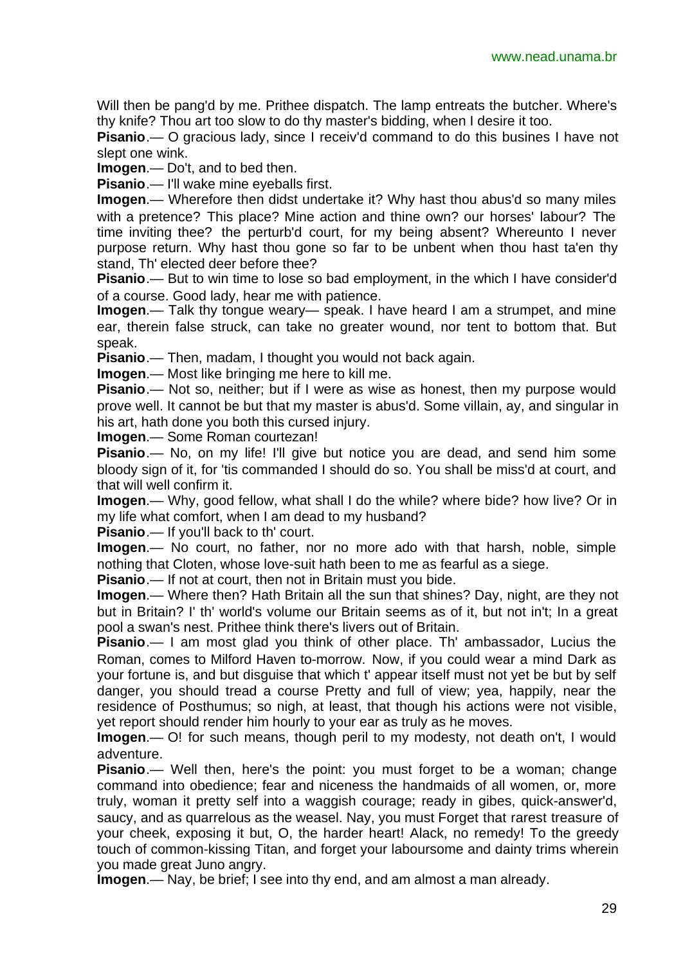Will then be pang'd by me. Prithee dispatch. The lamp entreats the butcher. Where's thy knife? Thou art too slow to do thy master's bidding, when I desire it too.

**Pisanio**.— O gracious lady, since I receiv'd command to do this busines I have not slept one wink.

**Imogen**.— Do't, and to bed then.

**Pisanio**.— I'll wake mine eyeballs first.

**Imogen**.— Wherefore then didst undertake it? Why hast thou abus'd so many miles with a pretence? This place? Mine action and thine own? our horses' labour? The time inviting thee? the perturb'd court, for my being absent? Whereunto I never purpose return. Why hast thou gone so far to be unbent when thou hast ta'en thy stand, Th' elected deer before thee?

**Pisanio**.— But to win time to lose so bad employment, in the which I have consider'd of a course. Good lady, hear me with patience.

**Imogen**.— Talk thy tongue weary— speak. I have heard I am a strumpet, and mine ear, therein false struck, can take no greater wound, nor tent to bottom that. But speak.

**Pisanio**.— Then, madam, I thought you would not back again.

**Imogen**.— Most like bringing me here to kill me.

**Pisanio**.— Not so, neither; but if I were as wise as honest, then my purpose would prove well. It cannot be but that my master is abus'd. Some villain, ay, and singular in his art, hath done you both this cursed injury.

**Imogen**.— Some Roman courtezan!

**Pisanio.**— No, on my life! I'll give but notice you are dead, and send him some bloody sign of it, for 'tis commanded I should do so. You shall be miss'd at court, and that will well confirm it.

**Imogen**.— Why, good fellow, what shall I do the while? where bide? how live? Or in my life what comfort, when I am dead to my husband?

**Pisanio**.— If you'll back to th' court.

**Imogen**.— No court, no father, nor no more ado with that harsh, noble, simple nothing that Cloten, whose love-suit hath been to me as fearful as a siege.

**Pisanio**.— If not at court, then not in Britain must you bide.

**Imogen**.— Where then? Hath Britain all the sun that shines? Day, night, are they not but in Britain? I' th' world's volume our Britain seems as of it, but not in't; In a great pool a swan's nest. Prithee think there's livers out of Britain.

**Pisanio.**— I am most glad you think of other place. Th' ambassador, Lucius the Roman, comes to Milford Haven to-morrow. Now, if you could wear a mind Dark as your fortune is, and but disguise that which t' appear itself must not yet be but by self danger, you should tread a course Pretty and full of view; yea, happily, near the residence of Posthumus; so nigh, at least, that though his actions were not visible, yet report should render him hourly to your ear as truly as he moves.

**Imogen**.— O! for such means, though peril to my modesty, not death on't, I would adventure.

**Pisanio.**— Well then, here's the point: you must forget to be a woman; change command into obedience; fear and niceness the handmaids of all women, or, more truly, woman it pretty self into a waggish courage; ready in gibes, quick-answer'd, saucy, and as quarrelous as the weasel. Nay, you must Forget that rarest treasure of your cheek, exposing it but, O, the harder heart! Alack, no remedy! To the greedy touch of common-kissing Titan, and forget your laboursome and dainty trims wherein you made great Juno angry.

**Imogen**.— Nay, be brief; I see into thy end, and am almost a man already.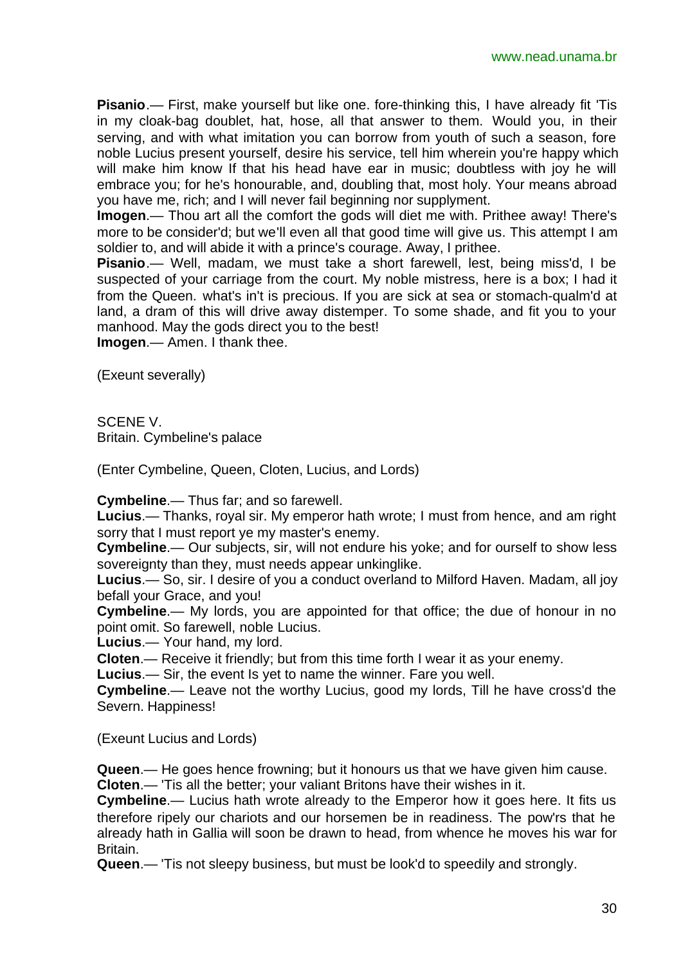**Pisanio**.— First, make yourself but like one. fore-thinking this, I have already fit 'Tis in my cloak-bag doublet, hat, hose, all that answer to them. Would you, in their serving, and with what imitation you can borrow from youth of such a season, fore noble Lucius present yourself, desire his service, tell him wherein you're happy which will make him know If that his head have ear in music; doubtless with joy he will embrace you; for he's honourable, and, doubling that, most holy. Your means abroad you have me, rich; and I will never fail beginning nor supplyment.

**Imogen**.— Thou art all the comfort the gods will diet me with. Prithee away! There's more to be consider'd; but we'll even all that good time will give us. This attempt I am soldier to, and will abide it with a prince's courage. Away, I prithee.

**Pisanio**.— Well, madam, we must take a short farewell, lest, being miss'd, I be suspected of your carriage from the court. My noble mistress, here is a box; I had it from the Queen. what's in't is precious. If you are sick at sea or stomach-qualm'd at land, a dram of this will drive away distemper. To some shade, and fit you to your manhood. May the gods direct you to the best!

**Imogen**.— Amen. I thank thee.

(Exeunt severally)

SCENE V.

Britain. Cymbeline's palace

(Enter Cymbeline, Queen, Cloten, Lucius, and Lords)

**Cymbeline**.— Thus far; and so farewell.

**Lucius**.— Thanks, royal sir. My emperor hath wrote; I must from hence, and am right sorry that I must report ye my master's enemy.

**Cymbeline**.— Our subjects, sir, will not endure his yoke; and for ourself to show less sovereignty than they, must needs appear unkinglike.

**Lucius**.— So, sir. I desire of you a conduct overland to Milford Haven. Madam, all joy befall your Grace, and you!

**Cymbeline**.— My lords, you are appointed for that office; the due of honour in no point omit. So farewell, noble Lucius.

**Lucius**.— Your hand, my lord.

**Cloten**.— Receive it friendly; but from this time forth I wear it as your enemy.

**Lucius**.— Sir, the event Is yet to name the winner. Fare you well.

**Cymbeline**.— Leave not the worthy Lucius, good my lords, Till he have cross'd the Severn. Happiness!

(Exeunt Lucius and Lords)

**Queen**.— He goes hence frowning; but it honours us that we have given him cause. **Cloten**.— 'Tis all the better; your valiant Britons have their wishes in it.

**Cymbeline**.— Lucius hath wrote already to the Emperor how it goes here. It fits us therefore ripely our chariots and our horsemen be in readiness. The pow'rs that he already hath in Gallia will soon be drawn to head, from whence he moves his war for Britain.

**Queen**.— 'Tis not sleepy business, but must be look'd to speedily and strongly.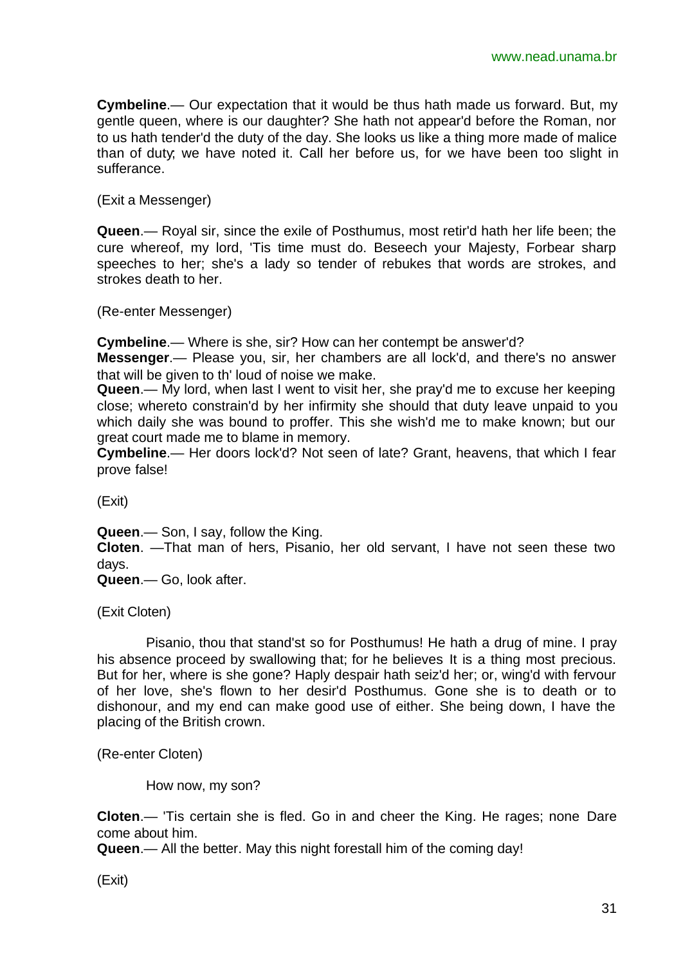**Cymbeline**.— Our expectation that it would be thus hath made us forward. But, my gentle queen, where is our daughter? She hath not appear'd before the Roman, nor to us hath tender'd the duty of the day. She looks us like a thing more made of malice than of duty; we have noted it. Call her before us, for we have been too slight in sufferance.

(Exit a Messenger)

**Queen**.— Royal sir, since the exile of Posthumus, most retir'd hath her life been; the cure whereof, my lord, 'Tis time must do. Beseech your Majesty, Forbear sharp speeches to her; she's a lady so tender of rebukes that words are strokes, and strokes death to her.

(Re-enter Messenger)

**Cymbeline**.— Where is she, sir? How can her contempt be answer'd?

**Messenger**.— Please you, sir, her chambers are all lock'd, and there's no answer that will be given to th' loud of noise we make.

**Queen**.— My lord, when last I went to visit her, she pray'd me to excuse her keeping close; whereto constrain'd by her infirmity she should that duty leave unpaid to you which daily she was bound to proffer. This she wish'd me to make known; but our great court made me to blame in memory.

**Cymbeline**.— Her doors lock'd? Not seen of late? Grant, heavens, that which I fear prove false!

(Exit)

**Queen**.— Son, I say, follow the King.

**Cloten**. —That man of hers, Pisanio, her old servant, I have not seen these two days.

**Queen**.— Go, look after.

(Exit Cloten)

Pisanio, thou that stand'st so for Posthumus! He hath a drug of mine. I pray his absence proceed by swallowing that; for he believes It is a thing most precious. But for her, where is she gone? Haply despair hath seiz'd her; or, wing'd with fervour of her love, she's flown to her desir'd Posthumus. Gone she is to death or to dishonour, and my end can make good use of either. She being down, I have the placing of the British crown.

(Re-enter Cloten)

How now, my son?

**Cloten**.— 'Tis certain she is fled. Go in and cheer the King. He rages; none Dare come about him.

**Queen**.— All the better. May this night forestall him of the coming day!

(Exit)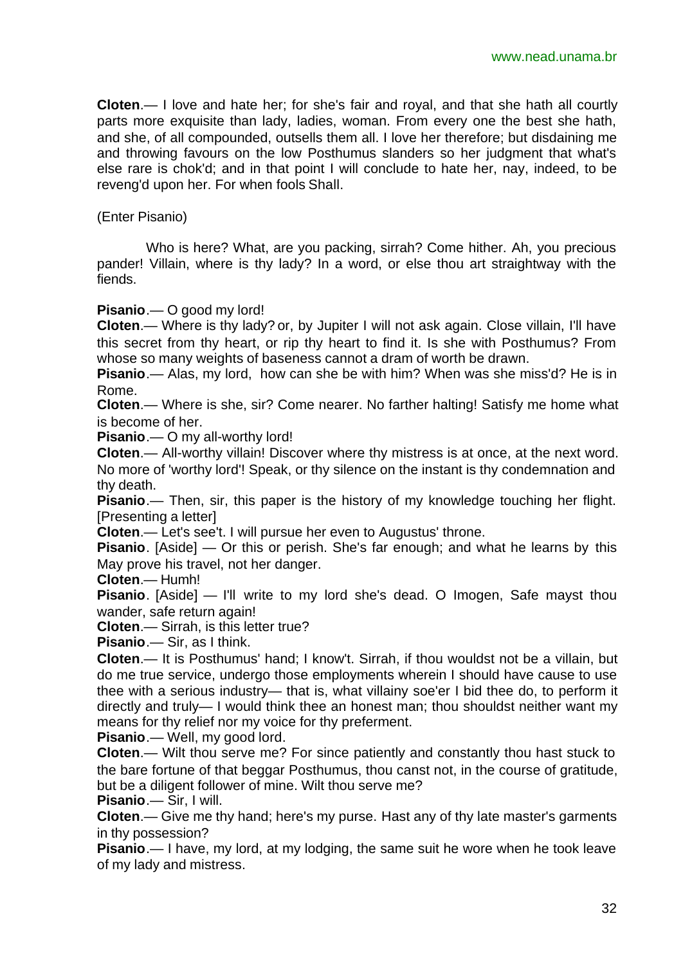**Cloten**.— I love and hate her; for she's fair and royal, and that she hath all courtly parts more exquisite than lady, ladies, woman. From every one the best she hath, and she, of all compounded, outsells them all. I love her therefore; but disdaining me and throwing favours on the low Posthumus slanders so her judgment that what's else rare is chok'd; and in that point I will conclude to hate her, nay, indeed, to be reveng'd upon her. For when fools Shall.

(Enter Pisanio)

Who is here? What, are you packing, sirrah? Come hither. Ah, you precious pander! Villain, where is thy lady? In a word, or else thou art straightway with the fiends.

**Pisanio**.— O good my lord!

**Cloten**.— Where is thy lady? or, by Jupiter I will not ask again. Close villain, I'll have this secret from thy heart, or rip thy heart to find it. Is she with Posthumus? From whose so many weights of baseness cannot a dram of worth be drawn.

**Pisanio**.— Alas, my lord, how can she be with him? When was she miss'd? He is in Rome.

**Cloten**.— Where is she, sir? Come nearer. No farther halting! Satisfy me home what is become of her.

**Pisanio**.— O my all-worthy lord!

**Cloten**.— All-worthy villain! Discover where thy mistress is at once, at the next word. No more of 'worthy lord'! Speak, or thy silence on the instant is thy condemnation and thy death.

**Pisanio**.— Then, sir, this paper is the history of my knowledge touching her flight. [Presenting a letter]

**Cloten**.— Let's see't. I will pursue her even to Augustus' throne.

**Pisanio**. [Aside] — Or this or perish. She's far enough; and what he learns by this May prove his travel, not her danger.

**Cloten**.— Humh!

**Pisanio**. [Aside] — I'll write to my lord she's dead. O Imogen, Safe mayst thou wander, safe return again!

**Cloten**.— Sirrah, is this letter true?

**Pisanio**.— Sir, as I think.

**Cloten**.— It is Posthumus' hand; I know't. Sirrah, if thou wouldst not be a villain, but do me true service, undergo those employments wherein I should have cause to use thee with a serious industry— that is, what villainy soe'er I bid thee do, to perform it directly and truly— I would think thee an honest man; thou shouldst neither want my means for thy relief nor my voice for thy preferment.

**Pisanio**.— Well, my good lord.

**Cloten**.— Wilt thou serve me? For since patiently and constantly thou hast stuck to the bare fortune of that beggar Posthumus, thou canst not, in the course of gratitude, but be a diligent follower of mine. Wilt thou serve me?

**Pisanio**.— Sir, I will.

**Cloten**.— Give me thy hand; here's my purse. Hast any of thy late master's garments in thy possession?

**Pisanio**.— I have, my lord, at my lodging, the same suit he wore when he took leave of my lady and mistress.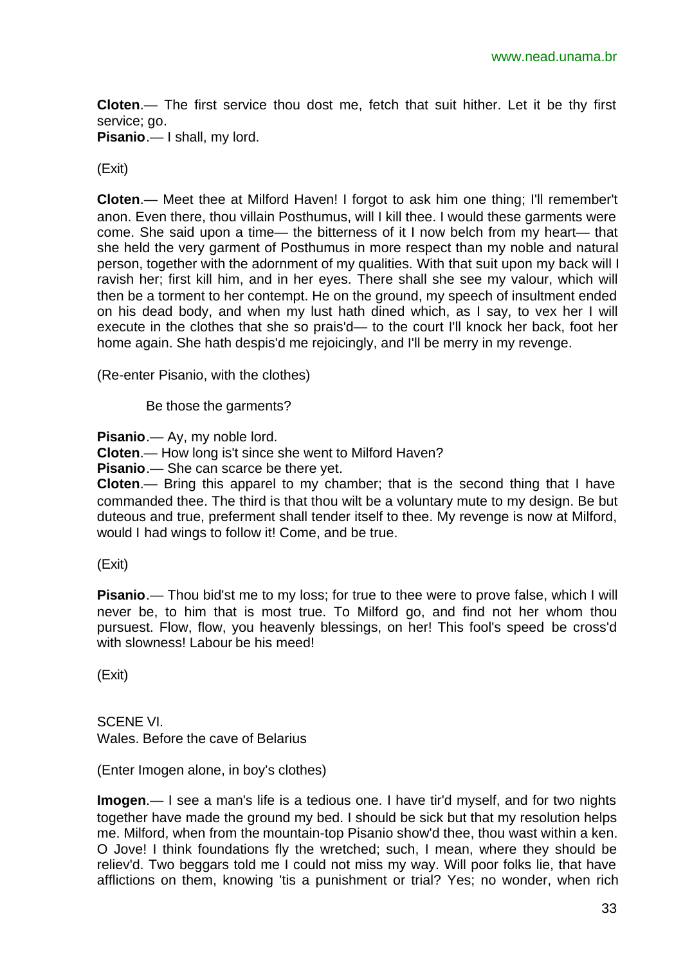**Cloten**.— The first service thou dost me, fetch that suit hither. Let it be thy first service; go.

**Pisanio**.— I shall, my lord.

(Exit)

**Cloten**.— Meet thee at Milford Haven! I forgot to ask him one thing; I'll remember't anon. Even there, thou villain Posthumus, will I kill thee. I would these garments were come. She said upon a time— the bitterness of it I now belch from my heart— that she held the very garment of Posthumus in more respect than my noble and natural person, together with the adornment of my qualities. With that suit upon my back will I ravish her; first kill him, and in her eyes. There shall she see my valour, which will then be a torment to her contempt. He on the ground, my speech of insultment ended on his dead body, and when my lust hath dined which, as I say, to vex her I will execute in the clothes that she so prais'd— to the court I'll knock her back, foot her home again. She hath despis'd me rejoicingly, and I'll be merry in my revenge.

(Re-enter Pisanio, with the clothes)

Be those the garments?

**Pisanio**.— Ay, my noble lord.

**Cloten**.— How long is't since she went to Milford Haven?

**Pisanio**.— She can scarce be there yet.

**Cloten**.— Bring this apparel to my chamber; that is the second thing that I have commanded thee. The third is that thou wilt be a voluntary mute to my design. Be but duteous and true, preferment shall tender itself to thee. My revenge is now at Milford, would I had wings to follow it! Come, and be true.

(Exit)

**Pisanio**.— Thou bid'st me to my loss; for true to thee were to prove false, which I will never be, to him that is most true. To Milford go, and find not her whom thou pursuest. Flow, flow, you heavenly blessings, on her! This fool's speed be cross'd with slowness! Labour be his meed!

(Exit)

SCENE VI. Wales. Before the cave of Belarius

(Enter Imogen alone, in boy's clothes)

**Imogen**.— I see a man's life is a tedious one. I have tir'd myself, and for two nights together have made the ground my bed. I should be sick but that my resolution helps me. Milford, when from the mountain-top Pisanio show'd thee, thou wast within a ken. O Jove! I think foundations fly the wretched; such, I mean, where they should be reliev'd. Two beggars told me I could not miss my way. Will poor folks lie, that have afflictions on them, knowing 'tis a punishment or trial? Yes; no wonder, when rich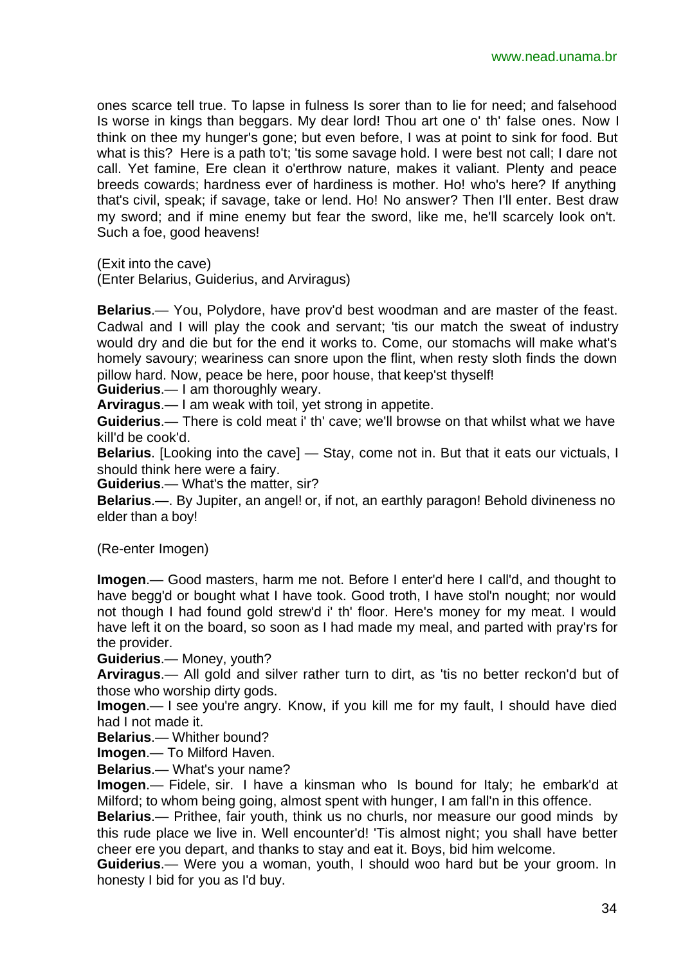ones scarce tell true. To lapse in fulness Is sorer than to lie for need; and falsehood Is worse in kings than beggars. My dear lord! Thou art one o' th' false ones. Now I think on thee my hunger's gone; but even before, I was at point to sink for food. But what is this? Here is a path to't; 'tis some savage hold. I were best not call; I dare not call. Yet famine, Ere clean it o'erthrow nature, makes it valiant. Plenty and peace breeds cowards; hardness ever of hardiness is mother. Ho! who's here? If anything that's civil, speak; if savage, take or lend. Ho! No answer? Then I'll enter. Best draw my sword; and if mine enemy but fear the sword, like me, he'll scarcely look on't. Such a foe, good heavens!

(Exit into the cave)

(Enter Belarius, Guiderius, and Arviragus)

**Belarius**.— You, Polydore, have prov'd best woodman and are master of the feast. Cadwal and I will play the cook and servant; 'tis our match the sweat of industry would dry and die but for the end it works to. Come, our stomachs will make what's homely savoury; weariness can snore upon the flint, when resty sloth finds the down pillow hard. Now, peace be here, poor house, that keep'st thyself!

**Guiderius**.— I am thoroughly weary.

**Arviragus**.— I am weak with toil, yet strong in appetite.

**Guiderius**.— There is cold meat i' th' cave; we'll browse on that whilst what we have kill'd be cook'd.

**Belarius**. [Looking into the cave] — Stay, come not in. But that it eats our victuals, I should think here were a fairy.

**Guiderius**.— What's the matter, sir?

**Belarius**.—. By Jupiter, an angel! or, if not, an earthly paragon! Behold divineness no elder than a boy!

(Re-enter Imogen)

**Imogen**.— Good masters, harm me not. Before I enter'd here I call'd, and thought to have begg'd or bought what I have took. Good troth, I have stol'n nought; nor would not though I had found gold strew'd i' th' floor. Here's money for my meat. I would have left it on the board, so soon as I had made my meal, and parted with pray'rs for the provider.

**Guiderius**.— Money, youth?

**Arviragus**.— All gold and silver rather turn to dirt, as 'tis no better reckon'd but of those who worship dirty gods.

**Imogen**.— I see you're angry. Know, if you kill me for my fault, I should have died had I not made it.

**Belarius**.— Whither bound?

**Imogen**.— To Milford Haven.

**Belarius**.— What's your name?

**Imogen**.— Fidele, sir. I have a kinsman who Is bound for Italy; he embark'd at Milford; to whom being going, almost spent with hunger, I am fall'n in this offence.

**Belarius**.— Prithee, fair youth, think us no churls, nor measure our good minds by this rude place we live in. Well encounter'd! 'Tis almost night; you shall have better cheer ere you depart, and thanks to stay and eat it. Boys, bid him welcome.

**Guiderius**.— Were you a woman, youth, I should woo hard but be your groom. In honesty I bid for you as I'd buy.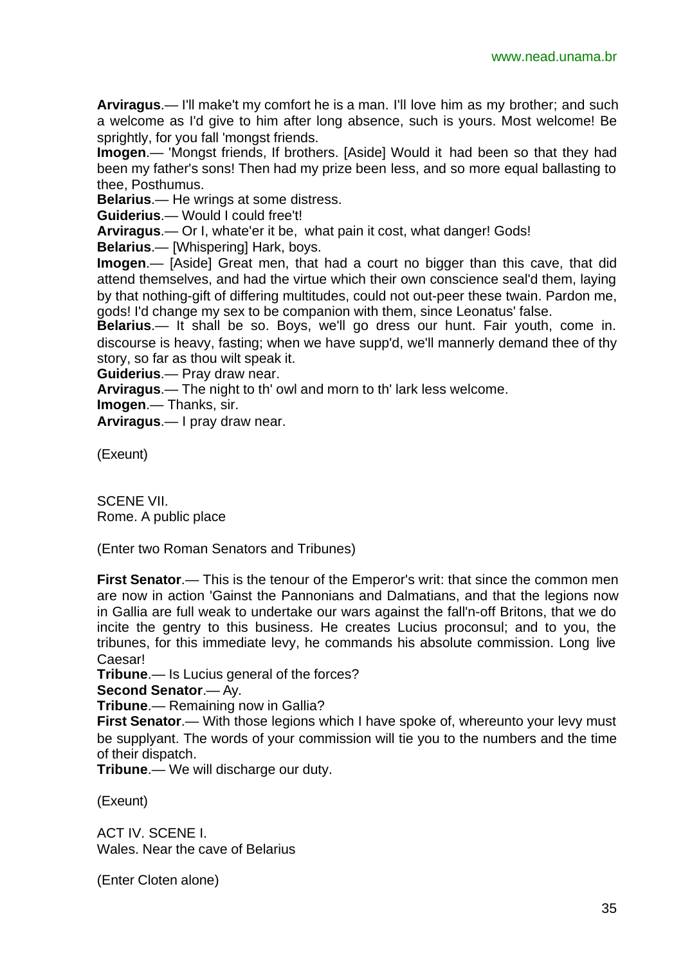**Arviragus**.— I'll make't my comfort he is a man. I'll love him as my brother; and such a welcome as I'd give to him after long absence, such is yours. Most welcome! Be sprightly, for you fall 'mongst friends.

**Imogen**.— 'Mongst friends, If brothers. [Aside] Would it had been so that they had been my father's sons! Then had my prize been less, and so more equal ballasting to thee, Posthumus.

**Belarius**.— He wrings at some distress.

**Guiderius**.— Would I could free't!

**Arviragus**.— Or I, whate'er it be, what pain it cost, what danger! Gods!

**Belarius**.— [Whispering] Hark, boys.

**Imogen**.— [Aside] Great men, that had a court no bigger than this cave, that did attend themselves, and had the virtue which their own conscience seal'd them, laying by that nothing-gift of differing multitudes, could not out-peer these twain. Pardon me, gods! I'd change my sex to be companion with them, since Leonatus' false.

**Belarius**.— It shall be so. Boys, we'll go dress our hunt. Fair youth, come in. discourse is heavy, fasting; when we have supp'd, we'll mannerly demand thee of thy story, so far as thou wilt speak it.

**Guiderius**.— Pray draw near.

**Arviragus**.— The night to th' owl and morn to th' lark less welcome.

**Imogen**.— Thanks, sir.

**Arviragus**.— I pray draw near.

(Exeunt)

SCENE VII. Rome. A public place

(Enter two Roman Senators and Tribunes)

**First Senator**.— This is the tenour of the Emperor's writ: that since the common men are now in action 'Gainst the Pannonians and Dalmatians, and that the legions now in Gallia are full weak to undertake our wars against the fall'n-off Britons, that we do incite the gentry to this business. He creates Lucius proconsul; and to you, the tribunes, for this immediate levy, he commands his absolute commission. Long live Caesar!

**Tribune**.— Is Lucius general of the forces?

**Second Senator**.— Ay.

**Tribune**.— Remaining now in Gallia?

**First Senator.**— With those legions which I have spoke of, whereunto your levy must be supplyant. The words of your commission will tie you to the numbers and the time of their dispatch.

**Tribune**.— We will discharge our duty.

(Exeunt)

ACT IV. SCENE I. Wales. Near the cave of Belarius

(Enter Cloten alone)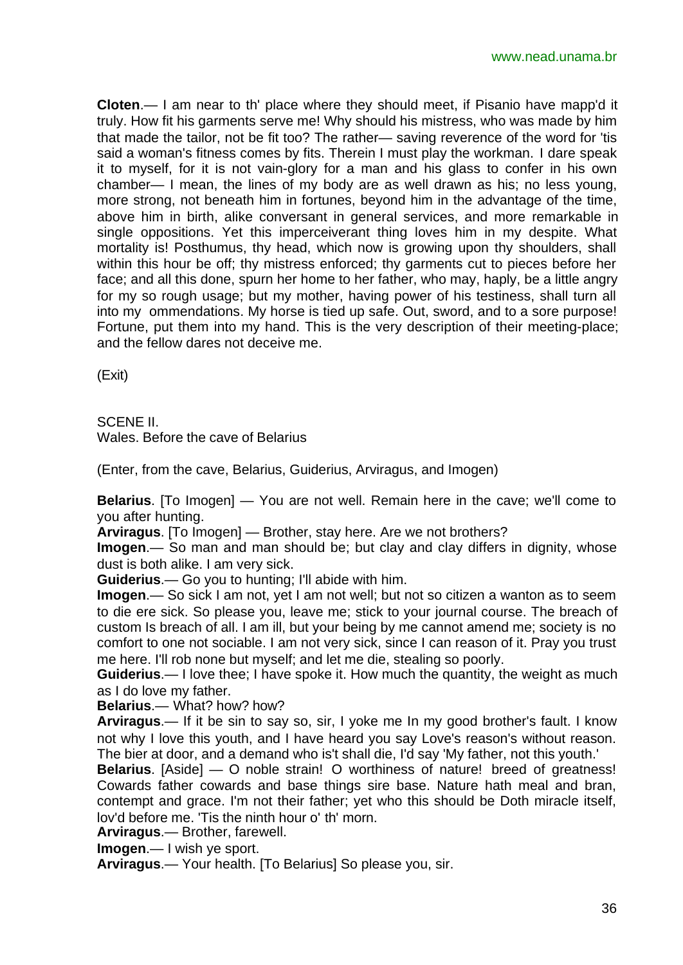**Cloten**.— I am near to th' place where they should meet, if Pisanio have mapp'd it truly. How fit his garments serve me! Why should his mistress, who was made by him that made the tailor, not be fit too? The rather— saving reverence of the word for 'tis said a woman's fitness comes by fits. Therein I must play the workman. I dare speak it to myself, for it is not vain-glory for a man and his glass to confer in his own chamber— I mean, the lines of my body are as well drawn as his; no less young, more strong, not beneath him in fortunes, beyond him in the advantage of the time, above him in birth, alike conversant in general services, and more remarkable in single oppositions. Yet this imperceiverant thing loves him in my despite. What mortality is! Posthumus, thy head, which now is growing upon thy shoulders, shall within this hour be off; thy mistress enforced; thy garments cut to pieces before her face; and all this done, spurn her home to her father, who may, haply, be a little angry for my so rough usage; but my mother, having power of his testiness, shall turn all into my ommendations. My horse is tied up safe. Out, sword, and to a sore purpose! Fortune, put them into my hand. This is the very description of their meeting-place; and the fellow dares not deceive me.

(Exit)

# SCENE II.

Wales. Before the cave of Belarius

(Enter, from the cave, Belarius, Guiderius, Arviragus, and Imogen)

**Belarius**. [To Imogen] — You are not well. Remain here in the cave; we'll come to you after hunting.

**Arviragus**. [To Imogen] — Brother, stay here. Are we not brothers?

**Imogen**.— So man and man should be; but clay and clay differs in dignity, whose dust is both alike. I am very sick.

**Guiderius**.— Go you to hunting; I'll abide with him.

**Imogen**.— So sick I am not, yet I am not well; but not so citizen a wanton as to seem to die ere sick. So please you, leave me; stick to your journal course. The breach of custom Is breach of all. I am ill, but your being by me cannot amend me; society is no comfort to one not sociable. I am not very sick, since I can reason of it. Pray you trust me here. I'll rob none but myself; and let me die, stealing so poorly.

**Guiderius**.— I love thee; I have spoke it. How much the quantity, the weight as much as I do love my father.

**Belarius**.— What? how? how?

**Arviragus**.— If it be sin to say so, sir, I yoke me In my good brother's fault. I know not why I love this youth, and I have heard you say Love's reason's without reason. The bier at door, and a demand who is't shall die, I'd say 'My father, not this youth.'

**Belarius**. [Aside] — O noble strain! O worthiness of nature! breed of greatness! Cowards father cowards and base things sire base. Nature hath meal and bran, contempt and grace. I'm not their father; yet who this should be Doth miracle itself, lov'd before me. 'Tis the ninth hour o' th' morn.

**Arviragus**.— Brother, farewell.

**Imogen**.— I wish ye sport.

**Arviragus**.— Your health. [To Belarius] So please you, sir.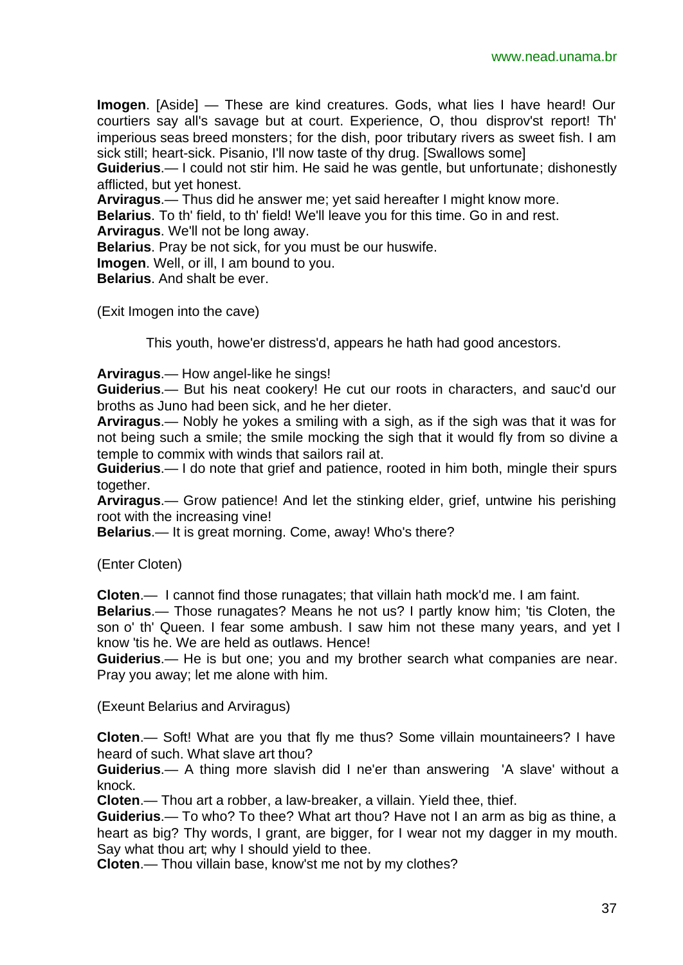**Imogen**. [Aside] — These are kind creatures. Gods, what lies I have heard! Our courtiers say all's savage but at court. Experience, O, thou disprov'st report! Th' imperious seas breed monsters; for the dish, poor tributary rivers as sweet fish. I am sick still; heart-sick. Pisanio, I'll now taste of thy drug. [Swallows some]

**Guiderius**.— I could not stir him. He said he was gentle, but unfortunate; dishonestly afflicted, but yet honest.

**Arviragus**.— Thus did he answer me; yet said hereafter I might know more.

**Belarius**. To th' field, to th' field! We'll leave you for this time. Go in and rest.

**Arviragus**. We'll not be long away.

**Belarius**. Pray be not sick, for you must be our huswife.

**Imogen**. Well, or ill, I am bound to you.

**Belarius**. And shalt be ever.

(Exit Imogen into the cave)

This youth, howe'er distress'd, appears he hath had good ancestors.

**Arviragus**.— How angel-like he sings!

**Guiderius**.— But his neat cookery! He cut our roots in characters, and sauc'd our broths as Juno had been sick, and he her dieter.

**Arviragus**.— Nobly he yokes a smiling with a sigh, as if the sigh was that it was for not being such a smile; the smile mocking the sigh that it would fly from so divine a temple to commix with winds that sailors rail at.

**Guiderius**.— I do note that grief and patience, rooted in him both, mingle their spurs together.

**Arviragus**.— Grow patience! And let the stinking elder, grief, untwine his perishing root with the increasing vine!

**Belarius**.— It is great morning. Come, away! Who's there?

(Enter Cloten)

**Cloten**.— I cannot find those runagates; that villain hath mock'd me. I am faint.

**Belarius**.— Those runagates? Means he not us? I partly know him; 'tis Cloten, the son o' th' Queen. I fear some ambush. I saw him not these many years, and yet I know 'tis he. We are held as outlaws. Hence!

**Guiderius**.— He is but one; you and my brother search what companies are near. Pray you away; let me alone with him.

(Exeunt Belarius and Arviragus)

**Cloten**.— Soft! What are you that fly me thus? Some villain mountaineers? I have heard of such. What slave art thou?

**Guiderius**.— A thing more slavish did I ne'er than answering 'A slave' without a knock.

**Cloten**.— Thou art a robber, a law-breaker, a villain. Yield thee, thief.

**Guiderius**.— To who? To thee? What art thou? Have not I an arm as big as thine, a heart as big? Thy words, I grant, are bigger, for I wear not my dagger in my mouth. Say what thou art; why I should yield to thee.

**Cloten**.— Thou villain base, know'st me not by my clothes?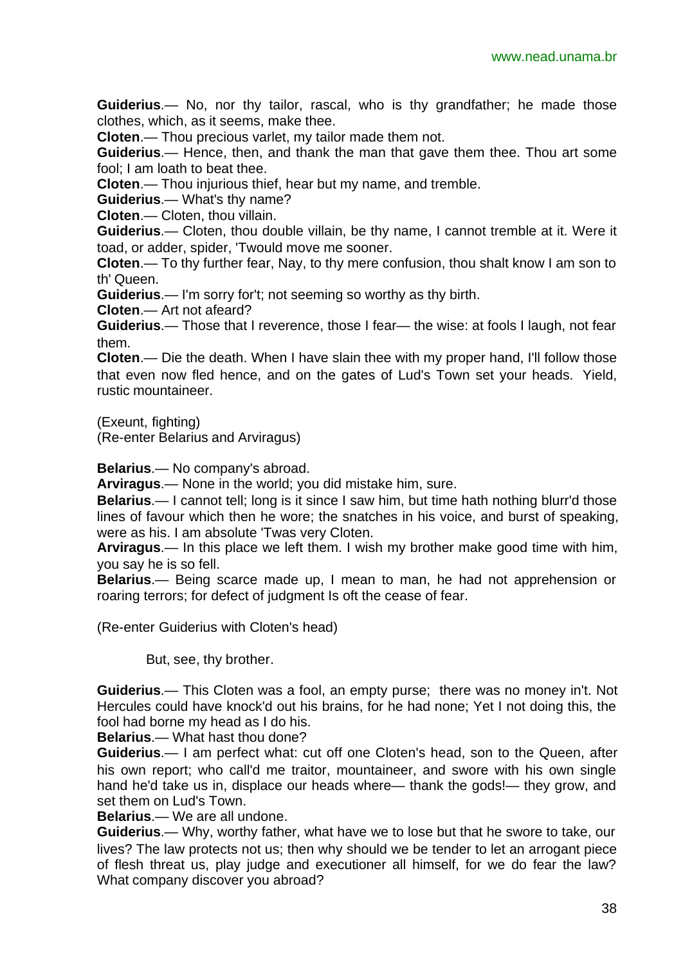**Guiderius**.— No, nor thy tailor, rascal, who is thy grandfather; he made those clothes, which, as it seems, make thee.

**Cloten**.— Thou precious varlet, my tailor made them not.

**Guiderius**.— Hence, then, and thank the man that gave them thee. Thou art some fool; I am loath to beat thee.

**Cloten**.— Thou injurious thief, hear but my name, and tremble.

**Guiderius**.— What's thy name?

**Cloten**.— Cloten, thou villain.

**Guiderius**.— Cloten, thou double villain, be thy name, I cannot tremble at it. Were it toad, or adder, spider, 'Twould move me sooner.

**Cloten**.— To thy further fear, Nay, to thy mere confusion, thou shalt know I am son to th' Queen.

**Guiderius**.— I'm sorry for't; not seeming so worthy as thy birth.

**Cloten**.— Art not afeard?

**Guiderius**.— Those that I reverence, those I fear— the wise: at fools I laugh, not fear them.

**Cloten**.— Die the death. When I have slain thee with my proper hand, I'll follow those that even now fled hence, and on the gates of Lud's Town set your heads. Yield, rustic mountaineer.

(Exeunt, fighting)

(Re-enter Belarius and Arviragus)

**Belarius**.— No company's abroad.

**Arviragus**.— None in the world; you did mistake him, sure.

**Belarius**.— I cannot tell; long is it since I saw him, but time hath nothing blurr'd those lines of favour which then he wore; the snatches in his voice, and burst of speaking, were as his. I am absolute 'Twas very Cloten.

**Arviragus**.— In this place we left them. I wish my brother make good time with him, you say he is so fell.

**Belarius**.— Being scarce made up, I mean to man, he had not apprehension or roaring terrors; for defect of judgment Is oft the cease of fear.

(Re-enter Guiderius with Cloten's head)

But, see, thy brother.

**Guiderius**.— This Cloten was a fool, an empty purse; there was no money in't. Not Hercules could have knock'd out his brains, for he had none; Yet I not doing this, the fool had borne my head as I do his.

**Belarius**.— What hast thou done?

**Guiderius**.— I am perfect what: cut off one Cloten's head, son to the Queen, after his own report; who call'd me traitor, mountaineer, and swore with his own single hand he'd take us in, displace our heads where— thank the gods!— they grow, and set them on Lud's Town.

**Belarius**.— We are all undone.

**Guiderius**.— Why, worthy father, what have we to lose but that he swore to take, our lives? The law protects not us; then why should we be tender to let an arrogant piece of flesh threat us, play judge and executioner all himself, for we do fear the law? What company discover you abroad?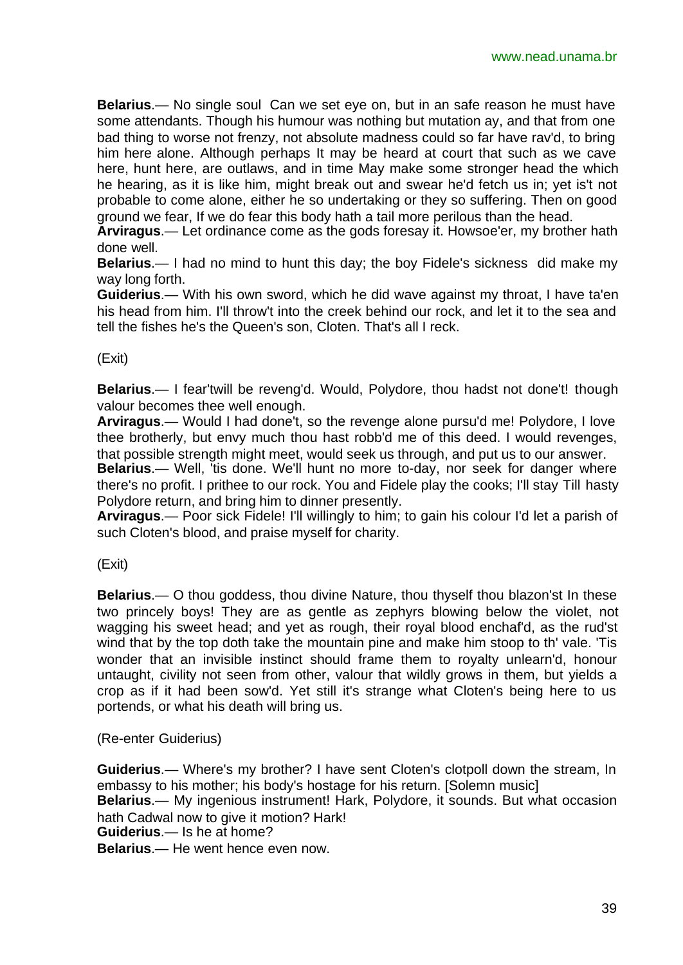**Belarius**.— No single soul Can we set eye on, but in an safe reason he must have some attendants. Though his humour was nothing but mutation ay, and that from one bad thing to worse not frenzy, not absolute madness could so far have rav'd, to bring him here alone. Although perhaps It may be heard at court that such as we cave here, hunt here, are outlaws, and in time May make some stronger head the which he hearing, as it is like him, might break out and swear he'd fetch us in; yet is't not probable to come alone, either he so undertaking or they so suffering. Then on good ground we fear, If we do fear this body hath a tail more perilous than the head.

**Arviragus**.— Let ordinance come as the gods foresay it. Howsoe'er, my brother hath done well.

**Belarius**.— I had no mind to hunt this day; the boy Fidele's sickness did make my way long forth.

**Guiderius**.— With his own sword, which he did wave against my throat, I have ta'en his head from him. I'll throw't into the creek behind our rock, and let it to the sea and tell the fishes he's the Queen's son, Cloten. That's all I reck.

#### (Exit)

**Belarius**.— I fear'twill be reveng'd. Would, Polydore, thou hadst not done't! though valour becomes thee well enough.

**Arviragus**.— Would I had done't, so the revenge alone pursu'd me! Polydore, I love thee brotherly, but envy much thou hast robb'd me of this deed. I would revenges, that possible strength might meet, would seek us through, and put us to our answer.

**Belarius**.— Well, 'tis done. We'll hunt no more to-day, nor seek for danger where there's no profit. I prithee to our rock. You and Fidele play the cooks; I'll stay Till hasty Polydore return, and bring him to dinner presently.

**Arviragus**.— Poor sick Fidele! I'll willingly to him; to gain his colour I'd let a parish of such Cloten's blood, and praise myself for charity.

(Exit)

**Belarius**.— O thou goddess, thou divine Nature, thou thyself thou blazon'st In these two princely boys! They are as gentle as zephyrs blowing below the violet, not wagging his sweet head; and yet as rough, their royal blood enchaf'd, as the rud'st wind that by the top doth take the mountain pine and make him stoop to th' vale. 'Tis wonder that an invisible instinct should frame them to royalty unlearn'd, honour untaught, civility not seen from other, valour that wildly grows in them, but yields a crop as if it had been sow'd. Yet still it's strange what Cloten's being here to us portends, or what his death will bring us.

(Re-enter Guiderius)

**Guiderius**.— Where's my brother? I have sent Cloten's clotpoll down the stream, In embassy to his mother; his body's hostage for his return. [Solemn music] **Belarius**.— My ingenious instrument! Hark, Polydore, it sounds. But what occasion hath Cadwal now to give it motion? Hark! **Guiderius**.— Is he at home?

**Belarius**.— He went hence even now.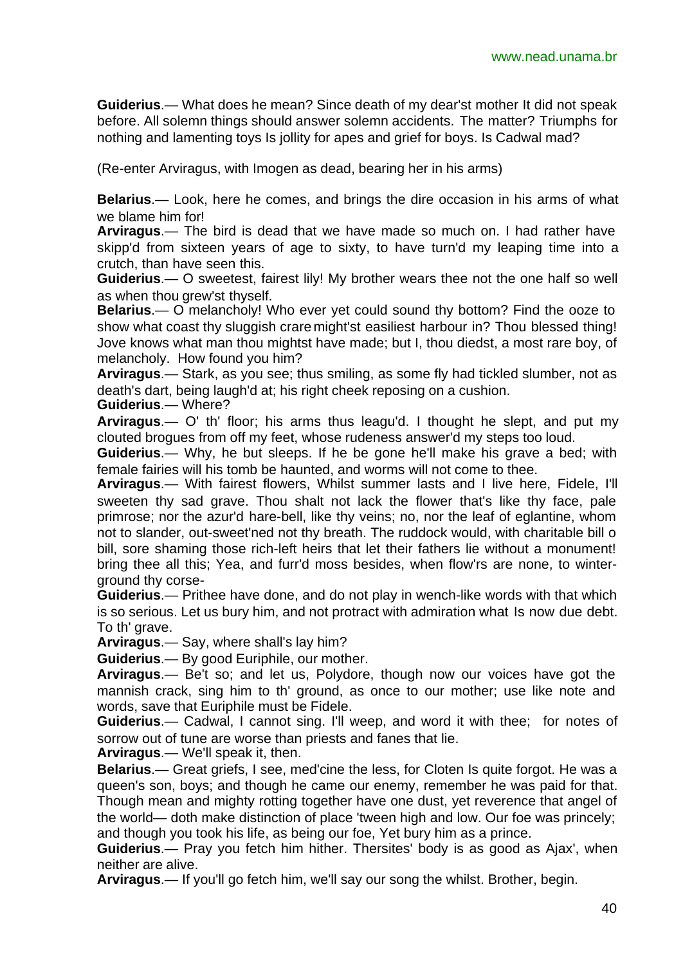**Guiderius**.— What does he mean? Since death of my dear'st mother It did not speak before. All solemn things should answer solemn accidents. The matter? Triumphs for nothing and lamenting toys Is jollity for apes and grief for boys. Is Cadwal mad?

(Re-enter Arviragus, with Imogen as dead, bearing her in his arms)

**Belarius**.— Look, here he comes, and brings the dire occasion in his arms of what we blame him for!

**Arviragus**.— The bird is dead that we have made so much on. I had rather have skipp'd from sixteen years of age to sixty, to have turn'd my leaping time into a crutch, than have seen this.

**Guiderius**.— O sweetest, fairest lily! My brother wears thee not the one half so well as when thou grew'st thyself.

**Belarius**.— O melancholy! Who ever yet could sound thy bottom? Find the ooze to show what coast thy sluggish crare might'st easiliest harbour in? Thou blessed thing! Jove knows what man thou mightst have made; but I, thou diedst, a most rare boy, of melancholy. How found you him?

**Arviragus**.— Stark, as you see; thus smiling, as some fly had tickled slumber, not as death's dart, being laugh'd at; his right cheek reposing on a cushion.

**Guiderius**.— Where?

**Arviragus**.— O' th' floor; his arms thus leagu'd. I thought he slept, and put my clouted brogues from off my feet, whose rudeness answer'd my steps too loud.

**Guiderius**.— Why, he but sleeps. If he be gone he'll make his grave a bed; with female fairies will his tomb be haunted, and worms will not come to thee.

**Arviragus**.— With fairest flowers, Whilst summer lasts and I live here, Fidele, I'll sweeten thy sad grave. Thou shalt not lack the flower that's like thy face, pale primrose; nor the azur'd hare-bell, like thy veins; no, nor the leaf of eglantine, whom not to slander, out-sweet'ned not thy breath. The ruddock would, with charitable bill o bill, sore shaming those rich-left heirs that let their fathers lie without a monument! bring thee all this; Yea, and furr'd moss besides, when flow'rs are none, to winterground thy corse-

**Guiderius**.— Prithee have done, and do not play in wench-like words with that which is so serious. Let us bury him, and not protract with admiration what Is now due debt. To th' grave.

**Arviragus**.— Say, where shall's lay him?

**Guiderius**.— By good Euriphile, our mother.

**Arviragus**.— Be't so; and let us, Polydore, though now our voices have got the mannish crack, sing him to th' ground, as once to our mother; use like note and words, save that Euriphile must be Fidele.

**Guiderius**.— Cadwal, I cannot sing. I'll weep, and word it with thee; for notes of sorrow out of tune are worse than priests and fanes that lie.

**Arviragus**.— We'll speak it, then.

**Belarius**.— Great griefs, I see, med'cine the less, for Cloten Is quite forgot. He was a queen's son, boys; and though he came our enemy, remember he was paid for that. Though mean and mighty rotting together have one dust, yet reverence that angel of the world— doth make distinction of place 'tween high and low. Our foe was princely; and though you took his life, as being our foe, Yet bury him as a prince.

**Guiderius**.— Pray you fetch him hither. Thersites' body is as good as Ajax', when neither are alive.

**Arviragus**.— If you'll go fetch him, we'll say our song the whilst. Brother, begin.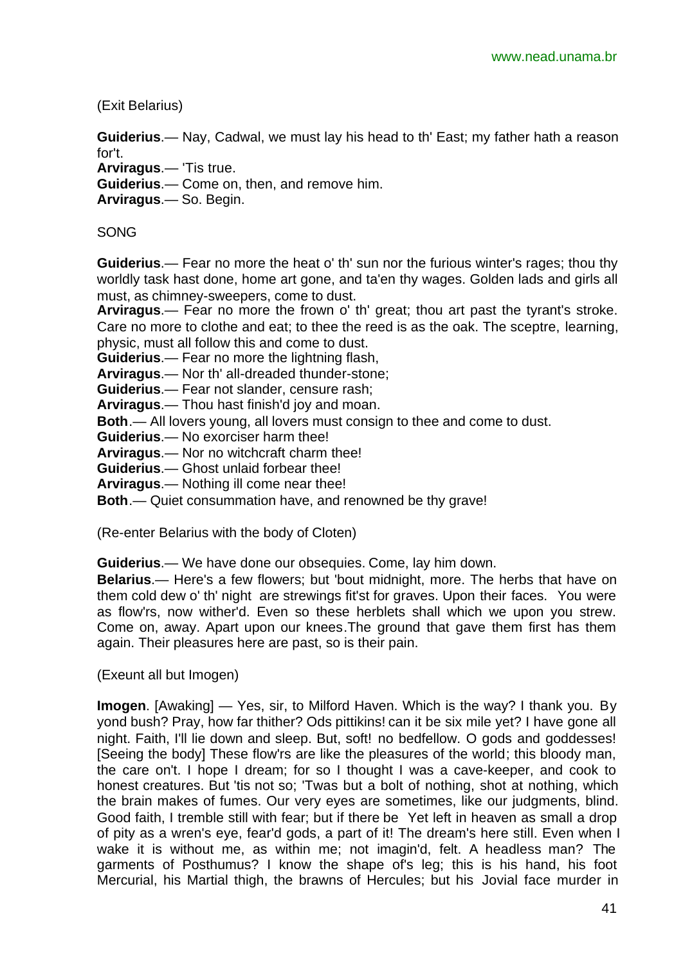(Exit Belarius)

**Guiderius**.— Nay, Cadwal, we must lay his head to th' East; my father hath a reason for't.

**Arviragus**.— 'Tis true.

**Guiderius**.— Come on, then, and remove him.

**Arviragus**.— So. Begin.

SONG

**Guiderius**.— Fear no more the heat o' th' sun nor the furious winter's rages; thou thy worldly task hast done, home art gone, and ta'en thy wages. Golden lads and girls all must, as chimney-sweepers, come to dust.

**Arviragus**.— Fear no more the frown o' th' great; thou art past the tyrant's stroke. Care no more to clothe and eat; to thee the reed is as the oak. The sceptre, learning, physic, must all follow this and come to dust.

**Guiderius**.— Fear no more the lightning flash,

**Arviragus**.— Nor th' all-dreaded thunder-stone;

**Guiderius**.— Fear not slander, censure rash;

**Arviragus**.— Thou hast finish'd joy and moan.

**Both**.— All lovers young, all lovers must consign to thee and come to dust.

**Guiderius**.— No exorciser harm thee!

**Arviragus**.— Nor no witchcraft charm thee!

**Guiderius**.— Ghost unlaid forbear thee!

**Arviragus**.— Nothing ill come near thee!

**Both**.— Quiet consummation have, and renowned be thy grave!

(Re-enter Belarius with the body of Cloten)

**Guiderius**.— We have done our obsequies. Come, lay him down.

**Belarius**.— Here's a few flowers; but 'bout midnight, more. The herbs that have on them cold dew o' th' night are strewings fit'st for graves. Upon their faces. You were as flow'rs, now wither'd. Even so these herblets shall which we upon you strew. Come on, away. Apart upon our knees.The ground that gave them first has them again. Their pleasures here are past, so is their pain.

(Exeunt all but Imogen)

**Imogen**. [Awaking] — Yes, sir, to Milford Haven. Which is the way? I thank you. By yond bush? Pray, how far thither? Ods pittikins! can it be six mile yet? I have gone all night. Faith, I'll lie down and sleep. But, soft! no bedfellow. O gods and goddesses! [Seeing the body] These flow'rs are like the pleasures of the world; this bloody man, the care on't. I hope I dream; for so I thought I was a cave-keeper, and cook to honest creatures. But 'tis not so; 'Twas but a bolt of nothing, shot at nothing, which the brain makes of fumes. Our very eyes are sometimes, like our judgments, blind. Good faith, I tremble still with fear; but if there be Yet left in heaven as small a drop of pity as a wren's eye, fear'd gods, a part of it! The dream's here still. Even when I wake it is without me, as within me; not imagin'd, felt. A headless man? The garments of Posthumus? I know the shape of's leg; this is his hand, his foot Mercurial, his Martial thigh, the brawns of Hercules; but his Jovial face murder in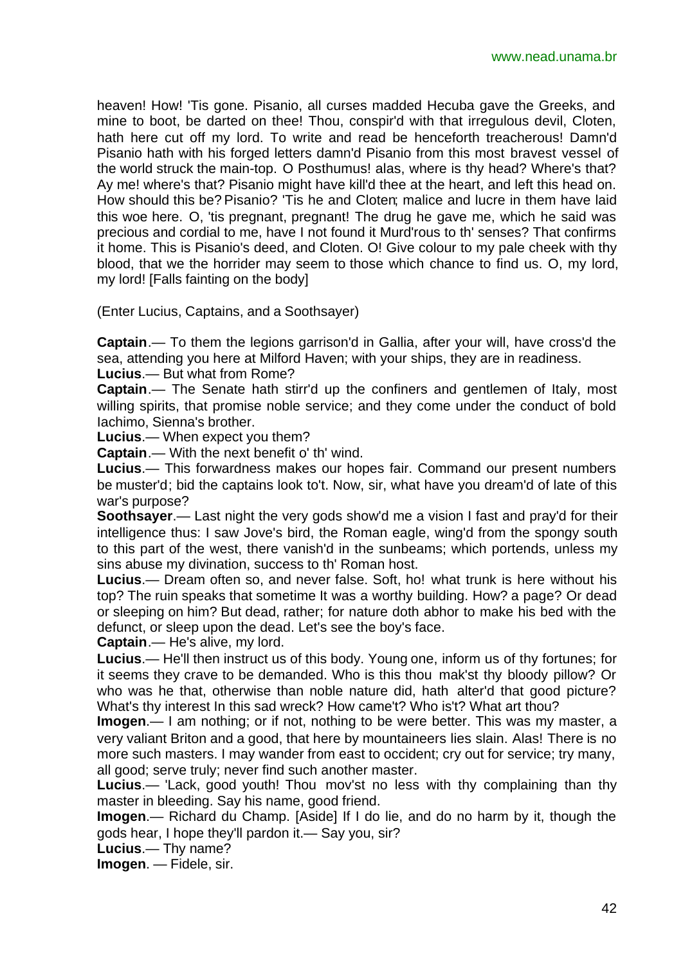heaven! How! 'Tis gone. Pisanio, all curses madded Hecuba gave the Greeks, and mine to boot, be darted on thee! Thou, conspir'd with that irregulous devil, Cloten, hath here cut off my lord. To write and read be henceforth treacherous! Damn'd Pisanio hath with his forged letters damn'd Pisanio from this most bravest vessel of the world struck the main-top. O Posthumus! alas, where is thy head? Where's that? Ay me! where's that? Pisanio might have kill'd thee at the heart, and left this head on. How should this be? Pisanio? 'Tis he and Cloten; malice and lucre in them have laid this woe here. O, 'tis pregnant, pregnant! The drug he gave me, which he said was precious and cordial to me, have I not found it Murd'rous to th' senses? That confirms it home. This is Pisanio's deed, and Cloten. O! Give colour to my pale cheek with thy blood, that we the horrider may seem to those which chance to find us. O, my lord, my lord! [Falls fainting on the body]

(Enter Lucius, Captains, and a Soothsayer)

**Captain**.— To them the legions garrison'd in Gallia, after your will, have cross'd the sea, attending you here at Milford Haven; with your ships, they are in readiness. **Lucius**.— But what from Rome?

**Captain**.— The Senate hath stirr'd up the confiners and gentlemen of Italy, most willing spirits, that promise noble service; and they come under the conduct of bold Iachimo, Sienna's brother.

**Lucius**.— When expect you them?

**Captain**.— With the next benefit o' th' wind.

**Lucius**.— This forwardness makes our hopes fair. Command our present numbers be muster'd; bid the captains look to't. Now, sir, what have you dream'd of late of this war's purpose?

**Soothsayer**.— Last night the very gods show'd me a vision I fast and pray'd for their intelligence thus: I saw Jove's bird, the Roman eagle, wing'd from the spongy south to this part of the west, there vanish'd in the sunbeams; which portends, unless my sins abuse my divination, success to th' Roman host.

**Lucius**.— Dream often so, and never false. Soft, ho! what trunk is here without his top? The ruin speaks that sometime It was a worthy building. How? a page? Or dead or sleeping on him? But dead, rather; for nature doth abhor to make his bed with the defunct, or sleep upon the dead. Let's see the boy's face.

**Captain**.— He's alive, my lord.

**Lucius**.— He'll then instruct us of this body. Young one, inform us of thy fortunes; for it seems they crave to be demanded. Who is this thou mak'st thy bloody pillow? Or who was he that, otherwise than noble nature did, hath alter'd that good picture? What's thy interest In this sad wreck? How came't? Who is't? What art thou?

**Imogen**.— I am nothing; or if not, nothing to be were better. This was my master, a very valiant Briton and a good, that here by mountaineers lies slain. Alas! There is no more such masters. I may wander from east to occident; cry out for service; try many, all good; serve truly; never find such another master.

**Lucius**.— 'Lack, good youth! Thou mov'st no less with thy complaining than thy master in bleeding. Say his name, good friend.

**Imogen**.— Richard du Champ. [Aside] If I do lie, and do no harm by it, though the gods hear, I hope they'll pardon it.— Say you, sir?

**Lucius**.— Thy name?

**Imogen**. — Fidele, sir.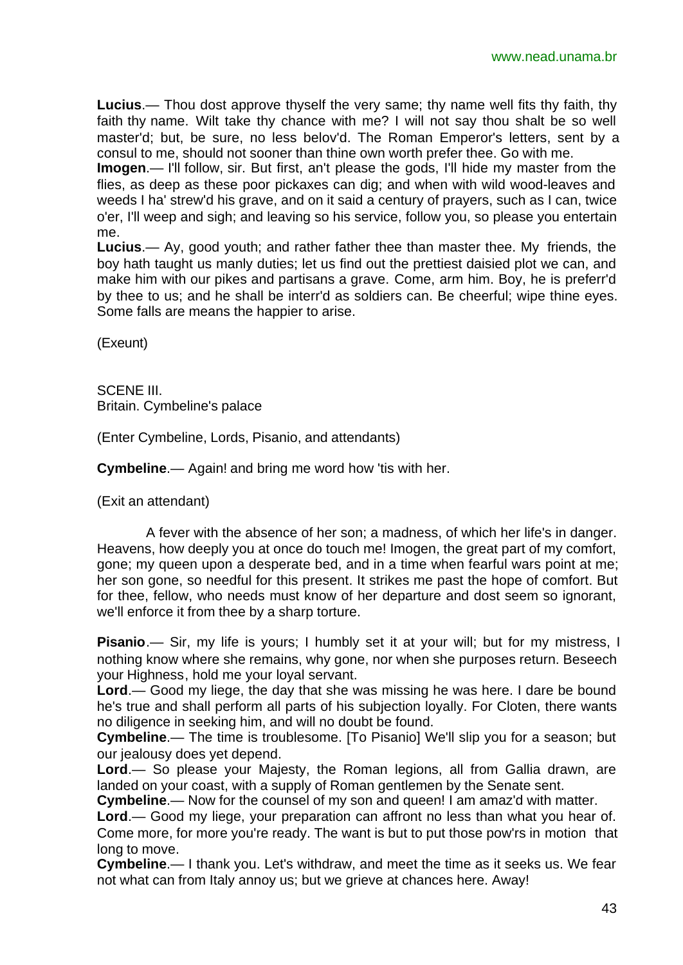**Lucius**.— Thou dost approve thyself the very same; thy name well fits thy faith, thy faith thy name. Wilt take thy chance with me? I will not say thou shalt be so well master'd; but, be sure, no less belov'd. The Roman Emperor's letters, sent by a consul to me, should not sooner than thine own worth prefer thee. Go with me.

**Imogen**.— I'll follow, sir. But first, an't please the gods, I'll hide my master from the flies, as deep as these poor pickaxes can dig; and when with wild wood-leaves and weeds I ha' strew'd his grave, and on it said a century of prayers, such as I can, twice o'er, I'll weep and sigh; and leaving so his service, follow you, so please you entertain me.

**Lucius**.— Ay, good youth; and rather father thee than master thee. My friends, the boy hath taught us manly duties; let us find out the prettiest daisied plot we can, and make him with our pikes and partisans a grave. Come, arm him. Boy, he is preferr'd by thee to us; and he shall be interr'd as soldiers can. Be cheerful; wipe thine eyes. Some falls are means the happier to arise.

(Exeunt)

SCENE III. Britain. Cymbeline's palace

(Enter Cymbeline, Lords, Pisanio, and attendants)

**Cymbeline**.— Again! and bring me word how 'tis with her.

(Exit an attendant)

A fever with the absence of her son; a madness, of which her life's in danger. Heavens, how deeply you at once do touch me! Imogen, the great part of my comfort, gone; my queen upon a desperate bed, and in a time when fearful wars point at me; her son gone, so needful for this present. It strikes me past the hope of comfort. But for thee, fellow, who needs must know of her departure and dost seem so ignorant, we'll enforce it from thee by a sharp torture.

**Pisanio**.— Sir, my life is yours; I humbly set it at your will; but for my mistress, I nothing know where she remains, why gone, nor when she purposes return. Beseech your Highness, hold me your loyal servant.

**Lord**.— Good my liege, the day that she was missing he was here. I dare be bound he's true and shall perform all parts of his subjection loyally. For Cloten, there wants no diligence in seeking him, and will no doubt be found.

**Cymbeline**.— The time is troublesome. [To Pisanio] We'll slip you for a season; but our jealousy does yet depend.

**Lord**.— So please your Majesty, the Roman legions, all from Gallia drawn, are landed on your coast, with a supply of Roman gentlemen by the Senate sent.

**Cymbeline**.— Now for the counsel of my son and queen! I am amaz'd with matter.

**Lord**.— Good my liege, your preparation can affront no less than what you hear of. Come more, for more you're ready. The want is but to put those pow'rs in motion that long to move.

**Cymbeline**.— I thank you. Let's withdraw, and meet the time as it seeks us. We fear not what can from Italy annoy us; but we grieve at chances here. Away!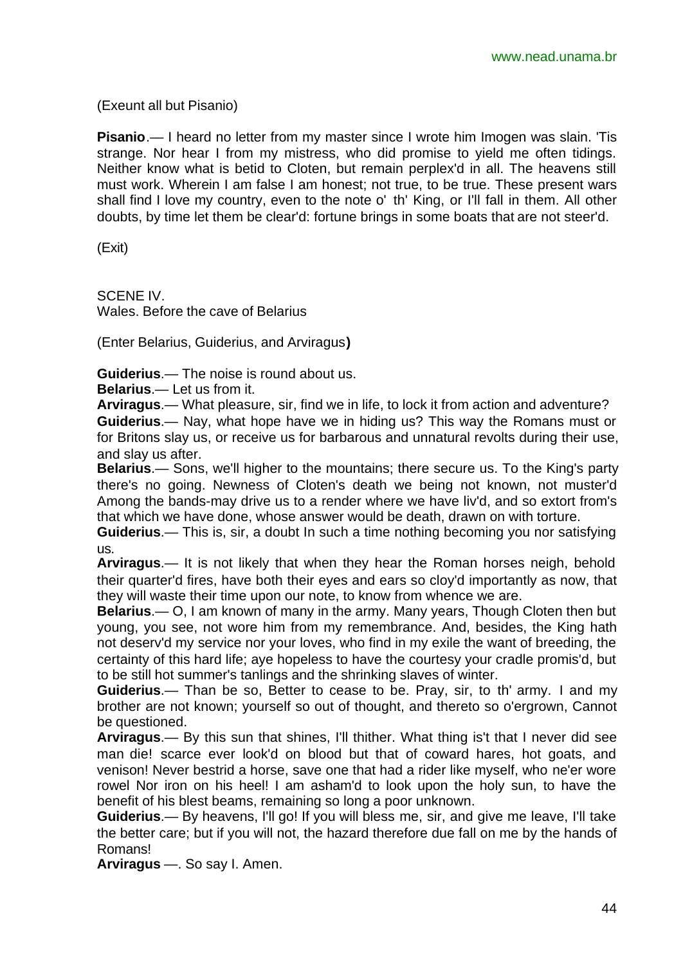(Exeunt all but Pisanio)

**Pisanio**.— I heard no letter from my master since I wrote him Imogen was slain. 'Tis strange. Nor hear I from my mistress, who did promise to yield me often tidings. Neither know what is betid to Cloten, but remain perplex'd in all. The heavens still must work. Wherein I am false I am honest; not true, to be true. These present wars shall find I love my country, even to the note o' th' King, or I'll fall in them. All other doubts, by time let them be clear'd: fortune brings in some boats that are not steer'd.

(Exit)

SCENE IV. Wales. Before the cave of Belarius

(Enter Belarius, Guiderius, and Arviragus**)**

**Guiderius**.— The noise is round about us.

**Belarius**.— Let us from it.

**Arviragus**.— What pleasure, sir, find we in life, to lock it from action and adventure?

**Guiderius**.— Nay, what hope have we in hiding us? This way the Romans must or for Britons slay us, or receive us for barbarous and unnatural revolts during their use, and slay us after.

**Belarius**.— Sons, we'll higher to the mountains; there secure us. To the King's party there's no going. Newness of Cloten's death we being not known, not muster'd Among the bands-may drive us to a render where we have liv'd, and so extort from's that which we have done, whose answer would be death, drawn on with torture.

**Guiderius**.— This is, sir, a doubt In such a time nothing becoming you nor satisfying us.

**Arviragus**.— It is not likely that when they hear the Roman horses neigh, behold their quarter'd fires, have both their eyes and ears so cloy'd importantly as now, that they will waste their time upon our note, to know from whence we are.

**Belarius**.— O, I am known of many in the army. Many years, Though Cloten then but young, you see, not wore him from my remembrance. And, besides, the King hath not deserv'd my service nor your loves, who find in my exile the want of breeding, the certainty of this hard life; aye hopeless to have the courtesy your cradle promis'd, but to be still hot summer's tanlings and the shrinking slaves of winter.

**Guiderius**.— Than be so, Better to cease to be. Pray, sir, to th' army. I and my brother are not known; yourself so out of thought, and thereto so o'ergrown, Cannot be questioned.

**Arviragus**.— By this sun that shines, I'll thither. What thing is't that I never did see man die! scarce ever look'd on blood but that of coward hares, hot goats, and venison! Never bestrid a horse, save one that had a rider like myself, who ne'er wore rowel Nor iron on his heel! I am asham'd to look upon the holy sun, to have the benefit of his blest beams, remaining so long a poor unknown.

**Guiderius**.— By heavens, I'll go! If you will bless me, sir, and give me leave, I'll take the better care; but if you will not, the hazard therefore due fall on me by the hands of Romans!

**Arviragus** —. So say I. Amen.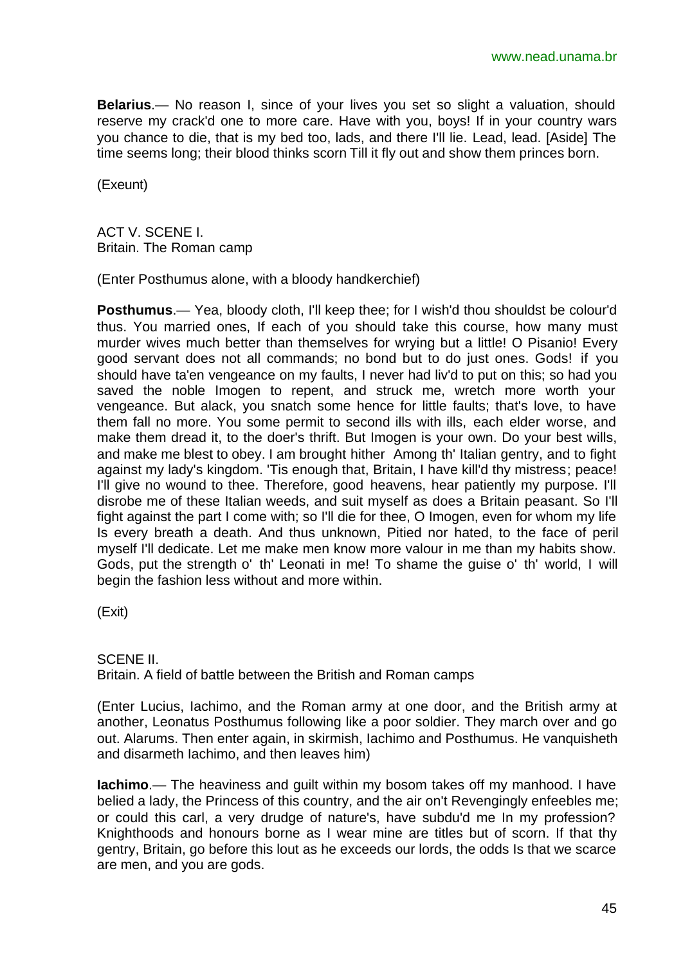**Belarius**.— No reason I, since of your lives you set so slight a valuation, should reserve my crack'd one to more care. Have with you, boys! If in your country wars you chance to die, that is my bed too, lads, and there I'll lie. Lead, lead. [Aside] The time seems long; their blood thinks scorn Till it fly out and show them princes born.

(Exeunt)

ACT V. SCENE I. Britain. The Roman camp

(Enter Posthumus alone, with a bloody handkerchief)

**Posthumus**.— Yea, bloody cloth, I'll keep thee; for I wish'd thou shouldst be colour'd thus. You married ones, If each of you should take this course, how many must murder wives much better than themselves for wrying but a little! O Pisanio! Every good servant does not all commands; no bond but to do just ones. Gods! if you should have ta'en vengeance on my faults, I never had liv'd to put on this; so had you saved the noble Imogen to repent, and struck me, wretch more worth your vengeance. But alack, you snatch some hence for little faults; that's love, to have them fall no more. You some permit to second ills with ills, each elder worse, and make them dread it, to the doer's thrift. But Imogen is your own. Do your best wills, and make me blest to obey. I am brought hither Among th' Italian gentry, and to fight against my lady's kingdom. 'Tis enough that, Britain, I have kill'd thy mistress; peace! I'll give no wound to thee. Therefore, good heavens, hear patiently my purpose. I'll disrobe me of these Italian weeds, and suit myself as does a Britain peasant. So I'll fight against the part I come with; so I'll die for thee, O Imogen, even for whom my life Is every breath a death. And thus unknown, Pitied nor hated, to the face of peril myself I'll dedicate. Let me make men know more valour in me than my habits show. Gods, put the strength o' th' Leonati in me! To shame the guise o' th' world, I will begin the fashion less without and more within.

(Exit)

SCENE II.

Britain. A field of battle between the British and Roman camps

(Enter Lucius, Iachimo, and the Roman army at one door, and the British army at another, Leonatus Posthumus following like a poor soldier. They march over and go out. Alarums. Then enter again, in skirmish, Iachimo and Posthumus. He vanquisheth and disarmeth Iachimo, and then leaves him)

**Iachimo**.— The heaviness and guilt within my bosom takes off my manhood. I have belied a lady, the Princess of this country, and the air on't Revengingly enfeebles me; or could this carl, a very drudge of nature's, have subdu'd me In my profession? Knighthoods and honours borne as I wear mine are titles but of scorn. If that thy gentry, Britain, go before this lout as he exceeds our lords, the odds Is that we scarce are men, and you are gods.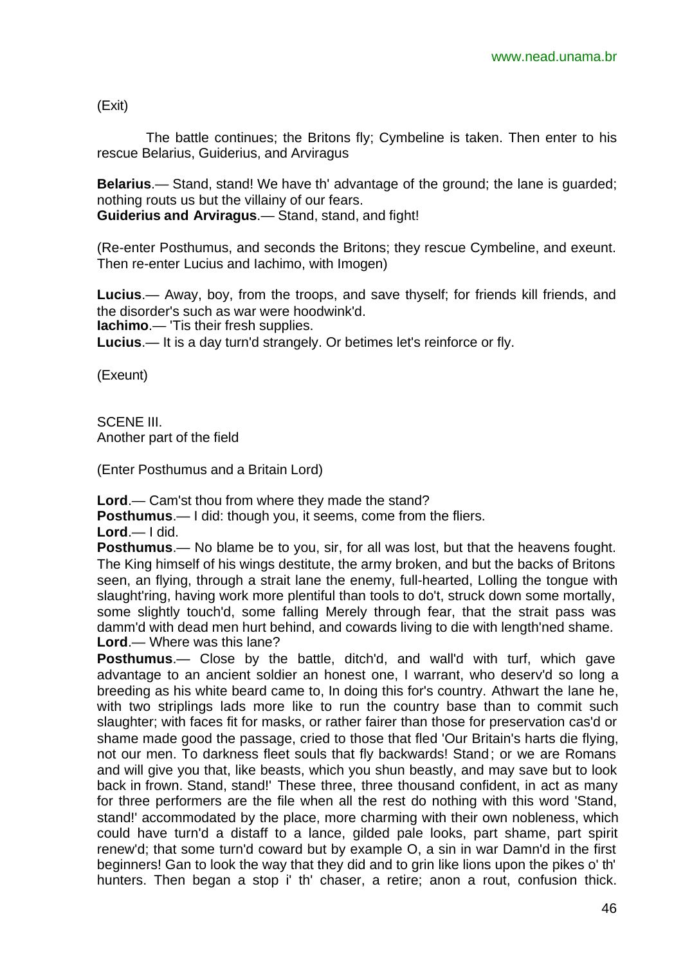(Exit)

The battle continues; the Britons fly; Cymbeline is taken. Then enter to his rescue Belarius, Guiderius, and Arviragus

**Belarius**.— Stand, stand! We have th' advantage of the ground; the lane is guarded; nothing routs us but the villainy of our fears.

**Guiderius and Arviragus**.— Stand, stand, and fight!

(Re-enter Posthumus, and seconds the Britons; they rescue Cymbeline, and exeunt. Then re-enter Lucius and Iachimo, with Imogen)

**Lucius**.— Away, boy, from the troops, and save thyself; for friends kill friends, and the disorder's such as war were hoodwink'd.

**Iachimo**.— 'Tis their fresh supplies.

**Lucius**.— It is a day turn'd strangely. Or betimes let's reinforce or fly.

(Exeunt)

SCENE III Another part of the field

(Enter Posthumus and a Britain Lord)

**Lord**.— Cam'st thou from where they made the stand?

**Posthumus**.— I did: though you, it seems, come from the fliers.

**Lord**.— I did.

**Posthumus**.— No blame be to you, sir, for all was lost, but that the heavens fought. The King himself of his wings destitute, the army broken, and but the backs of Britons seen, an flying, through a strait lane the enemy, full-hearted, Lolling the tongue with slaught'ring, having work more plentiful than tools to do't, struck down some mortally, some slightly touch'd, some falling Merely through fear, that the strait pass was damm'd with dead men hurt behind, and cowards living to die with length'ned shame. **Lord**.— Where was this lane?

**Posthumus**.— Close by the battle, ditch'd, and wall'd with turf, which gave advantage to an ancient soldier an honest one, I warrant, who deserv'd so long a breeding as his white beard came to, In doing this for's country. Athwart the lane he, with two striplings lads more like to run the country base than to commit such slaughter; with faces fit for masks, or rather fairer than those for preservation cas'd or shame made good the passage, cried to those that fled 'Our Britain's harts die flying, not our men. To darkness fleet souls that fly backwards! Stand; or we are Romans and will give you that, like beasts, which you shun beastly, and may save but to look back in frown. Stand, stand!' These three, three thousand confident, in act as many for three performers are the file when all the rest do nothing with this word 'Stand, stand!' accommodated by the place, more charming with their own nobleness, which could have turn'd a distaff to a lance, gilded pale looks, part shame, part spirit renew'd; that some turn'd coward but by example O, a sin in war Damn'd in the first beginners! Gan to look the way that they did and to grin like lions upon the pikes o' th' hunters. Then began a stop i' th' chaser, a retire; anon a rout, confusion thick.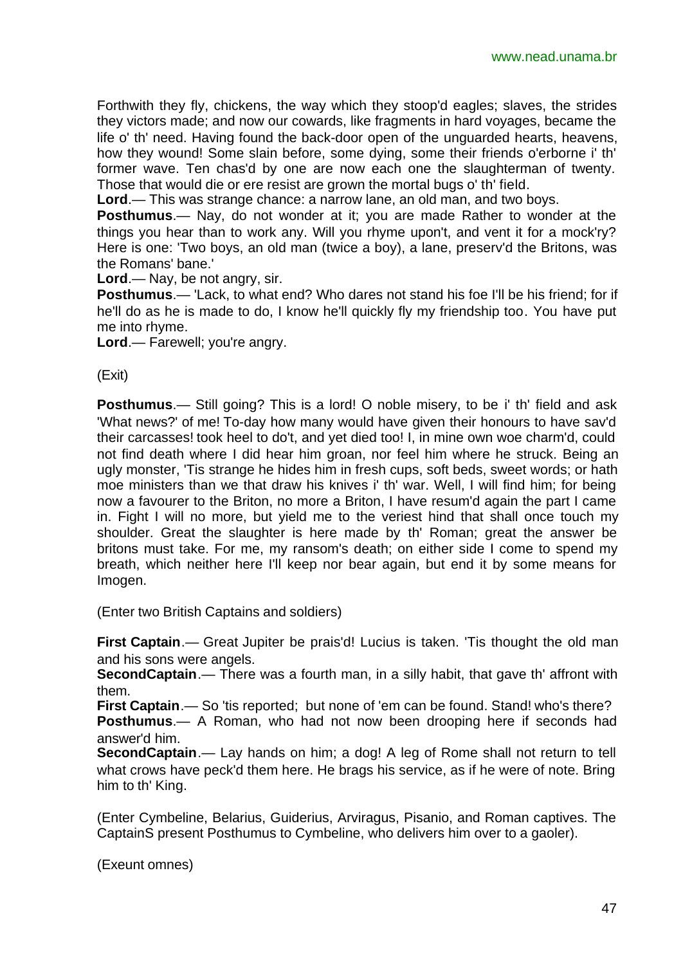Forthwith they fly, chickens, the way which they stoop'd eagles; slaves, the strides they victors made; and now our cowards, like fragments in hard voyages, became the life o' th' need. Having found the back-door open of the unguarded hearts, heavens, how they wound! Some slain before, some dying, some their friends o'erborne i' th' former wave. Ten chas'd by one are now each one the slaughterman of twenty. Those that would die or ere resist are grown the mortal bugs o' th' field.

**Lord**.— This was strange chance: a narrow lane, an old man, and two boys.

**Posthumus**.— Nay, do not wonder at it; you are made Rather to wonder at the things you hear than to work any. Will you rhyme upon't, and vent it for a mock'ry? Here is one: 'Two boys, an old man (twice a boy), a lane, preserv'd the Britons, was the Romans' bane.'

**Lord**.— Nay, be not angry, sir.

**Posthumus**.— 'Lack, to what end? Who dares not stand his foe I'll be his friend; for if he'll do as he is made to do, I know he'll quickly fly my friendship too. You have put me into rhyme.

**Lord**.— Farewell; you're angry.

(Exit)

**Posthumus**.— Still going? This is a lord! O noble misery, to be i' th' field and ask 'What news?' of me! To-day how many would have given their honours to have sav'd their carcasses! took heel to do't, and yet died too! I, in mine own woe charm'd, could not find death where I did hear him groan, nor feel him where he struck. Being an ugly monster, 'Tis strange he hides him in fresh cups, soft beds, sweet words; or hath moe ministers than we that draw his knives i' th' war. Well, I will find him; for being now a favourer to the Briton, no more a Briton, I have resum'd again the part I came in. Fight I will no more, but yield me to the veriest hind that shall once touch my shoulder. Great the slaughter is here made by th' Roman; great the answer be britons must take. For me, my ransom's death; on either side I come to spend my breath, which neither here I'll keep nor bear again, but end it by some means for Imogen.

(Enter two British Captains and soldiers)

**First Captain**.— Great Jupiter be prais'd! Lucius is taken. 'Tis thought the old man and his sons were angels.

**SecondCaptain**.— There was a fourth man, in a silly habit, that gave th' affront with them.

**First Captain**.— So 'tis reported; but none of 'em can be found. Stand! who's there?

**Posthumus**.— A Roman, who had not now been drooping here if seconds had answer'd him.

**SecondCaptain**.— Lay hands on him; a dog! A leg of Rome shall not return to tell what crows have peck'd them here. He brags his service, as if he were of note. Bring him to th' King.

(Enter Cymbeline, Belarius, Guiderius, Arviragus, Pisanio, and Roman captives. The CaptainS present Posthumus to Cymbeline, who delivers him over to a gaoler).

(Exeunt omnes)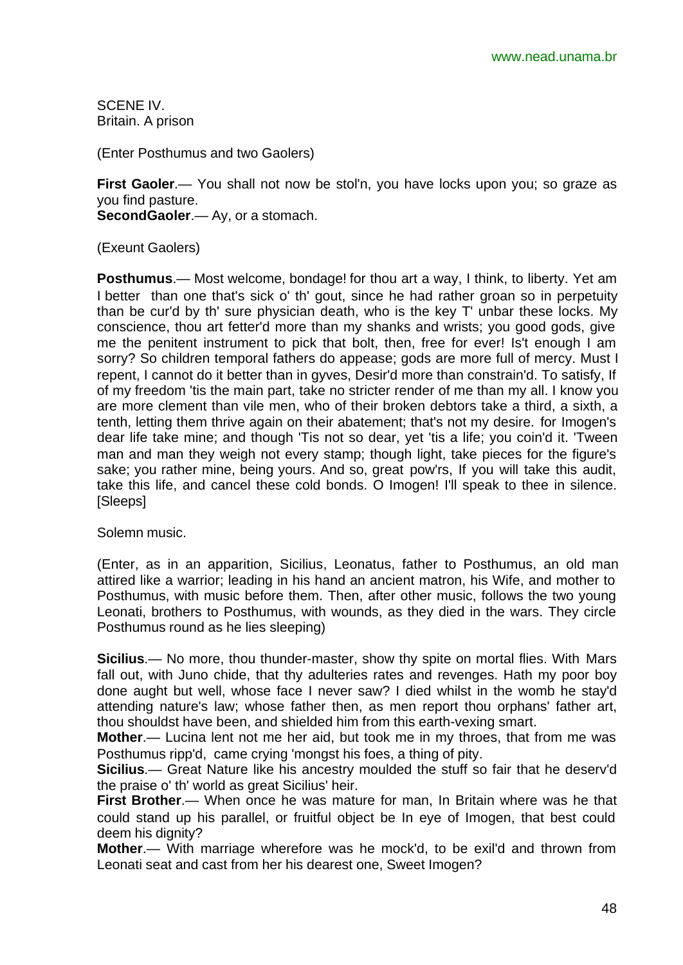SCENE IV. Britain. A prison

(Enter Posthumus and two Gaolers)

**First Gaoler**.— You shall not now be stol'n, you have locks upon you; so graze as you find pasture. **SecondGaoler**.— Ay, or a stomach.

(Exeunt Gaolers)

**Posthumus**.— Most welcome, bondage! for thou art a way, I think, to liberty. Yet am I better than one that's sick o' th' gout, since he had rather groan so in perpetuity than be cur'd by th' sure physician death, who is the key T' unbar these locks. My conscience, thou art fetter'd more than my shanks and wrists; you good gods, give me the penitent instrument to pick that bolt, then, free for ever! Is't enough I am sorry? So children temporal fathers do appease; gods are more full of mercy. Must I repent, I cannot do it better than in gyves, Desir'd more than constrain'd. To satisfy, If of my freedom 'tis the main part, take no stricter render of me than my all. I know you are more clement than vile men, who of their broken debtors take a third, a sixth, a tenth, letting them thrive again on their abatement; that's not my desire. for Imogen's dear life take mine; and though 'Tis not so dear, yet 'tis a life; you coin'd it. 'Tween man and man they weigh not every stamp; though light, take pieces for the figure's sake; you rather mine, being yours. And so, great pow'rs, If you will take this audit, take this life, and cancel these cold bonds. O Imogen! I'll speak to thee in silence. [Sleeps]

Solemn music.

(Enter, as in an apparition, Sicilius, Leonatus, father to Posthumus, an old man attired like a warrior; leading in his hand an ancient matron, his Wife, and mother to Posthumus, with music before them. Then, after other music, follows the two young Leonati, brothers to Posthumus, with wounds, as they died in the wars. They circle Posthumus round as he lies sleeping)

**Sicilius**.— No more, thou thunder-master, show thy spite on mortal flies. With Mars fall out, with Juno chide, that thy adulteries rates and revenges. Hath my poor boy done aught but well, whose face I never saw? I died whilst in the womb he stay'd attending nature's law; whose father then, as men report thou orphans' father art, thou shouldst have been, and shielded him from this earth-vexing smart.

**Mother**.— Lucina lent not me her aid, but took me in my throes, that from me was Posthumus ripp'd, came crying 'mongst his foes, a thing of pity.

**Sicilius**.— Great Nature like his ancestry moulded the stuff so fair that he deserv'd the praise o' th' world as great Sicilius' heir.

**First Brother**.— When once he was mature for man, In Britain where was he that could stand up his parallel, or fruitful object be In eye of Imogen, that best could deem his dignity?

**Mother**.— With marriage wherefore was he mock'd, to be exil'd and thrown from Leonati seat and cast from her his dearest one, Sweet Imogen?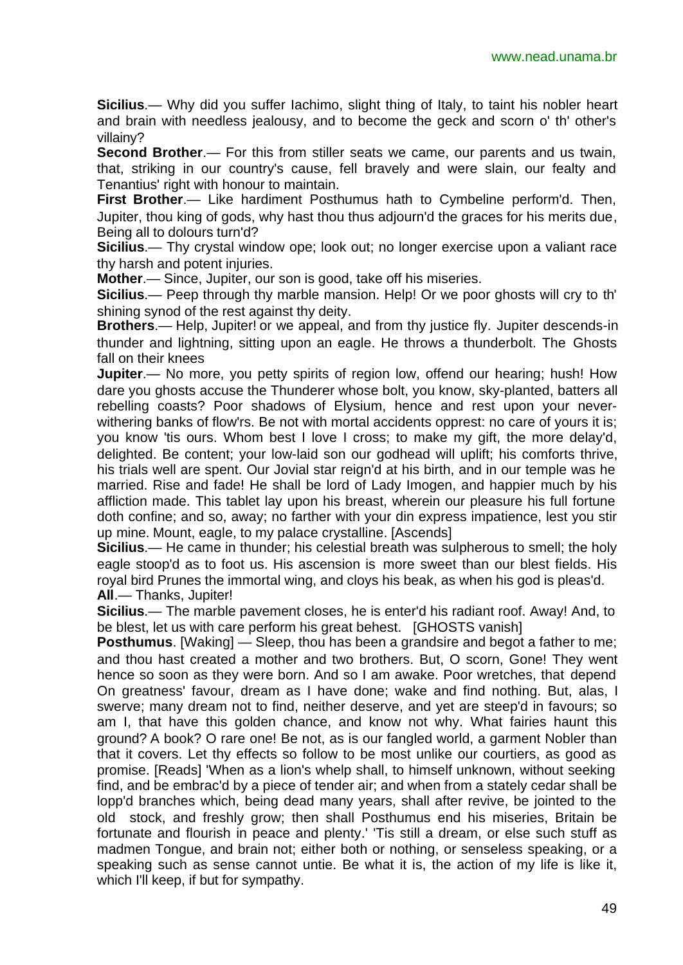**Sicilius**.— Why did you suffer Iachimo, slight thing of Italy, to taint his nobler heart and brain with needless jealousy, and to become the geck and scorn o' th' other's villainy?

**Second Brother**.— For this from stiller seats we came, our parents and us twain, that, striking in our country's cause, fell bravely and were slain, our fealty and Tenantius' right with honour to maintain.

**First Brother**.— Like hardiment Posthumus hath to Cymbeline perform'd. Then, Jupiter, thou king of gods, why hast thou thus adjourn'd the graces for his merits due, Being all to dolours turn'd?

**Sicilius**.— Thy crystal window ope; look out; no longer exercise upon a valiant race thy harsh and potent injuries.

**Mother**.— Since, Jupiter, our son is good, take off his miseries.

**Sicilius**.— Peep through thy marble mansion. Help! Or we poor ghosts will cry to th' shining synod of the rest against thy deity.

**Brothers**.— Help, Jupiter! or we appeal, and from thy justice fly. Jupiter descends-in thunder and lightning, sitting upon an eagle. He throws a thunderbolt. The Ghosts fall on their knees

**Jupiter.**— No more, you petty spirits of region low, offend our hearing; hush! How dare you ghosts accuse the Thunderer whose bolt, you know, sky-planted, batters all rebelling coasts? Poor shadows of Elysium, hence and rest upon your neverwithering banks of flow'rs. Be not with mortal accidents opprest: no care of yours it is; you know 'tis ours. Whom best I love I cross; to make my gift, the more delay'd, delighted. Be content; your low-laid son our godhead will uplift; his comforts thrive, his trials well are spent. Our Jovial star reign'd at his birth, and in our temple was he married. Rise and fade! He shall be lord of Lady Imogen, and happier much by his affliction made. This tablet lay upon his breast, wherein our pleasure his full fortune doth confine; and so, away; no farther with your din express impatience, lest you stir up mine. Mount, eagle, to my palace crystalline. [Ascends]

**Sicilius**.— He came in thunder; his celestial breath was sulpherous to smell; the holy eagle stoop'd as to foot us. His ascension is more sweet than our blest fields. His royal bird Prunes the immortal wing, and cloys his beak, as when his god is pleas'd. **All**.— Thanks, Jupiter!

**Sicilius**.— The marble pavement closes, he is enter'd his radiant roof. Away! And, to be blest, let us with care perform his great behest. [GHOSTS vanish]

**Posthumus**. [Waking] — Sleep, thou has been a grandsire and begot a father to me; and thou hast created a mother and two brothers. But, O scorn, Gone! They went hence so soon as they were born. And so I am awake. Poor wretches, that depend On greatness' favour, dream as I have done; wake and find nothing. But, alas, I swerve; many dream not to find, neither deserve, and yet are steep'd in favours; so am I, that have this golden chance, and know not why. What fairies haunt this ground? A book? O rare one! Be not, as is our fangled world, a garment Nobler than that it covers. Let thy effects so follow to be most unlike our courtiers, as good as promise. [Reads] 'When as a lion's whelp shall, to himself unknown, without seeking find, and be embrac'd by a piece of tender air; and when from a stately cedar shall be lopp'd branches which, being dead many years, shall after revive, be jointed to the old stock, and freshly grow; then shall Posthumus end his miseries, Britain be fortunate and flourish in peace and plenty.' 'Tis still a dream, or else such stuff as madmen Tongue, and brain not; either both or nothing, or senseless speaking, or a speaking such as sense cannot untie. Be what it is, the action of my life is like it, which I'll keep, if but for sympathy.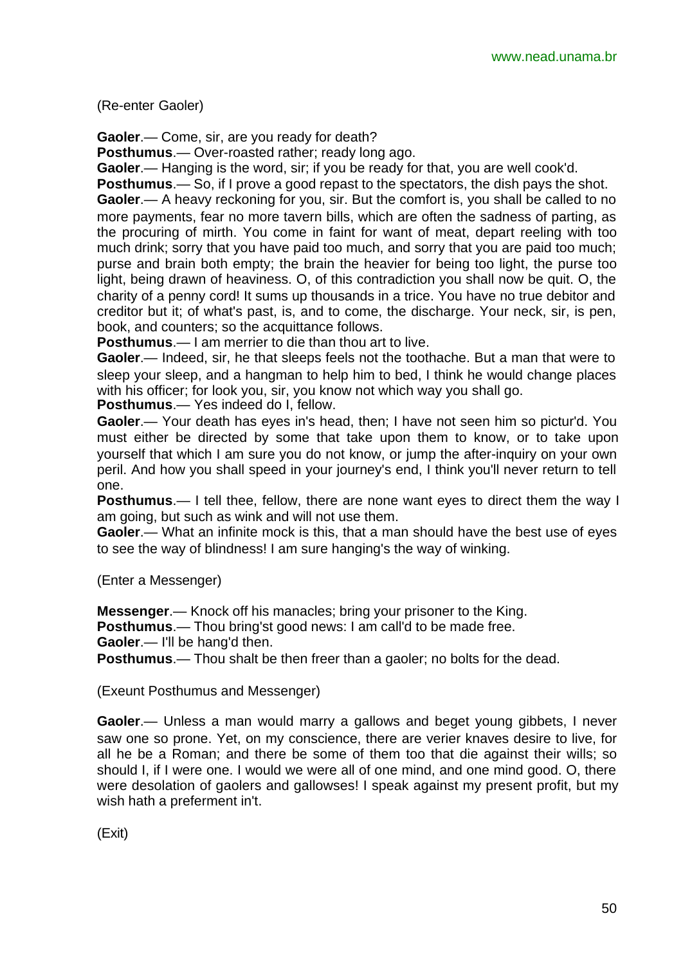(Re-enter Gaoler)

**Gaoler**.— Come, sir, are you ready for death?

**Posthumus**.— Over-roasted rather; ready long ago.

**Gaoler**.— Hanging is the word, sir; if you be ready for that, you are well cook'd.

**Posthumus**.— So, if I prove a good repast to the spectators, the dish pays the shot. **Gaoler**.— A heavy reckoning for you, sir. But the comfort is, you shall be called to no more payments, fear no more tavern bills, which are often the sadness of parting, as the procuring of mirth. You come in faint for want of meat, depart reeling with too much drink; sorry that you have paid too much, and sorry that you are paid too much; purse and brain both empty; the brain the heavier for being too light, the purse too light, being drawn of heaviness. O, of this contradiction you shall now be quit. O, the charity of a penny cord! It sums up thousands in a trice. You have no true debitor and creditor but it; of what's past, is, and to come, the discharge. Your neck, sir, is pen, book, and counters; so the acquittance follows.

**Posthumus**.— I am merrier to die than thou art to live.

**Gaoler**.— Indeed, sir, he that sleeps feels not the toothache. But a man that were to sleep your sleep, and a hangman to help him to bed, I think he would change places with his officer; for look you, sir, you know not which way you shall go.

**Posthumus**.— Yes indeed do I, fellow.

**Gaoler**.— Your death has eyes in's head, then; I have not seen him so pictur'd. You must either be directed by some that take upon them to know, or to take upon yourself that which I am sure you do not know, or jump the after-inquiry on your own peril. And how you shall speed in your journey's end, I think you'll never return to tell one.

**Posthumus**.— I tell thee, fellow, there are none want eyes to direct them the way I am going, but such as wink and will not use them.

**Gaoler**.— What an infinite mock is this, that a man should have the best use of eyes to see the way of blindness! I am sure hanging's the way of winking.

(Enter a Messenger)

**Messenger**.— Knock off his manacles; bring your prisoner to the King. **Posthumus**.— Thou bring'st good news: I am call'd to be made free. **Gaoler**.— I'll be hang'd then. **Posthumus**.— Thou shalt be then freer than a gaoler; no bolts for the dead.

(Exeunt Posthumus and Messenger)

**Gaoler**.— Unless a man would marry a gallows and beget young gibbets, I never saw one so prone. Yet, on my conscience, there are verier knaves desire to live, for all he be a Roman; and there be some of them too that die against their wills; so should I, if I were one. I would we were all of one mind, and one mind good. O, there were desolation of gaolers and gallowses! I speak against my present profit, but my wish hath a preferment in't.

(Exit)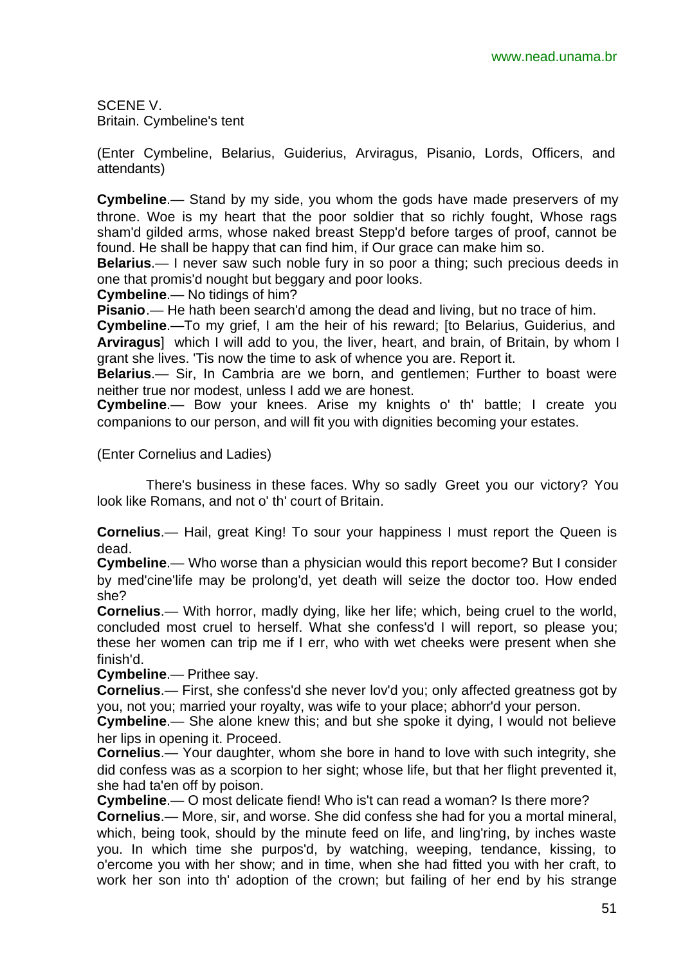SCENE V. Britain. Cymbeline's tent

(Enter Cymbeline, Belarius, Guiderius, Arviragus, Pisanio, Lords, Officers, and attendants)

**Cymbeline**.— Stand by my side, you whom the gods have made preservers of my throne. Woe is my heart that the poor soldier that so richly fought, Whose rags sham'd gilded arms, whose naked breast Stepp'd before targes of proof, cannot be found. He shall be happy that can find him, if Our grace can make him so.

**Belarius**.— I never saw such noble fury in so poor a thing; such precious deeds in one that promis'd nought but beggary and poor looks.

**Cymbeline**.— No tidings of him?

**Pisanio**.— He hath been search'd among the dead and living, but no trace of him.

**Cymbeline**.—To my grief, I am the heir of his reward; [to Belarius, Guiderius, and **Arviragus**] which I will add to you, the liver, heart, and brain, of Britain, by whom I grant she lives. 'Tis now the time to ask of whence you are. Report it.

**Belarius**.— Sir, In Cambria are we born, and gentlemen; Further to boast were neither true nor modest, unless I add we are honest.

**Cymbeline**.— Bow your knees. Arise my knights o' th' battle; I create you companions to our person, and will fit you with dignities becoming your estates.

(Enter Cornelius and Ladies)

There's business in these faces. Why so sadly Greet you our victory? You look like Romans, and not o' th' court of Britain.

**Cornelius**.— Hail, great King! To sour your happiness I must report the Queen is dead.

**Cymbeline**.— Who worse than a physician would this report become? But I consider by med'cine'life may be prolong'd, yet death will seize the doctor too. How ended she?

**Cornelius**.— With horror, madly dying, like her life; which, being cruel to the world, concluded most cruel to herself. What she confess'd I will report, so please you; these her women can trip me if I err, who with wet cheeks were present when she finish'd.

**Cymbeline**.— Prithee say.

**Cornelius**.— First, she confess'd she never lov'd you; only affected greatness got by you, not you; married your royalty, was wife to your place; abhorr'd your person.

**Cymbeline**.— She alone knew this; and but she spoke it dying, I would not believe her lips in opening it. Proceed.

**Cornelius**.— Your daughter, whom she bore in hand to love with such integrity, she did confess was as a scorpion to her sight; whose life, but that her flight prevented it, she had ta'en off by poison.

**Cymbeline**.— O most delicate fiend! Who is't can read a woman? Is there more?

**Cornelius**.— More, sir, and worse. She did confess she had for you a mortal mineral, which, being took, should by the minute feed on life, and ling'ring, by inches waste you. In which time she purpos'd, by watching, weeping, tendance, kissing, to o'ercome you with her show; and in time, when she had fitted you with her craft, to work her son into th' adoption of the crown; but failing of her end by his strange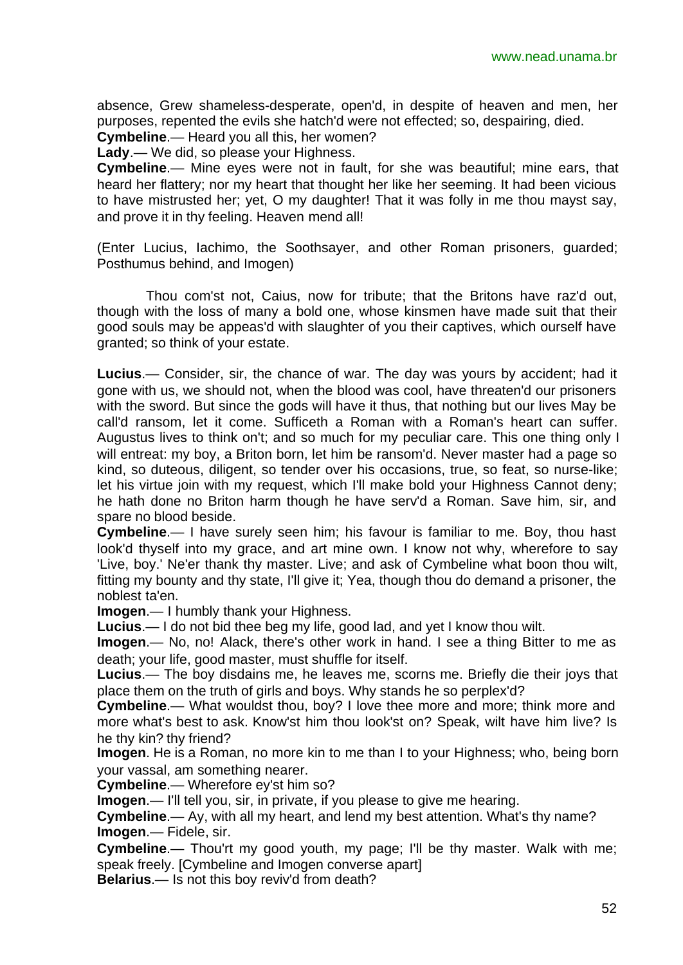absence, Grew shameless-desperate, open'd, in despite of heaven and men, her purposes, repented the evils she hatch'd were not effected; so, despairing, died.

**Cymbeline**.— Heard you all this, her women?

**Lady**.— We did, so please your Highness.

**Cymbeline**.— Mine eyes were not in fault, for she was beautiful; mine ears, that heard her flattery; nor my heart that thought her like her seeming. It had been vicious to have mistrusted her; yet, O my daughter! That it was folly in me thou mayst say, and prove it in thy feeling. Heaven mend all!

(Enter Lucius, Iachimo, the Soothsayer, and other Roman prisoners, guarded; Posthumus behind, and Imogen)

Thou com'st not, Caius, now for tribute; that the Britons have raz'd out, though with the loss of many a bold one, whose kinsmen have made suit that their good souls may be appeas'd with slaughter of you their captives, which ourself have granted; so think of your estate.

**Lucius**.— Consider, sir, the chance of war. The day was yours by accident; had it gone with us, we should not, when the blood was cool, have threaten'd our prisoners with the sword. But since the gods will have it thus, that nothing but our lives May be call'd ransom, let it come. Sufficeth a Roman with a Roman's heart can suffer. Augustus lives to think on't; and so much for my peculiar care. This one thing only I will entreat: my boy, a Briton born, let him be ransom'd. Never master had a page so kind, so duteous, diligent, so tender over his occasions, true, so feat, so nurse-like; let his virtue join with my request, which I'll make bold your Highness Cannot deny; he hath done no Briton harm though he have serv'd a Roman. Save him, sir, and spare no blood beside.

**Cymbeline**.— I have surely seen him; his favour is familiar to me. Boy, thou hast look'd thyself into my grace, and art mine own. I know not why, wherefore to say 'Live, boy.' Ne'er thank thy master. Live; and ask of Cymbeline what boon thou wilt, fitting my bounty and thy state, I'll give it; Yea, though thou do demand a prisoner, the noblest ta'en.

**Imogen**.— I humbly thank your Highness.

**Lucius**.— I do not bid thee beg my life, good lad, and yet I know thou wilt.

**Imogen**.— No, no! Alack, there's other work in hand. I see a thing Bitter to me as death; your life, good master, must shuffle for itself.

**Lucius**.— The boy disdains me, he leaves me, scorns me. Briefly die their joys that place them on the truth of girls and boys. Why stands he so perplex'd?

**Cymbeline**.— What wouldst thou, boy? I love thee more and more; think more and more what's best to ask. Know'st him thou look'st on? Speak, wilt have him live? Is he thy kin? thy friend?

**Imogen**. He is a Roman, no more kin to me than I to your Highness; who, being born your vassal, am something nearer.

**Cymbeline**.— Wherefore ey'st him so?

**Imogen**.— I'll tell you, sir, in private, if you please to give me hearing.

**Cymbeline**.— Ay, with all my heart, and lend my best attention. What's thy name? **Imogen**.— Fidele, sir.

**Cymbeline**.— Thou'rt my good youth, my page; I'll be thy master. Walk with me; speak freely. [Cymbeline and Imogen converse apart]

**Belarius**.— Is not this boy reviv'd from death?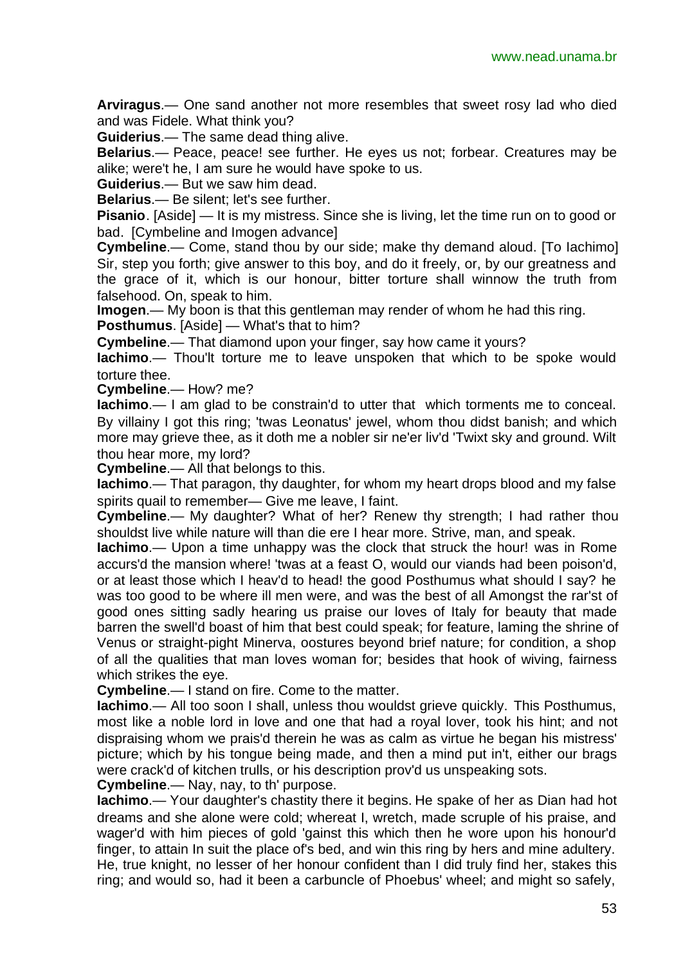**Arviragus**.— One sand another not more resembles that sweet rosy lad who died and was Fidele. What think you?

**Guiderius**.— The same dead thing alive.

**Belarius**.— Peace, peace! see further. He eyes us not; forbear. Creatures may be alike; were't he, I am sure he would have spoke to us.

**Guiderius**.— But we saw him dead.

**Belarius**.— Be silent; let's see further.

**Pisanio**. [Aside] — It is my mistress. Since she is living, let the time run on to good or bad. [Cymbeline and Imogen advance]

**Cymbeline**.— Come, stand thou by our side; make thy demand aloud. [To Iachimo] Sir, step you forth; give answer to this boy, and do it freely, or, by our greatness and the grace of it, which is our honour, bitter torture shall winnow the truth from falsehood. On, speak to him.

**Imogen.**— My boon is that this gentleman may render of whom he had this ring. **Posthumus**. [Aside] — What's that to him?

**Cymbeline**.— That diamond upon your finger, say how came it yours?

**Iachimo**.— Thou'lt torture me to leave unspoken that which to be spoke would torture thee.

**Cymbeline**.— How? me?

**Iachimo**.— I am glad to be constrain'd to utter that which torments me to conceal. By villainy I got this ring; 'twas Leonatus' jewel, whom thou didst banish; and which more may grieve thee, as it doth me a nobler sir ne'er liv'd 'Twixt sky and ground. Wilt thou hear more, my lord?

**Cymbeline**.— All that belongs to this.

**Iachimo**.— That paragon, thy daughter, for whom my heart drops blood and my false spirits quail to remember— Give me leave, I faint.

**Cymbeline**.— My daughter? What of her? Renew thy strength; I had rather thou shouldst live while nature will than die ere I hear more. Strive, man, and speak.

**Iachimo**.— Upon a time unhappy was the clock that struck the hour! was in Rome accurs'd the mansion where! 'twas at a feast O, would our viands had been poison'd, or at least those which I heav'd to head! the good Posthumus what should I say? he was too good to be where ill men were, and was the best of all Amongst the rar'st of good ones sitting sadly hearing us praise our loves of Italy for beauty that made barren the swell'd boast of him that best could speak; for feature, laming the shrine of Venus or straight-pight Minerva, oostures beyond brief nature; for condition, a shop of all the qualities that man loves woman for; besides that hook of wiving, fairness which strikes the eye.

**Cymbeline**.— I stand on fire. Come to the matter.

**Iachimo**.— All too soon I shall, unless thou wouldst grieve quickly. This Posthumus, most like a noble lord in love and one that had a royal lover, took his hint; and not dispraising whom we prais'd therein he was as calm as virtue he began his mistress' picture; which by his tongue being made, and then a mind put in't, either our brags were crack'd of kitchen trulls, or his description prov'd us unspeaking sots.

**Cymbeline**.— Nay, nay, to th' purpose.

**Iachimo**.— Your daughter's chastity there it begins. He spake of her as Dian had hot dreams and she alone were cold; whereat I, wretch, made scruple of his praise, and wager'd with him pieces of gold 'gainst this which then he wore upon his honour'd finger, to attain In suit the place of's bed, and win this ring by hers and mine adultery. He, true knight, no lesser of her honour confident than I did truly find her, stakes this ring; and would so, had it been a carbuncle of Phoebus' wheel; and might so safely,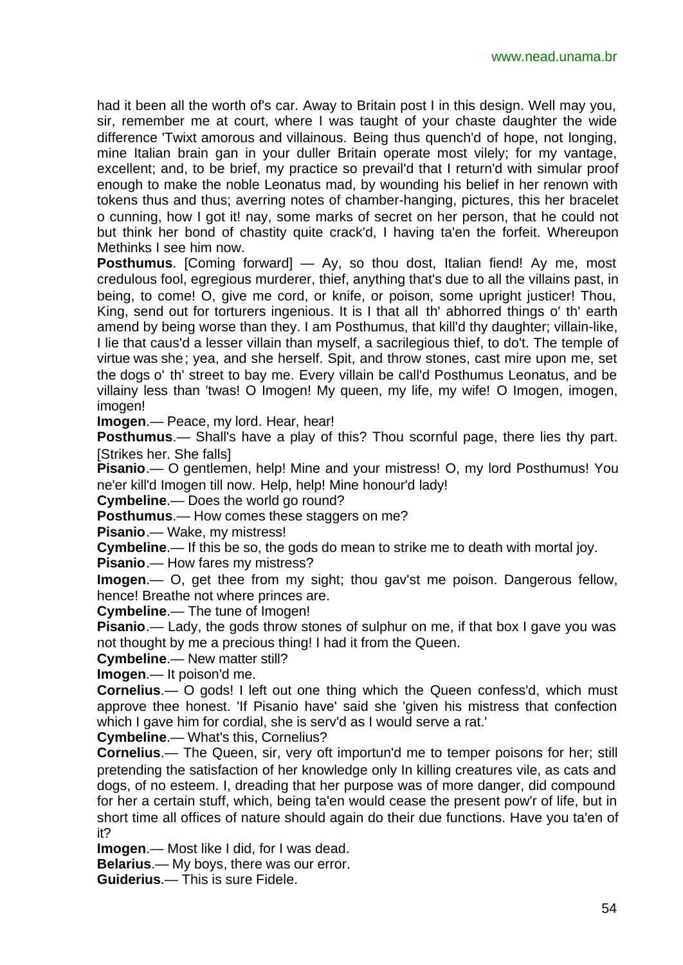had it been all the worth of's car. Away to Britain post I in this design. Well may you, sir, remember me at court, where I was taught of your chaste daughter the wide difference 'Twixt amorous and villainous. Being thus quench'd of hope, not longing, mine Italian brain gan in your duller Britain operate most vilely; for my vantage, excellent; and, to be brief, my practice so prevail'd that I return'd with simular proof enough to make the noble Leonatus mad, by wounding his belief in her renown with tokens thus and thus; averring notes of chamber-hanging, pictures, this her bracelet o cunning, how I got it! nay, some marks of secret on her person, that he could not but think her bond of chastity quite crack'd, I having ta'en the forfeit. Whereupon Methinks I see him now.

**Posthumus**. [Coming forward] — Ay, so thou dost, Italian fiend! Ay me, most credulous fool, egregious murderer, thief, anything that's due to all the villains past, in being, to come! O, give me cord, or knife, or poison, some upright justicer! Thou, King, send out for torturers ingenious. It is I that all th' abhorred things o' th' earth amend by being worse than they. I am Posthumus, that kill'd thy daughter; villain-like, I lie that caus'd a lesser villain than myself, a sacrilegious thief, to do't. The temple of virtue was she; yea, and she herself. Spit, and throw stones, cast mire upon me, set the dogs o' th' street to bay me. Every villain be call'd Posthumus Leonatus, and be villainy less than 'twas! O Imogen! My queen, my life, my wife! O Imogen, imogen, imogen!

**Imogen**.— Peace, my lord. Hear, hear!

**Posthumus**.— Shall's have a play of this? Thou scornful page, there lies thy part. [Strikes her. She falls]

**Pisanio**.— O gentlemen, help! Mine and your mistress! O, my lord Posthumus! You ne'er kill'd Imogen till now. Help, help! Mine honour'd lady!

**Cymbeline**.— Does the world go round?

**Posthumus**.— How comes these staggers on me?

**Pisanio**.— Wake, my mistress!

**Cymbeline**.— If this be so, the gods do mean to strike me to death with mortal joy.

**Pisanio**.— How fares my mistress?

**Imogen**.— O, get thee from my sight; thou gav'st me poison. Dangerous fellow, hence! Breathe not where princes are.

**Cymbeline**.— The tune of Imogen!

**Pisanio**.— Lady, the gods throw stones of sulphur on me, if that box I gave you was not thought by me a precious thing! I had it from the Queen.

**Cymbeline**.— New matter still?

**Imogen**.— It poison'd me.

**Cornelius**.— O gods! I left out one thing which the Queen confess'd, which must approve thee honest. 'If Pisanio have' said she 'given his mistress that confection which I gave him for cordial, she is serv'd as I would serve a rat.'

**Cymbeline**.— What's this, Cornelius?

**Cornelius**.— The Queen, sir, very oft importun'd me to temper poisons for her; still pretending the satisfaction of her knowledge only In killing creatures vile, as cats and dogs, of no esteem. I, dreading that her purpose was of more danger, did compound for her a certain stuff, which, being ta'en would cease the present pow'r of life, but in short time all offices of nature should again do their due functions. Have you ta'en of it?

**Imogen**.— Most like I did, for I was dead.

**Belarius**.— My boys, there was our error.

**Guiderius**.— This is sure Fidele.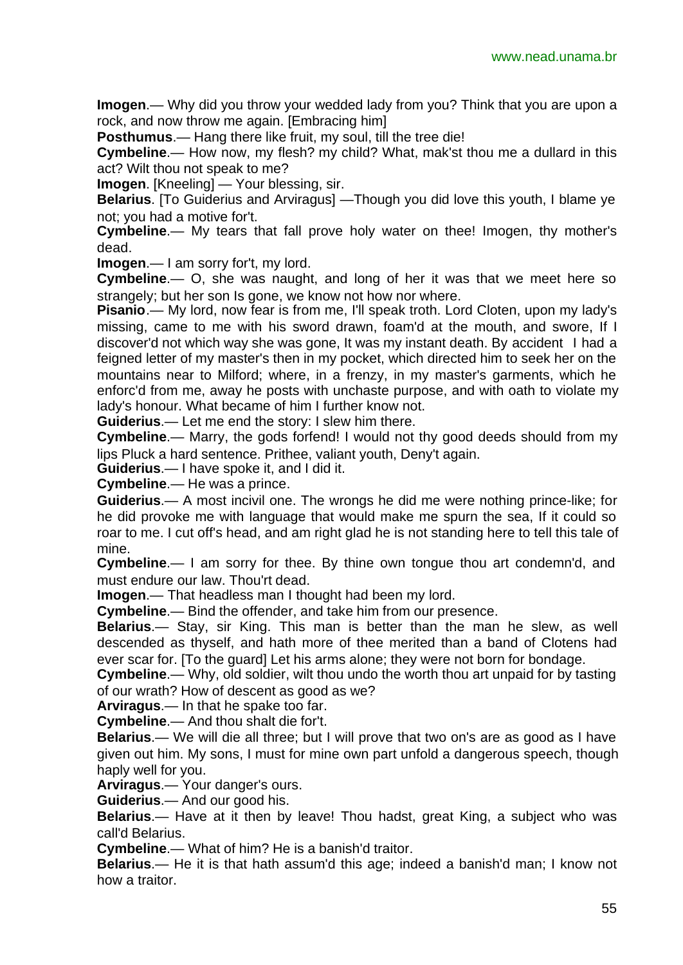**Imogen**.— Why did you throw your wedded lady from you? Think that you are upon a rock, and now throw me again. [Embracing him]

**Posthumus**.— Hang there like fruit, my soul, till the tree die!

**Cymbeline**.— How now, my flesh? my child? What, mak'st thou me a dullard in this act? Wilt thou not speak to me?

**Imogen**. [Kneeling] — Your blessing, sir.

**Belarius**. [To Guiderius and Arviragus] —Though you did love this youth, I blame ye not; you had a motive for't.

**Cymbeline**.— My tears that fall prove holy water on thee! Imogen, thy mother's dead.

**Imogen**.— I am sorry for't, my lord.

**Cymbeline**.— O, she was naught, and long of her it was that we meet here so strangely; but her son Is gone, we know not how nor where.

**Pisanio**.— My lord, now fear is from me, I'll speak troth. Lord Cloten, upon my lady's missing, came to me with his sword drawn, foam'd at the mouth, and swore, If I discover'd not which way she was gone, It was my instant death. By accident I had a feigned letter of my master's then in my pocket, which directed him to seek her on the mountains near to Milford; where, in a frenzy, in my master's garments, which he enforc'd from me, away he posts with unchaste purpose, and with oath to violate my lady's honour. What became of him I further know not.

**Guiderius**.— Let me end the story: I slew him there.

**Cymbeline**.— Marry, the gods forfend! I would not thy good deeds should from my lips Pluck a hard sentence. Prithee, valiant youth, Deny't again.

**Guiderius**.— I have spoke it, and I did it.

**Cymbeline**.— He was a prince.

**Guiderius**.— A most incivil one. The wrongs he did me were nothing prince-like; for he did provoke me with language that would make me spurn the sea, If it could so roar to me. I cut off's head, and am right glad he is not standing here to tell this tale of mine.

**Cymbeline**.— I am sorry for thee. By thine own tongue thou art condemn'd, and must endure our law. Thou'rt dead.

**Imogen**.— That headless man I thought had been my lord.

**Cymbeline**.— Bind the offender, and take him from our presence.

**Belarius**.— Stay, sir King. This man is better than the man he slew, as well descended as thyself, and hath more of thee merited than a band of Clotens had ever scar for. [To the guard] Let his arms alone; they were not born for bondage.

**Cymbeline**.— Why, old soldier, wilt thou undo the worth thou art unpaid for by tasting of our wrath? How of descent as good as we?

**Arviragus**.— In that he spake too far.

**Cymbeline**.— And thou shalt die for't.

**Belarius**.— We will die all three; but I will prove that two on's are as good as I have given out him. My sons, I must for mine own part unfold a dangerous speech, though haply well for you.

**Arviragus**.— Your danger's ours.

**Guiderius**.— And our good his.

**Belarius**.— Have at it then by leave! Thou hadst, great King, a subject who was call'd Belarius.

**Cymbeline**.— What of him? He is a banish'd traitor.

**Belarius**.— He it is that hath assum'd this age; indeed a banish'd man; I know not how a traitor.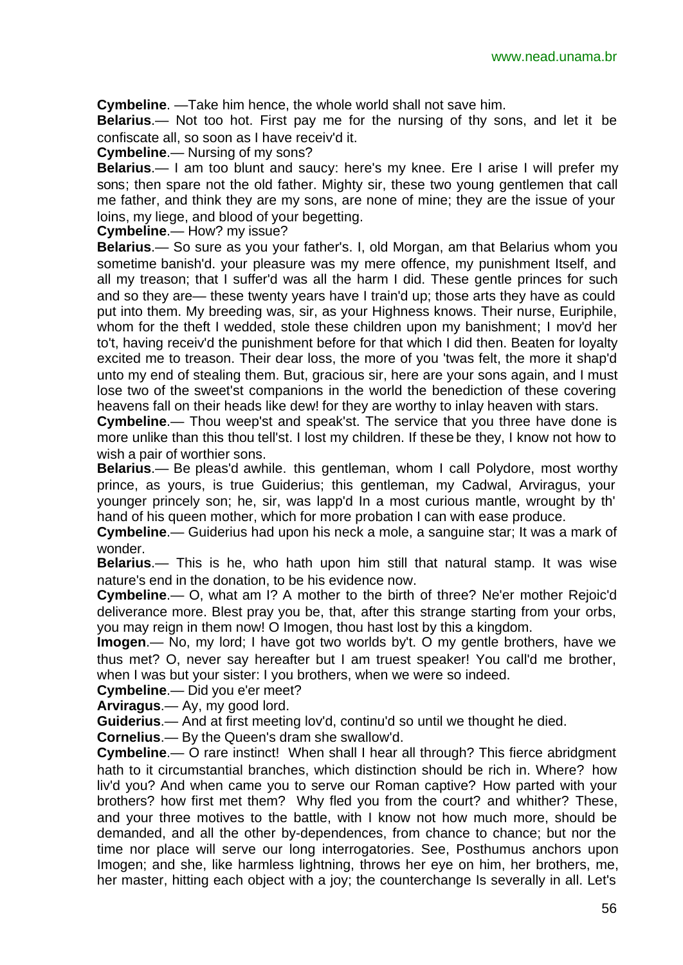**Cymbeline**. —Take him hence, the whole world shall not save him.

**Belarius**.— Not too hot. First pay me for the nursing of thy sons, and let it be confiscate all, so soon as I have receiv'd it.

**Cymbeline**.— Nursing of my sons?

**Belarius**.— I am too blunt and saucy: here's my knee. Ere I arise I will prefer my sons; then spare not the old father. Mighty sir, these two young gentlemen that call me father, and think they are my sons, are none of mine; they are the issue of your loins, my liege, and blood of your begetting.

**Cymbeline**.— How? my issue?

**Belarius**.— So sure as you your father's. I, old Morgan, am that Belarius whom you sometime banish'd. your pleasure was my mere offence, my punishment Itself, and all my treason; that I suffer'd was all the harm I did. These gentle princes for such and so they are— these twenty years have I train'd up; those arts they have as could put into them. My breeding was, sir, as your Highness knows. Their nurse, Euriphile, whom for the theft I wedded, stole these children upon my banishment; I mov'd her to't, having receiv'd the punishment before for that which I did then. Beaten for loyalty excited me to treason. Their dear loss, the more of you 'twas felt, the more it shap'd unto my end of stealing them. But, gracious sir, here are your sons again, and I must lose two of the sweet'st companions in the world the benediction of these covering heavens fall on their heads like dew! for they are worthy to inlay heaven with stars.

**Cymbeline**.— Thou weep'st and speak'st. The service that you three have done is more unlike than this thou tell'st. I lost my children. If these be they, I know not how to wish a pair of worthier sons.

**Belarius**.— Be pleas'd awhile. this gentleman, whom I call Polydore, most worthy prince, as yours, is true Guiderius; this gentleman, my Cadwal, Arviragus, your younger princely son; he, sir, was lapp'd In a most curious mantle, wrought by th' hand of his queen mother, which for more probation I can with ease produce.

**Cymbeline**.— Guiderius had upon his neck a mole, a sanguine star; It was a mark of wonder.

**Belarius**.— This is he, who hath upon him still that natural stamp. It was wise nature's end in the donation, to be his evidence now.

**Cymbeline**.— O, what am I? A mother to the birth of three? Ne'er mother Rejoic'd deliverance more. Blest pray you be, that, after this strange starting from your orbs, you may reign in them now! O Imogen, thou hast lost by this a kingdom.

**Imogen**.— No, my lord; I have got two worlds by't. O my gentle brothers, have we thus met? O, never say hereafter but I am truest speaker! You call'd me brother, when I was but your sister: I you brothers, when we were so indeed.

**Cymbeline**.— Did you e'er meet?

**Arviragus**.— Ay, my good lord.

**Guiderius**.— And at first meeting lov'd, continu'd so until we thought he died.

**Cornelius**.— By the Queen's dram she swallow'd.

**Cymbeline**.— O rare instinct! When shall I hear all through? This fierce abridgment hath to it circumstantial branches, which distinction should be rich in. Where? how liv'd you? And when came you to serve our Roman captive? How parted with your brothers? how first met them? Why fled you from the court? and whither? These, and your three motives to the battle, with I know not how much more, should be demanded, and all the other by-dependences, from chance to chance; but nor the time nor place will serve our long interrogatories. See, Posthumus anchors upon Imogen; and she, like harmless lightning, throws her eye on him, her brothers, me, her master, hitting each object with a joy; the counterchange Is severally in all. Let's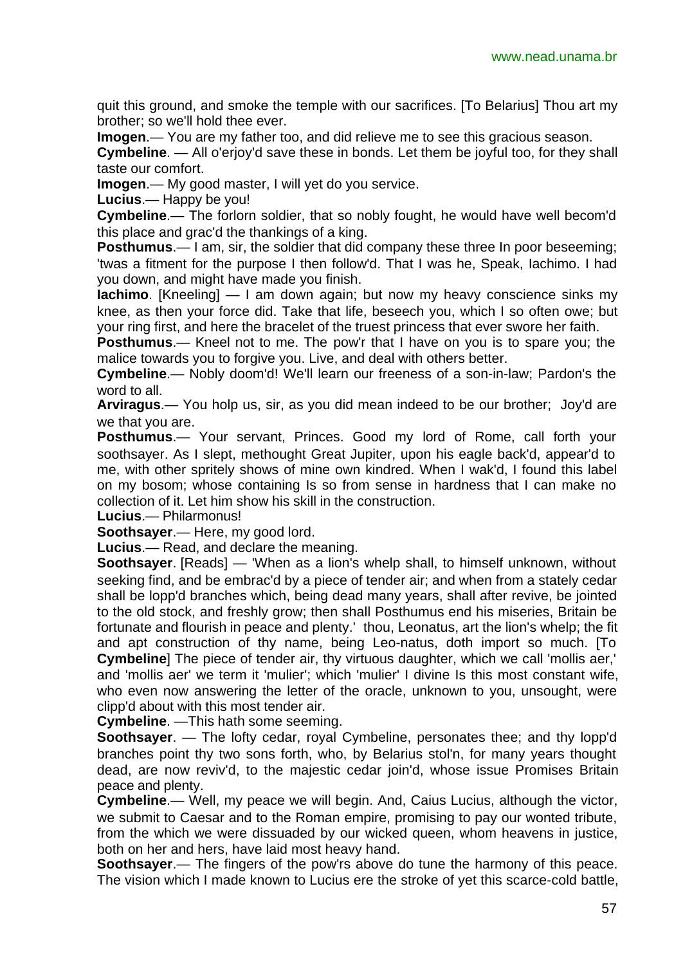quit this ground, and smoke the temple with our sacrifices. [To Belarius] Thou art my brother; so we'll hold thee ever.

**Imogen**.— You are my father too, and did relieve me to see this gracious season.

**Cymbeline**. — All o'erjoy'd save these in bonds. Let them be joyful too, for they shall taste our comfort.

**Imogen**.— My good master, I will yet do you service.

**Lucius**.— Happy be you!

**Cymbeline**.— The forlorn soldier, that so nobly fought, he would have well becom'd this place and grac'd the thankings of a king.

**Posthumus**.— I am, sir, the soldier that did company these three In poor beseeming; 'twas a fitment for the purpose I then follow'd. That I was he, Speak, Iachimo. I had you down, and might have made you finish.

**Iachimo**. [Kneeling] — I am down again; but now my heavy conscience sinks my knee, as then your force did. Take that life, beseech you, which I so often owe; but your ring first, and here the bracelet of the truest princess that ever swore her faith.

**Posthumus**.— Kneel not to me. The pow'r that I have on you is to spare you; the malice towards you to forgive you. Live, and deal with others better.

**Cymbeline**.— Nobly doom'd! We'll learn our freeness of a son-in-law; Pardon's the word to all.

**Arviragus**.— You holp us, sir, as you did mean indeed to be our brother; Joy'd are we that you are.

**Posthumus**.— Your servant, Princes. Good my lord of Rome, call forth your soothsayer. As I slept, methought Great Jupiter, upon his eagle back'd, appear'd to me, with other spritely shows of mine own kindred. When I wak'd, I found this label on my bosom; whose containing Is so from sense in hardness that I can make no collection of it. Let him show his skill in the construction.

**Lucius**.— Philarmonus!

**Soothsayer**.— Here, my good lord.

**Lucius**.— Read, and declare the meaning.

**Soothsayer**. [Reads] — 'When as a lion's whelp shall, to himself unknown, without seeking find, and be embrac'd by a piece of tender air; and when from a stately cedar shall be lopp'd branches which, being dead many years, shall after revive, be jointed to the old stock, and freshly grow; then shall Posthumus end his miseries, Britain be fortunate and flourish in peace and plenty.' thou, Leonatus, art the lion's whelp; the fit and apt construction of thy name, being Leo-natus, doth import so much. [To **Cymbeline**] The piece of tender air, thy virtuous daughter, which we call 'mollis aer,' and 'mollis aer' we term it 'mulier'; which 'mulier' I divine Is this most constant wife, who even now answering the letter of the oracle, unknown to you, unsought, were clipp'd about with this most tender air.

**Cymbeline**. —This hath some seeming.

**Soothsayer.** — The lofty cedar, royal Cymbeline, personates thee; and thy lopp'd branches point thy two sons forth, who, by Belarius stol'n, for many years thought dead, are now reviv'd, to the majestic cedar join'd, whose issue Promises Britain peace and plenty.

**Cymbeline**.— Well, my peace we will begin. And, Caius Lucius, although the victor, we submit to Caesar and to the Roman empire, promising to pay our wonted tribute, from the which we were dissuaded by our wicked queen, whom heavens in justice, both on her and hers, have laid most heavy hand.

**Soothsayer.**— The fingers of the pow'rs above do tune the harmony of this peace. The vision which I made known to Lucius ere the stroke of yet this scarce-cold battle,